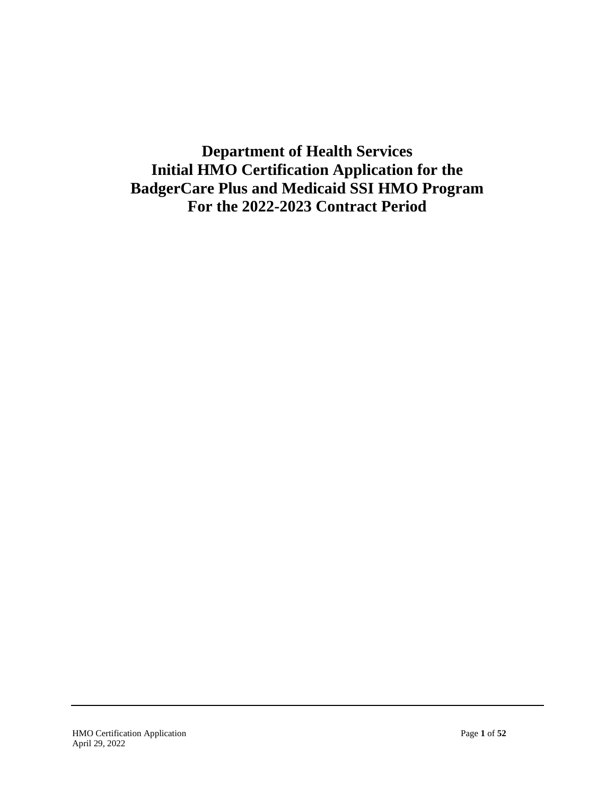**Department of Health Services Initial HMO Certification Application for the BadgerCare Plus and Medicaid SSI HMO Program For the 2022-2023 Contract Period**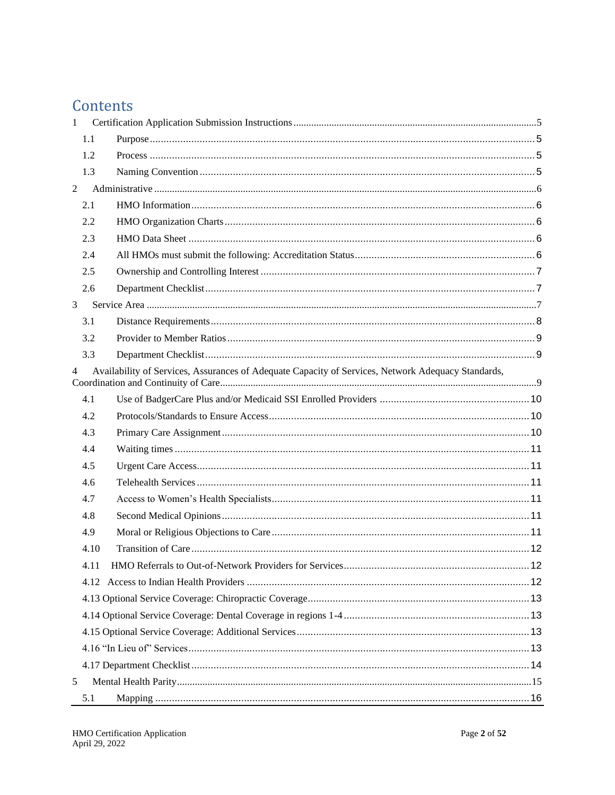## Contents

| $\mathbf{1}$   |      |                                                                                                    |  |
|----------------|------|----------------------------------------------------------------------------------------------------|--|
|                | 1.1  |                                                                                                    |  |
|                | 1.2  |                                                                                                    |  |
|                | 1.3  |                                                                                                    |  |
| 2              |      |                                                                                                    |  |
|                | 2.1  |                                                                                                    |  |
|                | 2.2  |                                                                                                    |  |
|                | 2.3  |                                                                                                    |  |
|                | 2.4  |                                                                                                    |  |
|                | 2.5  |                                                                                                    |  |
|                | 2.6  |                                                                                                    |  |
| 3              |      |                                                                                                    |  |
|                | 3.1  |                                                                                                    |  |
|                | 3.2  |                                                                                                    |  |
|                | 3.3  |                                                                                                    |  |
| $\overline{4}$ |      | Availability of Services, Assurances of Adequate Capacity of Services, Network Adequacy Standards, |  |
|                | 4.1  |                                                                                                    |  |
|                | 4.2  |                                                                                                    |  |
|                | 4.3  |                                                                                                    |  |
|                | 4.4  |                                                                                                    |  |
|                | 4.5  |                                                                                                    |  |
|                | 4.6  |                                                                                                    |  |
|                | 4.7  |                                                                                                    |  |
|                | 4.8  |                                                                                                    |  |
|                | 4.9  |                                                                                                    |  |
|                | 4.10 |                                                                                                    |  |
|                | 4.11 |                                                                                                    |  |
|                |      |                                                                                                    |  |
|                |      |                                                                                                    |  |
|                |      |                                                                                                    |  |
|                |      |                                                                                                    |  |
|                |      |                                                                                                    |  |
|                |      |                                                                                                    |  |
| 5              |      |                                                                                                    |  |
|                | 5.1  |                                                                                                    |  |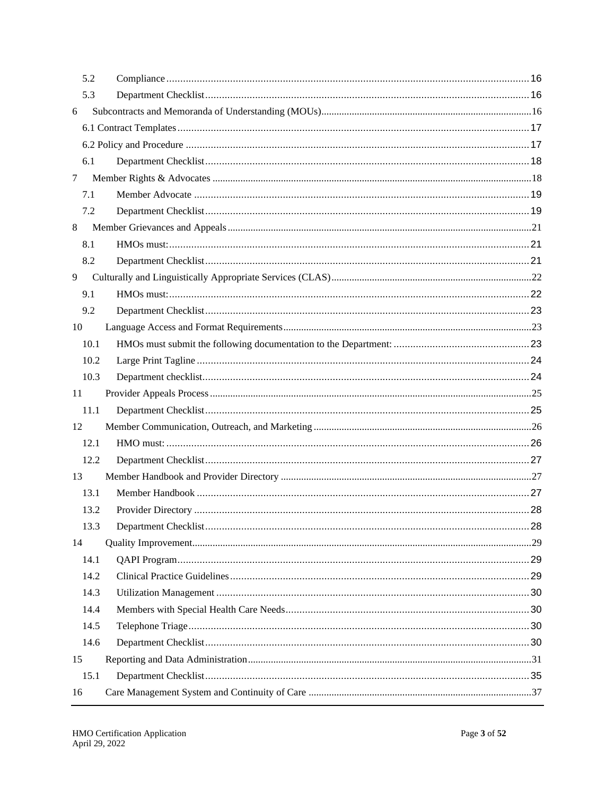| 5.2  |  |
|------|--|
| 5.3  |  |
| 6    |  |
|      |  |
|      |  |
| 6.1  |  |
| 7    |  |
| 7.1  |  |
| 7.2  |  |
| 8    |  |
| 8.1  |  |
| 8.2  |  |
| 9    |  |
| 9.1  |  |
| 9.2  |  |
| 10   |  |
| 10.1 |  |
| 10.2 |  |
| 10.3 |  |
|      |  |
| 11   |  |
| 11.1 |  |
| 12   |  |
| 12.1 |  |
| 12.2 |  |
| 13   |  |
| 13.1 |  |
| 13.2 |  |
| 13.3 |  |
| 14   |  |
| 14.1 |  |
| 14.2 |  |
| 14.3 |  |
| 14.4 |  |
| 14.5 |  |
| 14.6 |  |
| 15   |  |
| 15.1 |  |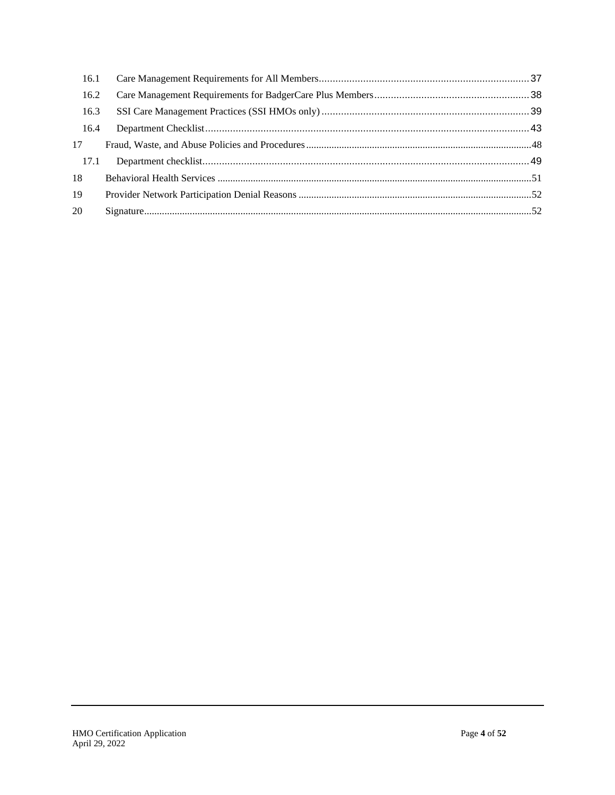| 16.1 |  |
|------|--|
| 16.2 |  |
| 16.3 |  |
| 16.4 |  |
| 17   |  |
| 17.1 |  |
| 18   |  |
| 19   |  |
| 20   |  |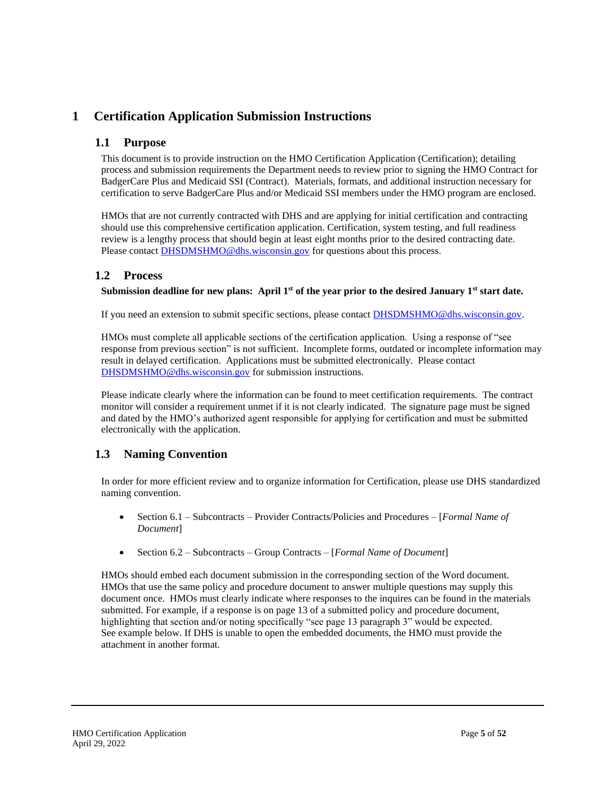## <span id="page-4-1"></span><span id="page-4-0"></span>**1 Certification Application Submission Instructions**

### **1.1 Purpose**

This document is to provide instruction on the HMO Certification Application (Certification); detailing process and submission requirements the Department needs to review prior to signing the HMO Contract for BadgerCare Plus and Medicaid SSI (Contract). Materials, formats, and additional instruction necessary for certification to serve BadgerCare Plus and/or Medicaid SSI members under the HMO program are enclosed.

HMOs that are not currently contracted with DHS and are applying for initial certification and contracting should use this comprehensive certification application. Certification, system testing, and full readiness review is a lengthy process that should begin at least eight months prior to the desired contracting date. Please contact [DHSDMSHMO@dhs.wisconsin.gov](mailto:DHSDMSHMO@dhs.wisconsin.gov) for questions about this process.

## <span id="page-4-2"></span>**1.2 Process**

#### **Submission deadline for new plans: April 1st of the year prior to the desired January 1st start date.**

If you need an extension to submit specific sections, please contact **DHSDMSHMO@dhs.wisconsin.gov.** 

HMOs must complete all applicable sections of the certification application. Using a response of "see response from previous section" is not sufficient. Incomplete forms, outdated or incomplete information may result in delayed certification. Applications must be submitted electronically. Please contact [DHSDMSHMO@dhs.wisconsin.gov](mailto:DHSDMSHMO@dhs.wisconsin.gov) for submission instructions.

Please indicate clearly where the information can be found to meet certification requirements. The contract monitor will consider a requirement unmet if it is not clearly indicated. The signature page must be signed and dated by the HMO's authorized agent responsible for applying for certification and must be submitted electronically with the application.

## <span id="page-4-3"></span>**1.3 Naming Convention**

In order for more efficient review and to organize information for Certification, please use DHS standardized naming convention.

- Section 6.1 Subcontracts Provider Contracts/Policies and Procedures [*Formal Name of Document*]
- Section 6.2 Subcontracts Group Contracts [*Formal Name of Document*]

HMOs should embed each document submission in the corresponding section of the Word document. HMOs that use the same policy and procedure document to answer multiple questions may supply this document once. HMOs must clearly indicate where responses to the inquires can be found in the materials submitted. For example, if a response is on page 13 of a submitted policy and procedure document, highlighting that section and/or noting specifically "see page 13 paragraph 3" would be expected. See example below. If DHS is unable to open the embedded documents, the HMO must provide the attachment in another format.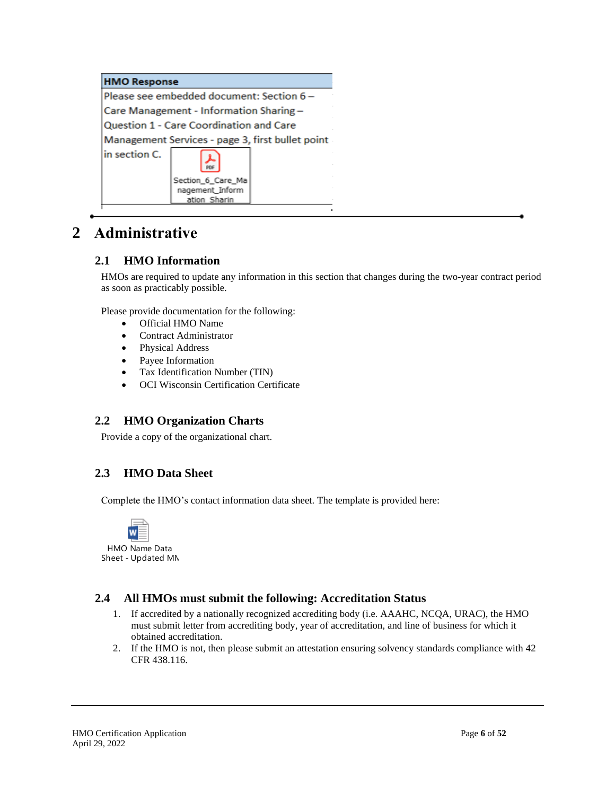|               | <b>HMO Response</b>                                  |  |  |  |  |  |  |
|---------------|------------------------------------------------------|--|--|--|--|--|--|
|               | Please see embedded document: Section 6 -            |  |  |  |  |  |  |
|               | Care Management - Information Sharing -              |  |  |  |  |  |  |
|               | Question 1 - Care Coordination and Care              |  |  |  |  |  |  |
|               | Management Services - page 3, first bullet point     |  |  |  |  |  |  |
| in section C. | PDF                                                  |  |  |  |  |  |  |
|               | Section_6_Care_Ma<br>nagement_Inform<br>ation Sharin |  |  |  |  |  |  |

## <span id="page-5-1"></span><span id="page-5-0"></span>**2 Administrative**

## **2.1 HMO Information**

HMOs are required to update any information in this section that changes during the two-year contract period as soon as practicably possible.

Please provide documentation for the following:

- Official HMO Name
- Contract Administrator
- Physical Address
- Payee Information
- Tax Identification Number (TIN)
- OCI Wisconsin Certification Certificate

### <span id="page-5-2"></span>**2.2 HMO Organization Charts**

Provide a copy of the organizational chart.

## <span id="page-5-3"></span>**2.3 HMO Data Sheet**

Complete the HMO's contact information data sheet. The template is provided here:



HMO Name Data Sheet - Updated MN.

### <span id="page-5-4"></span>**2.4 All HMOs must submit the following: Accreditation Status**

- 1. If accredited by a nationally recognized accrediting body (i.e. AAAHC, NCQA, URAC), the HMO must submit letter from accrediting body, year of accreditation, and line of business for which it obtained accreditation.
- 2. If the HMO is not, then please submit an attestation ensuring solvency standards compliance with 42 CFR 438.116.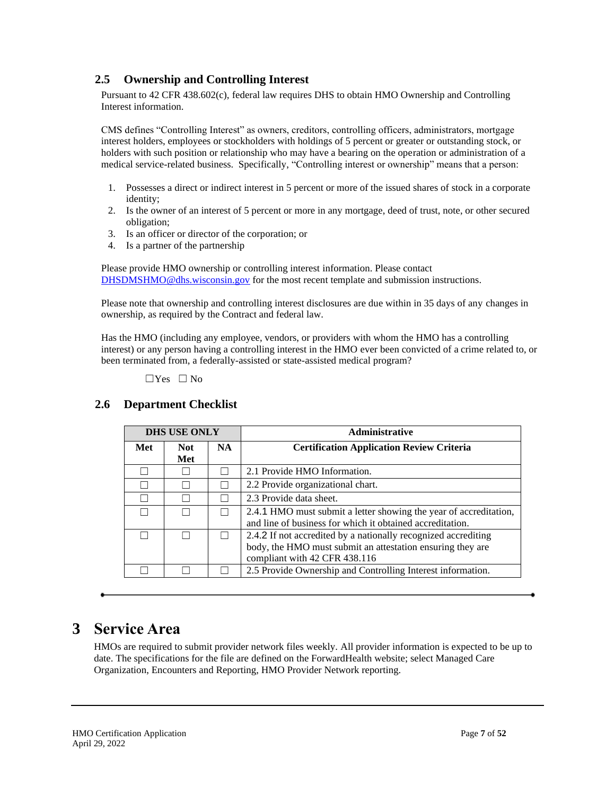## <span id="page-6-0"></span>**2.5 Ownership and Controlling Interest**

Pursuant to 42 CFR 438.602(c), federal law requires DHS to obtain HMO Ownership and Controlling Interest information.

CMS defines "Controlling Interest" as owners, creditors, controlling officers, administrators, mortgage interest holders, employees or stockholders with holdings of 5 percent or greater or outstanding stock, or holders with such position or relationship who may have a bearing on the operation or administration of a medical service-related business. Specifically, "Controlling interest or ownership" means that a person:

- 1. Possesses a direct or indirect interest in 5 percent or more of the issued shares of stock in a corporate identity;
- 2. Is the owner of an interest of 5 percent or more in any mortgage, deed of trust, note, or other secured obligation;
- 3. Is an officer or director of the corporation; or
- 4. Is a partner of the partnership

Please provide HMO ownership or controlling interest information. Please contact [DHSDMSHMO@dhs.wisconsin.gov](mailto:DHSDMSHMO@dhs.wisconsin.gov) for the most recent template and submission instructions.

Please note that ownership and controlling interest disclosures are due within in 35 days of any changes in ownership, as required by the Contract and federal law.

Has the HMO (including any employee, vendors, or providers with whom the HMO has a controlling interest) or any person having a controlling interest in the HMO ever been convicted of a crime related to, or been terminated from, a federally-assisted or state-assisted medical program?

 $\Box$  Yes  $\Box$  No

### <span id="page-6-1"></span>**2.6 Department Checklist**

| <b>DHS USE ONLY</b> |             |           | <b>Administrative</b>                                                                                                                                         |
|---------------------|-------------|-----------|---------------------------------------------------------------------------------------------------------------------------------------------------------------|
| Met                 | Not.<br>Met | <b>NA</b> | <b>Certification Application Review Criteria</b>                                                                                                              |
|                     |             |           | 2.1 Provide HMO Information.                                                                                                                                  |
|                     |             |           | 2.2 Provide organizational chart.                                                                                                                             |
|                     |             |           | 2.3 Provide data sheet.                                                                                                                                       |
|                     |             |           | 2.4.1 HMO must submit a letter showing the year of accreditation,<br>and line of business for which it obtained accreditation.                                |
| $\mathbf{I}$        |             |           | 2.4.2 If not accredited by a nationally recognized accrediting<br>body, the HMO must submit an attestation ensuring they are<br>compliant with 42 CFR 438.116 |
|                     |             |           | 2.5 Provide Ownership and Controlling Interest information.                                                                                                   |

## <span id="page-6-2"></span>**3 Service Area**

HMOs are required to submit provider network files weekly. All provider information is expected to be up to date. The specifications for the file are defined on the ForwardHealth website; select Managed Care Organization, Encounters and Reporting, HMO Provider Network reporting.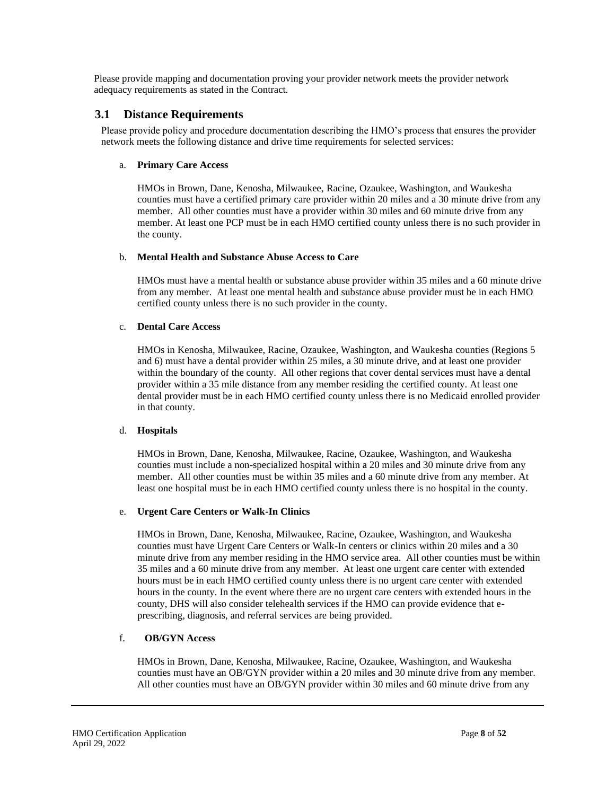Please provide mapping and documentation proving your provider network meets the provider network adequacy requirements as stated in the Contract.

#### <span id="page-7-0"></span>**3.1 Distance Requirements**

Please provide policy and procedure documentation describing the HMO's process that ensures the provider network meets the following distance and drive time requirements for selected services:

#### a. **Primary Care Access**

HMOs in Brown, Dane, Kenosha, Milwaukee, Racine, Ozaukee, Washington, and Waukesha counties must have a certified primary care provider within 20 miles and a 30 minute drive from any member. All other counties must have a provider within 30 miles and 60 minute drive from any member. At least one PCP must be in each HMO certified county unless there is no such provider in the county.

#### b. **Mental Health and Substance Abuse Access to Care**

HMOs must have a mental health or substance abuse provider within 35 miles and a 60 minute drive from any member. At least one mental health and substance abuse provider must be in each HMO certified county unless there is no such provider in the county.

#### c. **Dental Care Access**

HMOs in Kenosha, Milwaukee, Racine, Ozaukee, Washington, and Waukesha counties (Regions 5 and 6) must have a dental provider within 25 miles, a 30 minute drive, and at least one provider within the boundary of the county. All other regions that cover dental services must have a dental provider within a 35 mile distance from any member residing the certified county. At least one dental provider must be in each HMO certified county unless there is no Medicaid enrolled provider in that county.

#### d. **Hospitals**

HMOs in Brown, Dane, Kenosha, Milwaukee, Racine, Ozaukee, Washington, and Waukesha counties must include a non-specialized hospital within a 20 miles and 30 minute drive from any member. All other counties must be within 35 miles and a 60 minute drive from any member. At least one hospital must be in each HMO certified county unless there is no hospital in the county.

#### e. **Urgent Care Centers or Walk-In Clinics**

HMOs in Brown, Dane, Kenosha, Milwaukee, Racine, Ozaukee, Washington, and Waukesha counties must have Urgent Care Centers or Walk-In centers or clinics within 20 miles and a 30 minute drive from any member residing in the HMO service area. All other counties must be within 35 miles and a 60 minute drive from any member. At least one urgent care center with extended hours must be in each HMO certified county unless there is no urgent care center with extended hours in the county. In the event where there are no urgent care centers with extended hours in the county, DHS will also consider telehealth services if the HMO can provide evidence that eprescribing, diagnosis, and referral services are being provided.

#### f. **OB/GYN Access**

HMOs in Brown, Dane, Kenosha, Milwaukee, Racine, Ozaukee, Washington, and Waukesha counties must have an OB/GYN provider within a 20 miles and 30 minute drive from any member. All other counties must have an OB/GYN provider within 30 miles and 60 minute drive from any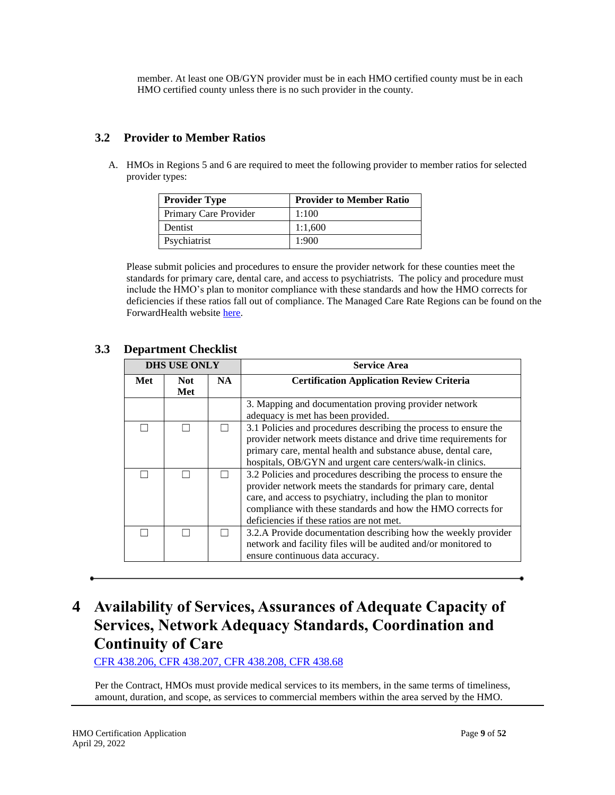member. At least one OB/GYN provider must be in each HMO certified county must be in each HMO certified county unless there is no such provider in the county.

## <span id="page-8-0"></span>**3.2 Provider to Member Ratios**

A. HMOs in Regions 5 and 6 are required to meet the following provider to member ratios for selected provider types:

| <b>Provider Type</b>  | <b>Provider to Member Ratio</b> |
|-----------------------|---------------------------------|
| Primary Care Provider | 1:100                           |
| Dentist               | 1:1,600                         |
| Psychiatrist          | 1:900                           |

Please submit policies and procedures to ensure the provider network for these counties meet the standards for primary care, dental care, and access to psychiatrists. The policy and procedure must include the HMO's plan to monitor compliance with these standards and how the HMO corrects for deficiencies if these ratios fall out of compliance. The Managed Care Rate Regions can be found on the ForwardHealth website [here.](https://www.forwardhealth.wi.gov/WIPortal/content/Managed%20Care%20Organization/Reimbursement_and_Capitation/Home.htm.spage#mcrr) 

## <span id="page-8-1"></span>**3.3 Department Checklist**

|     | <b>DHS USE ONLY</b>      |  | <b>Service Area</b>                                                                                                                                                                                                                                                                                             |
|-----|--------------------------|--|-----------------------------------------------------------------------------------------------------------------------------------------------------------------------------------------------------------------------------------------------------------------------------------------------------------------|
| Met | NA.<br><b>Not</b><br>Met |  | <b>Certification Application Review Criteria</b>                                                                                                                                                                                                                                                                |
|     |                          |  | 3. Mapping and documentation proving provider network<br>adequacy is met has been provided.                                                                                                                                                                                                                     |
|     |                          |  | 3.1 Policies and procedures describing the process to ensure the<br>provider network meets distance and drive time requirements for<br>primary care, mental health and substance abuse, dental care,<br>hospitals, OB/GYN and urgent care centers/walk-in clinics.                                              |
|     |                          |  | 3.2 Policies and procedures describing the process to ensure the<br>provider network meets the standards for primary care, dental<br>care, and access to psychiatry, including the plan to monitor<br>compliance with these standards and how the HMO corrects for<br>deficiencies if these ratios are not met. |
|     |                          |  | 3.2.A Provide documentation describing how the weekly provider<br>network and facility files will be audited and/or monitored to<br>ensure continuous data accuracy.                                                                                                                                            |

## <span id="page-8-2"></span>**4 Availability of Services, Assurances of Adequate Capacity of Services, Network Adequacy Standards, Coordination and Continuity of Care**

[CFR 438.206,](http://www.ecfr.gov/cgi-bin/text-idx?SID=1184a45aedf5579d2e8fdfb4ffd2112c&mc=true&node=pt42.4.438&rgn=div5#se42.4.438_1206) [CFR 438.207,](https://www.ecfr.gov/cgi-bin/text-idx?SID=32f23d644da0ee419fcb895901f2af9f&mc=true&node=pt42.4.438&rgn=div5#se42.4.438_1207) [CFR 438.208,](http://www.ecfr.gov/cgi-bin/text-idx?SID=1184a45aedf5579d2e8fdfb4ffd2112c&mc=true&node=pt42.4.438&rgn=div5#se42.4.438_1208) [CFR 438.68](https://www.ecfr.gov/cgi-bin/text-idx?SID=32f23d644da0ee419fcb895901f2af9f&mc=true&node=pt42.4.438&rgn=div5#se42.4.438_168)

Per the Contract, HMOs must provide medical services to its members, in the same terms of timeliness, amount, duration, and scope, as services to commercial members within the area served by the HMO.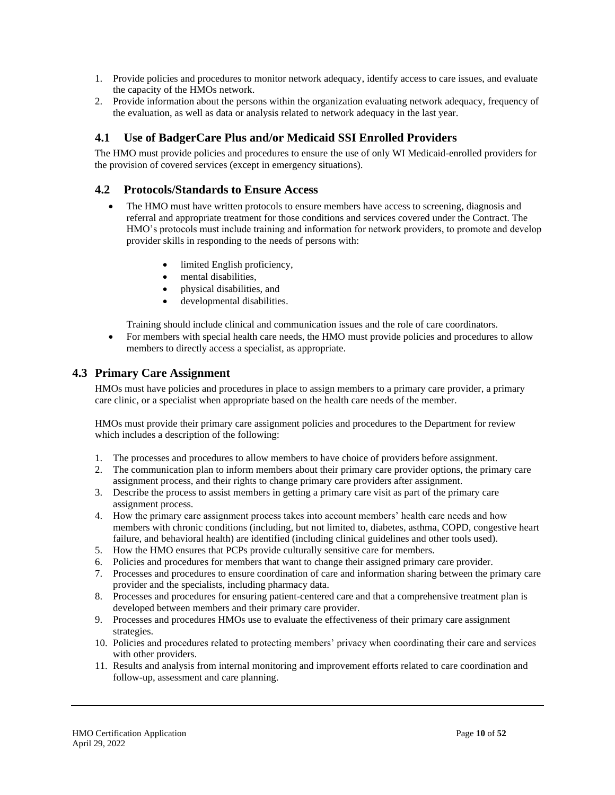- 1. Provide policies and procedures to monitor network adequacy, identify access to care issues, and evaluate the capacity of the HMOs network.
- 2. Provide information about the persons within the organization evaluating network adequacy, frequency of the evaluation, as well as data or analysis related to network adequacy in the last year.

## <span id="page-9-0"></span>**4.1 Use of BadgerCare Plus and/or Medicaid SSI Enrolled Providers**

The HMO must provide policies and procedures to ensure the use of only WI Medicaid-enrolled providers for the provision of covered services (except in emergency situations).

### <span id="page-9-1"></span>**4.2 Protocols/Standards to Ensure Access**

- The HMO must have written protocols to ensure members have access to screening, diagnosis and referral and appropriate treatment for those conditions and services covered under the Contract. The HMO's protocols must include training and information for network providers, to promote and develop provider skills in responding to the needs of persons with:
	- limited English proficiency,
	- mental disabilities,
	- physical disabilities, and
	- developmental disabilities.

Training should include clinical and communication issues and the role of care coordinators.

• For members with special health care needs, the HMO must provide policies and procedures to allow members to directly access a specialist, as appropriate.

### <span id="page-9-2"></span>**4.3 Primary Care Assignment**

HMOs must have policies and procedures in place to assign members to a primary care provider, a primary care clinic, or a specialist when appropriate based on the health care needs of the member.

HMOs must provide their primary care assignment policies and procedures to the Department for review which includes a description of the following:

- 1. The processes and procedures to allow members to have choice of providers before assignment.
- 2. The communication plan to inform members about their primary care provider options, the primary care assignment process, and their rights to change primary care providers after assignment.
- 3. Describe the process to assist members in getting a primary care visit as part of the primary care assignment process.
- 4. How the primary care assignment process takes into account members' health care needs and how members with chronic conditions (including, but not limited to, diabetes, asthma, COPD, congestive heart failure, and behavioral health) are identified (including clinical guidelines and other tools used).
- 5. How the HMO ensures that PCPs provide culturally sensitive care for members.
- 6. Policies and procedures for members that want to change their assigned primary care provider.
- 7. Processes and procedures to ensure coordination of care and information sharing between the primary care provider and the specialists, including pharmacy data.
- 8. Processes and procedures for ensuring patient-centered care and that a comprehensive treatment plan is developed between members and their primary care provider.
- 9. Processes and procedures HMOs use to evaluate the effectiveness of their primary care assignment strategies.
- 10. Policies and procedures related to protecting members' privacy when coordinating their care and services with other providers.
- 11. Results and analysis from internal monitoring and improvement efforts related to care coordination and follow-up, assessment and care planning.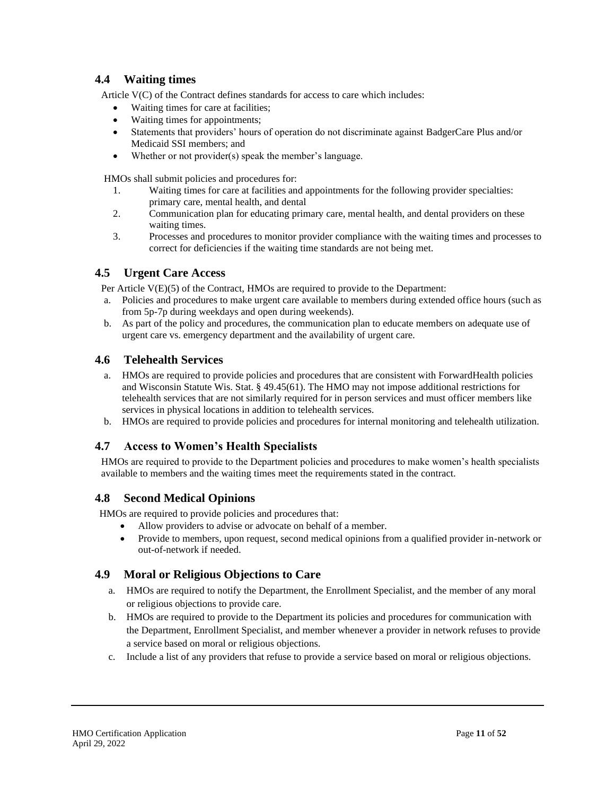### <span id="page-10-0"></span>**4.4 Waiting times**

Article V(C) of the Contract defines standards for access to care which includes:

- Waiting times for care at facilities;
- Waiting times for appointments;
- Statements that providers' hours of operation do not discriminate against BadgerCare Plus and/or Medicaid SSI members; and
- Whether or not provider(s) speak the member's language.

HMOs shall submit policies and procedures for:

- 1. Waiting times for care at facilities and appointments for the following provider specialties: primary care, mental health, and dental
- 2. Communication plan for educating primary care, mental health, and dental providers on these waiting times.
- 3. Processes and procedures to monitor provider compliance with the waiting times and processes to correct for deficiencies if the waiting time standards are not being met.

## <span id="page-10-1"></span>**4.5 Urgent Care Access**

Per Article V(E)(5) of the Contract, HMOs are required to provide to the Department:

- a. Policies and procedures to make urgent care available to members during extended office hours (such as from 5p-7p during weekdays and open during weekends).
- b. As part of the policy and procedures, the communication plan to educate members on adequate use of urgent care vs. emergency department and the availability of urgent care.

#### <span id="page-10-2"></span>**4.6 Telehealth Services**

- a. HMOs are required to provide policies and procedures that are consistent with ForwardHealth policies and Wisconsin Statute Wis. Stat. § 49.45(61). The HMO may not impose additional restrictions for telehealth services that are not similarly required for in person services and must officer members like services in physical locations in addition to telehealth services.
- b. HMOs are required to provide policies and procedures for internal monitoring and telehealth utilization.

### <span id="page-10-3"></span>**4.7 Access to Women's Health Specialists**

HMOs are required to provide to the Department policies and procedures to make women's health specialists available to members and the waiting times meet the requirements stated in the contract.

### <span id="page-10-4"></span>**4.8 Second Medical Opinions**

HMOs are required to provide policies and procedures that:

- Allow providers to advise or advocate on behalf of a member.
	- Provide to members, upon request, second medical opinions from a qualified provider in-network or out-of-network if needed.

### <span id="page-10-5"></span>**4.9 Moral or Religious Objections to Care**

- a. HMOs are required to notify the Department, the Enrollment Specialist, and the member of any moral or religious objections to provide care.
- b. HMOs are required to provide to the Department its policies and procedures for communication with the Department, Enrollment Specialist, and member whenever a provider in network refuses to provide a service based on moral or religious objections.
- c. Include a list of any providers that refuse to provide a service based on moral or religious objections.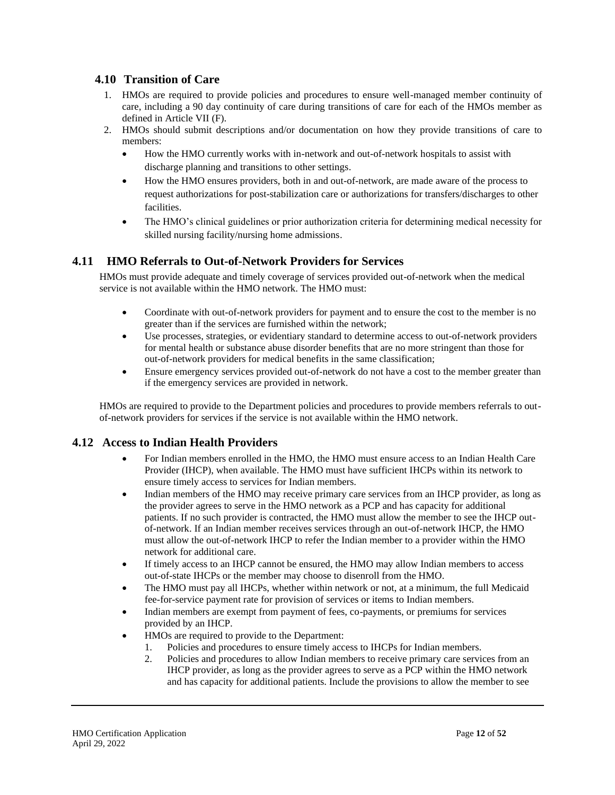### <span id="page-11-0"></span>**4.10 Transition of Care**

- 1. HMOs are required to provide policies and procedures to ensure well-managed member continuity of care, including a 90 day continuity of care during transitions of care for each of the HMOs member as defined in Article VII (F).
- 2. HMOs should submit descriptions and/or documentation on how they provide transitions of care to members:
	- How the HMO currently works with in-network and out-of-network hospitals to assist with discharge planning and transitions to other settings.
	- How the HMO ensures providers, both in and out-of-network, are made aware of the process to request authorizations for post-stabilization care or authorizations for transfers/discharges to other facilities.
	- The HMO's clinical guidelines or prior authorization criteria for determining medical necessity for skilled nursing facility/nursing home admissions.

### <span id="page-11-1"></span>**4.11 HMO Referrals to Out-of-Network Providers for Services**

HMOs must provide adequate and timely coverage of services provided out-of-network when the medical service is not available within the HMO network. The HMO must:

- Coordinate with out-of-network providers for payment and to ensure the cost to the member is no greater than if the services are furnished within the network;
- Use processes, strategies, or evidentiary standard to determine access to out-of-network providers for mental health or substance abuse disorder benefits that are no more stringent than those for out-of-network providers for medical benefits in the same classification;
- Ensure emergency services provided out-of-network do not have a cost to the member greater than if the emergency services are provided in network.

HMOs are required to provide to the Department policies and procedures to provide members referrals to outof-network providers for services if the service is not available within the HMO network.

### <span id="page-11-2"></span>**4.12 Access to Indian Health Providers**

- For Indian members enrolled in the HMO, the HMO must ensure access to an Indian Health Care Provider (IHCP), when available. The HMO must have sufficient IHCPs within its network to ensure timely access to services for Indian members.
- Indian members of the HMO may receive primary care services from an IHCP provider, as long as the provider agrees to serve in the HMO network as a PCP and has capacity for additional patients. If no such provider is contracted, the HMO must allow the member to see the IHCP outof-network. If an Indian member receives services through an out-of-network IHCP, the HMO must allow the out-of-network IHCP to refer the Indian member to a provider within the HMO network for additional care.
- If timely access to an IHCP cannot be ensured, the HMO may allow Indian members to access out-of-state IHCPs or the member may choose to disenroll from the HMO.
- The HMO must pay all IHCPs, whether within network or not, at a minimum, the full Medicaid fee-for-service payment rate for provision of services or items to Indian members.
- Indian members are exempt from payment of fees, co-payments, or premiums for services provided by an IHCP.
- HMOs are required to provide to the Department:
	- 1. Policies and procedures to ensure timely access to IHCPs for Indian members.
	- 2. Policies and procedures to allow Indian members to receive primary care services from an IHCP provider, as long as the provider agrees to serve as a PCP within the HMO network and has capacity for additional patients. Include the provisions to allow the member to see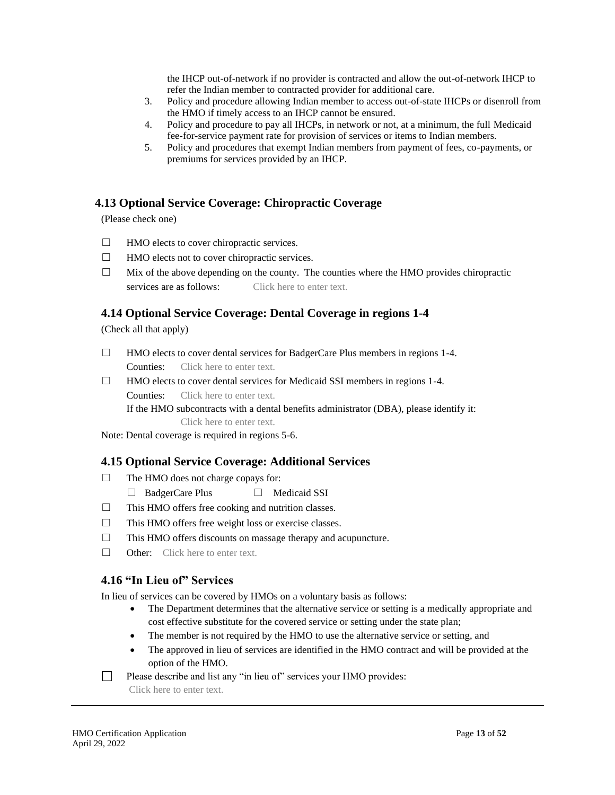the IHCP out-of-network if no provider is contracted and allow the out-of-network IHCP to refer the Indian member to contracted provider for additional care.

- 3. Policy and procedure allowing Indian member to access out-of-state IHCPs or disenroll from the HMO if timely access to an IHCP cannot be ensured.
- 4. Policy and procedure to pay all IHCPs, in network or not, at a minimum, the full Medicaid fee-for-service payment rate for provision of services or items to Indian members.
- 5. Policy and procedures that exempt Indian members from payment of fees, co-payments, or premiums for services provided by an IHCP.

### <span id="page-12-0"></span>**4.13 Optional Service Coverage: Chiropractic Coverage**

(Please check one)

- ☐ HMO elects to cover chiropractic services.
- $\Box$  HMO elects not to cover chiropractic services.
- $\Box$  Mix of the above depending on the county. The counties where the HMO provides chiropractic services are as follows: Click here to enter text.

### <span id="page-12-1"></span>**4.14 Optional Service Coverage: Dental Coverage in regions 1-4**

(Check all that apply)

- ☐ HMO elects to cover dental services for BadgerCare Plus members in regions 1-4. Counties: Click here to enter text.
- ☐ HMO elects to cover dental services for Medicaid SSI members in regions 1-4.
	- Counties: Click here to enter text.
	- If the HMO subcontracts with a dental benefits administrator (DBA), please identify it:
		- Click here to enter text.

<span id="page-12-2"></span>Note: Dental coverage is required in regions 5-6.

### **4.15 Optional Service Coverage: Additional Services**

- ☐ The HMO does not charge copays for:
	- ☐ BadgerCare Plus ☐ Medicaid SSI
- $\Box$  This HMO offers free cooking and nutrition classes.
- ☐ This HMO offers free weight loss or exercise classes.
- ☐ This HMO offers discounts on massage therapy and acupuncture.
- □ Other: Click here to enter text.

### <span id="page-12-3"></span>**4.16 "In Lieu of" Services**

In lieu of services can be covered by HMOs on a voluntary basis as follows:

- The Department determines that the alternative service or setting is a medically appropriate and cost effective substitute for the covered service or setting under the state plan;
- The member is not required by the HMO to use the alternative service or setting, and
- The approved in lieu of services are identified in the HMO contract and will be provided at the option of the HMO.

 $\Box$ Please describe and list any "in lieu of" services your HMO provides:

Click here to enter text.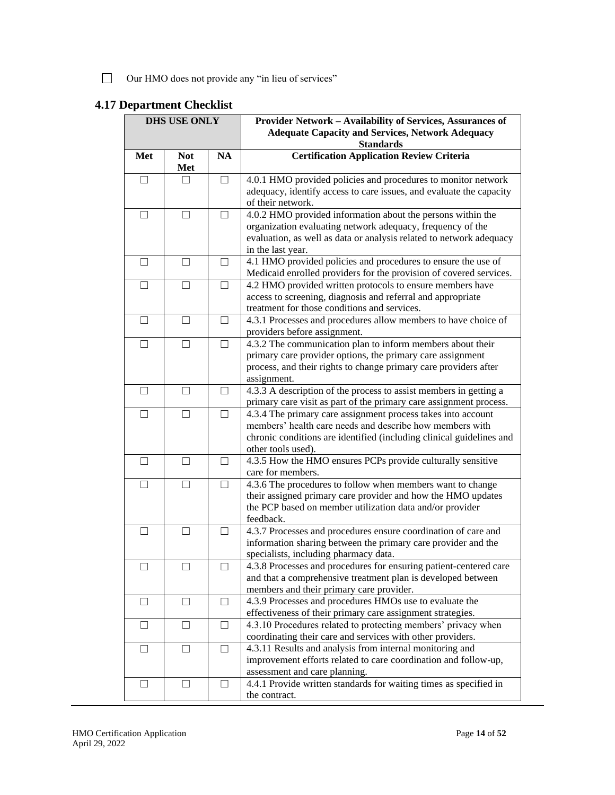Our HMO does not provide any "in lieu of services"

## <span id="page-13-0"></span>**4.17 Department Checklist**

| <b>DHS USE ONLY</b>      |                   |        | Provider Network - Availability of Services, Assurances of<br><b>Adequate Capacity and Services, Network Adequacy</b><br><b>Standards</b>                                                                              |
|--------------------------|-------------------|--------|------------------------------------------------------------------------------------------------------------------------------------------------------------------------------------------------------------------------|
| Met                      | <b>Not</b><br>Met | NA     | <b>Certification Application Review Criteria</b>                                                                                                                                                                       |
| $\Box$                   | $\perp$           | $\Box$ | 4.0.1 HMO provided policies and procedures to monitor network<br>adequacy, identify access to care issues, and evaluate the capacity<br>of their network.                                                              |
| $\Box$                   | П                 | П      | 4.0.2 HMO provided information about the persons within the<br>organization evaluating network adequacy, frequency of the<br>evaluation, as well as data or analysis related to network adequacy<br>in the last year.  |
| - 1                      |                   | П      | 4.1 HMO provided policies and procedures to ensure the use of<br>Medicaid enrolled providers for the provision of covered services.                                                                                    |
| $\mathsf{L}$             |                   | П      | 4.2 HMO provided written protocols to ensure members have<br>access to screening, diagnosis and referral and appropriate<br>treatment for those conditions and services.                                               |
| $\Box$                   | П                 | П      | 4.3.1 Processes and procedures allow members to have choice of<br>providers before assignment.                                                                                                                         |
| $\mathsf{L}$             | П                 | П      | 4.3.2 The communication plan to inform members about their<br>primary care provider options, the primary care assignment<br>process, and their rights to change primary care providers after<br>assignment.            |
| $\perp$                  | $\perp$           | □      | 4.3.3 A description of the process to assist members in getting a<br>primary care visit as part of the primary care assignment process.                                                                                |
| ш                        | $\Box$            | □      | 4.3.4 The primary care assignment process takes into account<br>members' health care needs and describe how members with<br>chronic conditions are identified (including clinical guidelines and<br>other tools used). |
| $\Box$                   | Ш                 | П      | 4.3.5 How the HMO ensures PCPs provide culturally sensitive<br>care for members.                                                                                                                                       |
|                          |                   |        | 4.3.6 The procedures to follow when members want to change<br>their assigned primary care provider and how the HMO updates<br>the PCP based on member utilization data and/or provider<br>feedback.                    |
| $\Box$                   | П                 | П      | 4.3.7 Processes and procedures ensure coordination of care and<br>information sharing between the primary care provider and the<br>specialists, including pharmacy data.                                               |
| $\overline{\phantom{a}}$ | П                 | $\Box$ | 4.3.8 Processes and procedures for ensuring patient-centered care<br>and that a comprehensive treatment plan is developed between<br>members and their primary care provider.                                          |
| ⊔                        | $\Box$            | □      | 4.3.9 Processes and procedures HMOs use to evaluate the<br>effectiveness of their primary care assignment strategies.                                                                                                  |
| ш                        | $\Box$            | $\Box$ | 4.3.10 Procedures related to protecting members' privacy when<br>coordinating their care and services with other providers.                                                                                            |
| ⊔                        | $\Box$            | □      | 4.3.11 Results and analysis from internal monitoring and<br>improvement efforts related to care coordination and follow-up,<br>assessment and care planning.                                                           |
| ⊔                        | $\sqcup$          | Ш      | 4.4.1 Provide written standards for waiting times as specified in<br>the contract.                                                                                                                                     |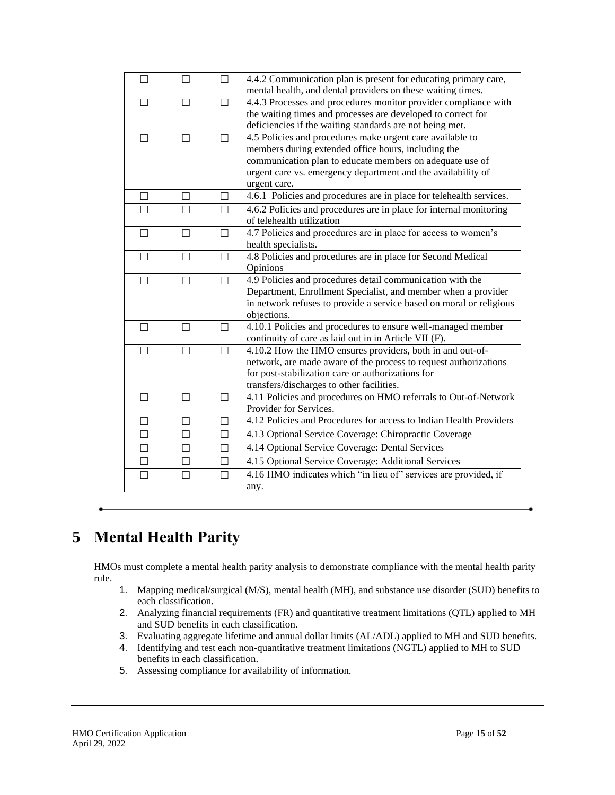| П            | П      | П       | 4.4.2 Communication plan is present for educating primary care,<br>mental health, and dental providers on these waiting times. |
|--------------|--------|---------|--------------------------------------------------------------------------------------------------------------------------------|
| П            | П      | $\Box$  | 4.4.3 Processes and procedures monitor provider compliance with                                                                |
|              |        |         | the waiting times and processes are developed to correct for                                                                   |
|              |        |         | deficiencies if the waiting standards are not being met.                                                                       |
| П            | П      |         | 4.5 Policies and procedures make urgent care available to                                                                      |
|              |        |         | members during extended office hours, including the                                                                            |
|              |        |         | communication plan to educate members on adequate use of                                                                       |
|              |        |         | urgent care vs. emergency department and the availability of                                                                   |
|              |        |         | urgent care.                                                                                                                   |
| $\mathsf{L}$ | $\Box$ | $\perp$ | 4.6.1 Policies and procedures are in place for telehealth services.                                                            |
| П            | П      | $\Box$  | 4.6.2 Policies and procedures are in place for internal monitoring                                                             |
|              |        |         | of telehealth utilization                                                                                                      |
| $\Box$       | $\Box$ | $\Box$  | 4.7 Policies and procedures are in place for access to women's                                                                 |
|              |        |         | health specialists.                                                                                                            |
| П            | П      | П       | 4.8 Policies and procedures are in place for Second Medical                                                                    |
|              |        |         | Opinions                                                                                                                       |
| П            | П      |         | 4.9 Policies and procedures detail communication with the                                                                      |
|              |        |         | Department, Enrollment Specialist, and member when a provider                                                                  |
|              |        |         | in network refuses to provide a service based on moral or religious                                                            |
| $\Box$       | $\Box$ | П       | objections.                                                                                                                    |
|              |        |         | 4.10.1 Policies and procedures to ensure well-managed member<br>continuity of care as laid out in in Article VII (F).          |
| П            | П      | П       | 4.10.2 How the HMO ensures providers, both in and out-of-                                                                      |
|              |        |         | network, are made aware of the process to request authorizations                                                               |
|              |        |         | for post-stabilization care or authorizations for                                                                              |
|              |        |         | transfers/discharges to other facilities.                                                                                      |
| $\Box$       | П      | $\Box$  | 4.11 Policies and procedures on HMO referrals to Out-of-Network                                                                |
|              |        |         | Provider for Services.                                                                                                         |
| П            | П      | П       | 4.12 Policies and Procedures for access to Indian Health Providers                                                             |
| П            | $\Box$ | П       | 4.13 Optional Service Coverage: Chiropractic Coverage                                                                          |
| П            | П      |         | 4.14 Optional Service Coverage: Dental Services                                                                                |
| П            | П      |         | 4.15 Optional Service Coverage: Additional Services                                                                            |
| П            | П      | П       | 4.16 HMO indicates which "in lieu of" services are provided, if                                                                |
|              |        |         | any.                                                                                                                           |

## <span id="page-14-0"></span>**5 Mental Health Parity**

HMOs must complete a mental health parity analysis to demonstrate compliance with the mental health parity rule.

- 1. Mapping medical/surgical (M/S), mental health (MH), and substance use disorder (SUD) benefits to each classification.
- 2. Analyzing financial requirements (FR) and quantitative treatment limitations (QTL) applied to MH and SUD benefits in each classification.
- 3. Evaluating aggregate lifetime and annual dollar limits (AL/ADL) applied to MH and SUD benefits.
- 4. Identifying and test each non-quantitative treatment limitations (NGTL) applied to MH to SUD benefits in each classification.
- 5. Assessing compliance for availability of information.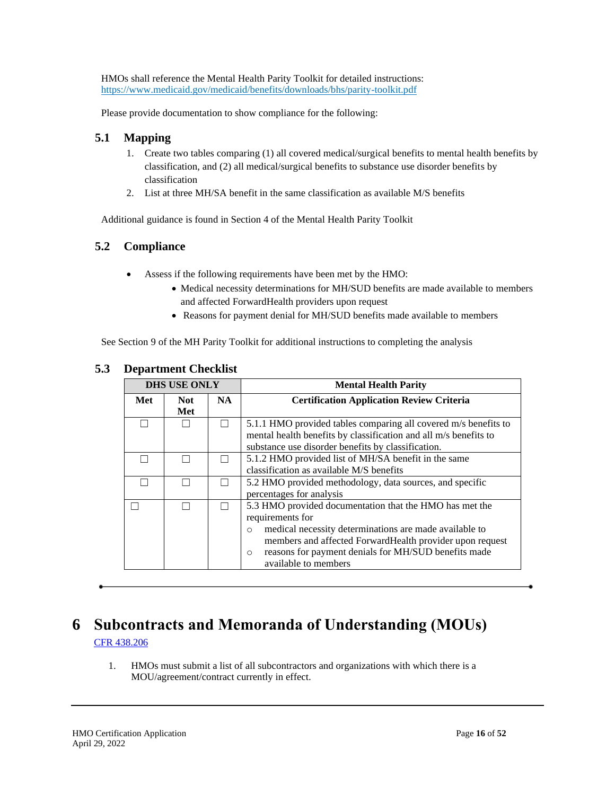HMOs shall reference the Mental Health Parity Toolkit for detailed instructions: <https://www.medicaid.gov/medicaid/benefits/downloads/bhs/parity-toolkit.pdf>

Please provide documentation to show compliance for the following:

## <span id="page-15-0"></span>**5.1 Mapping**

- 1. Create two tables comparing (1) all covered medical/surgical benefits to mental health benefits by classification, and (2) all medical/surgical benefits to substance use disorder benefits by classification
- 2. List at three MH/SA benefit in the same classification as available M/S benefits

Additional guidance is found in Section 4 of the Mental Health Parity Toolkit

## <span id="page-15-1"></span>**5.2 Compliance**

- Assess if the following requirements have been met by the HMO:
	- Medical necessity determinations for MH/SUD benefits are made available to members and affected ForwardHealth providers upon request
	- Reasons for payment denial for MH/SUD benefits made available to members

See Section 9 of the MH Parity Toolkit for additional instructions to completing the analysis

|     | <b>DHS USE ONLY</b> |     | <b>Mental Health Parity</b>                                                                                                                                                                                                                                                                              |
|-----|---------------------|-----|----------------------------------------------------------------------------------------------------------------------------------------------------------------------------------------------------------------------------------------------------------------------------------------------------------|
| Met | <b>Not</b><br>Met   | NA. | <b>Certification Application Review Criteria</b>                                                                                                                                                                                                                                                         |
|     |                     |     | 5.1.1 HMO provided tables comparing all covered m/s benefits to<br>mental health benefits by classification and all m/s benefits to<br>substance use disorder benefits by classification.                                                                                                                |
|     |                     |     | 5.1.2 HMO provided list of MH/SA benefit in the same<br>classification as available M/S benefits                                                                                                                                                                                                         |
|     |                     |     | 5.2 HMO provided methodology, data sources, and specific<br>percentages for analysis                                                                                                                                                                                                                     |
|     |                     |     | 5.3 HMO provided documentation that the HMO has met the<br>requirements for<br>medical necessity determinations are made available to<br>$\circ$<br>members and affected Forward Health provider upon request<br>reasons for payment denials for MH/SUD benefits made<br>$\circ$<br>available to members |

### <span id="page-15-2"></span>**5.3 Department Checklist**

## <span id="page-15-3"></span>**6 Subcontracts and Memoranda of Understanding (MOUs)** [CFR 438.206](http://www.ecfr.gov/cgi-bin/text-idx?SID=2959ccfd1ef87de08bcfea4fce90d14c&mc=true&node=pt42.4.438&rgn=div5#se42.4.438_1206)

1. HMOs must submit a list of all subcontractors and organizations with which there is a MOU/agreement/contract currently in effect.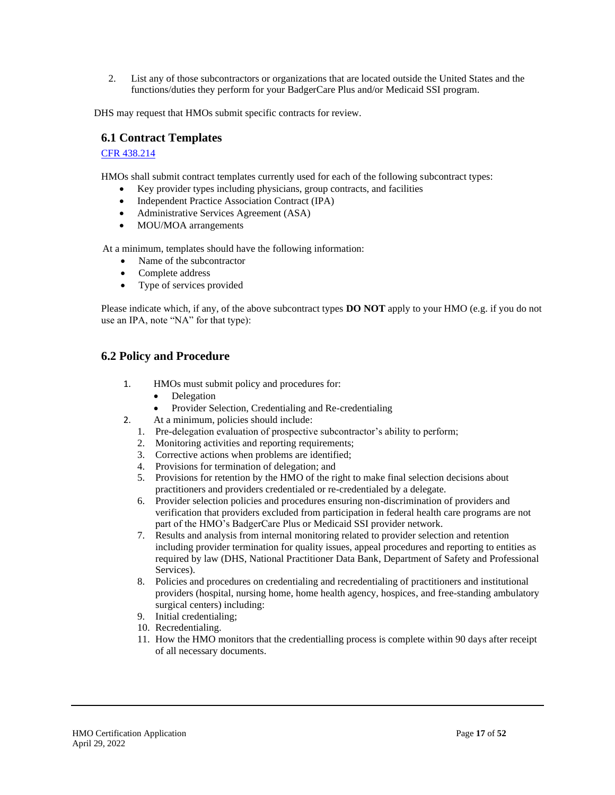2. List any of those subcontractors or organizations that are located outside the United States and the functions/duties they perform for your BadgerCare Plus and/or Medicaid SSI program.

<span id="page-16-0"></span>DHS may request that HMOs submit specific contracts for review.

#### **6.1 Contract Templates**

#### [CFR 438.214](http://www.ecfr.gov/cgi-bin/text-idx?SID=2959ccfd1ef87de08bcfea4fce90d14c&mc=true&node=pt42.4.438&rgn=div5#se42.4.438_1214)

HMOs shall submit contract templates currently used for each of the following subcontract types:

- Key provider types including physicians, group contracts, and facilities
- Independent Practice Association Contract (IPA)
- Administrative Services Agreement (ASA)
- MOU/MOA arrangements

At a minimum, templates should have the following information:

- Name of the subcontractor
- Complete address
- Type of services provided

Please indicate which, if any, of the above subcontract types **DO NOT** apply to your HMO (e.g. if you do not use an IPA, note "NA" for that type):

#### <span id="page-16-1"></span>**6.2 Policy and Procedure**

- 1. HMOs must submit policy and procedures for:
	- **Delegation**
	- Provider Selection, Credentialing and Re-credentialing
- 2. At a minimum, policies should include:
	- 1. Pre-delegation evaluation of prospective subcontractor's ability to perform;
	- 2. Monitoring activities and reporting requirements;
	- 3. Corrective actions when problems are identified;
	- 4. Provisions for termination of delegation; and
	- 5. Provisions for retention by the HMO of the right to make final selection decisions about practitioners and providers credentialed or re-credentialed by a delegate.
	- 6. Provider selection policies and procedures ensuring non-discrimination of providers and verification that providers excluded from participation in federal health care programs are not part of the HMO's BadgerCare Plus or Medicaid SSI provider network.
	- 7. Results and analysis from internal monitoring related to provider selection and retention including provider termination for quality issues, appeal procedures and reporting to entities as required by law (DHS, National Practitioner Data Bank, Department of Safety and Professional Services).
	- 8. Policies and procedures on credentialing and recredentialing of practitioners and institutional providers (hospital, nursing home, home health agency, hospices, and free-standing ambulatory surgical centers) including:
	- 9. Initial credentialing;
	- 10. Recredentialing.
	- 11. How the HMO monitors that the credentialling process is complete within 90 days after receipt of all necessary documents.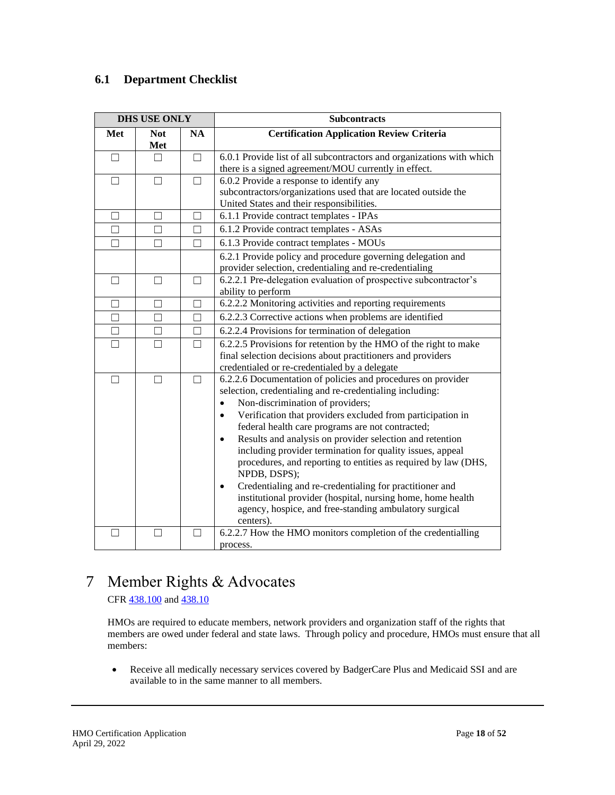## <span id="page-17-0"></span>**6.1 Department Checklist**

|        | <b>DHS USE ONLY</b> |           | <b>Subcontracts</b>                                                                                                                                                                                                                                                                                                                                                                                                                                                                                                                                                                                                                                                                                                               |
|--------|---------------------|-----------|-----------------------------------------------------------------------------------------------------------------------------------------------------------------------------------------------------------------------------------------------------------------------------------------------------------------------------------------------------------------------------------------------------------------------------------------------------------------------------------------------------------------------------------------------------------------------------------------------------------------------------------------------------------------------------------------------------------------------------------|
| Met    | <b>Not</b><br>Met   | <b>NA</b> | <b>Certification Application Review Criteria</b>                                                                                                                                                                                                                                                                                                                                                                                                                                                                                                                                                                                                                                                                                  |
| $\Box$ | П                   |           | 6.0.1 Provide list of all subcontractors and organizations with which<br>there is a signed agreement/MOU currently in effect.                                                                                                                                                                                                                                                                                                                                                                                                                                                                                                                                                                                                     |
| Ш      | П                   |           | 6.0.2 Provide a response to identify any<br>subcontractors/organizations used that are located outside the<br>United States and their responsibilities.                                                                                                                                                                                                                                                                                                                                                                                                                                                                                                                                                                           |
|        | $\mathsf{L}$        |           | 6.1.1 Provide contract templates - IPAs                                                                                                                                                                                                                                                                                                                                                                                                                                                                                                                                                                                                                                                                                           |
| П      | П                   | П         | 6.1.2 Provide contract templates - ASAs                                                                                                                                                                                                                                                                                                                                                                                                                                                                                                                                                                                                                                                                                           |
| $\Box$ | П                   |           | 6.1.3 Provide contract templates - MOUs                                                                                                                                                                                                                                                                                                                                                                                                                                                                                                                                                                                                                                                                                           |
|        |                     |           | 6.2.1 Provide policy and procedure governing delegation and<br>provider selection, credentialing and re-credentialing                                                                                                                                                                                                                                                                                                                                                                                                                                                                                                                                                                                                             |
| $\Box$ | П                   |           | 6.2.2.1 Pre-delegation evaluation of prospective subcontractor's<br>ability to perform                                                                                                                                                                                                                                                                                                                                                                                                                                                                                                                                                                                                                                            |
| П      | П                   |           | 6.2.2.2 Monitoring activities and reporting requirements                                                                                                                                                                                                                                                                                                                                                                                                                                                                                                                                                                                                                                                                          |
| □      | □                   | $\Box$    | 6.2.2.3 Corrective actions when problems are identified                                                                                                                                                                                                                                                                                                                                                                                                                                                                                                                                                                                                                                                                           |
| $\Box$ | П                   | $\Box$    | 6.2.2.4 Provisions for termination of delegation                                                                                                                                                                                                                                                                                                                                                                                                                                                                                                                                                                                                                                                                                  |
| П      | П                   | П         | 6.2.2.5 Provisions for retention by the HMO of the right to make<br>final selection decisions about practitioners and providers<br>credentialed or re-credentialed by a delegate                                                                                                                                                                                                                                                                                                                                                                                                                                                                                                                                                  |
| $\Box$ | $\Box$              | П         | 6.2.2.6 Documentation of policies and procedures on provider<br>selection, credentialing and re-credentialing including:<br>Non-discrimination of providers;<br>$\bullet$<br>Verification that providers excluded from participation in<br>$\bullet$<br>federal health care programs are not contracted;<br>Results and analysis on provider selection and retention<br>$\bullet$<br>including provider termination for quality issues, appeal<br>procedures, and reporting to entities as required by law (DHS,<br>NPDB, DSPS);<br>Credentialing and re-credentialing for practitioner and<br>institutional provider (hospital, nursing home, home health<br>agency, hospice, and free-standing ambulatory surgical<br>centers). |
|        |                     |           | 6.2.2.7 How the HMO monitors completion of the credentialling<br>process.                                                                                                                                                                                                                                                                                                                                                                                                                                                                                                                                                                                                                                                         |

# <span id="page-17-1"></span>7 Member Rights & Advocates

CFR  $\frac{438.100}{2}$  and  $\frac{438.10}{2}$ 

HMOs are required to educate members, network providers and organization staff of the rights that members are owed under federal and state laws. Through policy and procedure, HMOs must ensure that all members:

• Receive all medically necessary services covered by BadgerCare Plus and Medicaid SSI and are available to in the same manner to all members.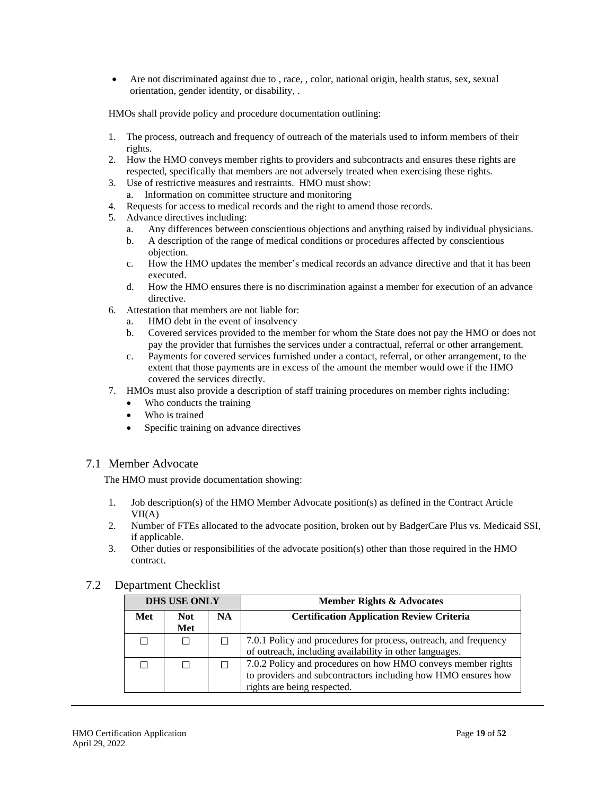• Are not discriminated against due to , race, , color, national origin, health status, sex, sexual orientation, gender identity, or disability, .

HMOs shall provide policy and procedure documentation outlining:

- 1. The process, outreach and frequency of outreach of the materials used to inform members of their rights.
- 2. How the HMO conveys member rights to providers and subcontracts and ensures these rights are respected, specifically that members are not adversely treated when exercising these rights.
- 3. Use of restrictive measures and restraints. HMO must show: a. Information on committee structure and monitoring
- 4. Requests for access to medical records and the right to amend those records.
- 5. Advance directives including:
	- a. Any differences between conscientious objections and anything raised by individual physicians.
	- b. A description of the range of medical conditions or procedures affected by conscientious objection.
	- c. How the HMO updates the member's medical records an advance directive and that it has been executed.
	- d. How the HMO ensures there is no discrimination against a member for execution of an advance directive.
- 6. Attestation that members are not liable for:
	- a. HMO debt in the event of insolvency
	- b. Covered services provided to the member for whom the State does not pay the HMO or does not pay the provider that furnishes the services under a contractual, referral or other arrangement.
	- c. Payments for covered services furnished under a contact, referral, or other arrangement, to the extent that those payments are in excess of the amount the member would owe if the HMO covered the services directly.
- 7. HMOs must also provide a description of staff training procedures on member rights including:
	- Who conducts the training
	- Who is trained
	- Specific training on advance directives

#### <span id="page-18-0"></span>7.1 Member Advocate

The HMO must provide documentation showing:

- 1. Job description(s) of the HMO Member Advocate position(s) as defined in the Contract Article  $VII(A)$
- 2. Number of FTEs allocated to the advocate position, broken out by BadgerCare Plus vs. Medicaid SSI, if applicable.
- 3. Other duties or responsibilities of the advocate position(s) other than those required in the HMO contract.

#### <span id="page-18-1"></span>7.2 Department Checklist

| <b>DHS USE ONLY</b> |             |     | <b>Member Rights &amp; Advocates</b>                                                                                                                         |
|---------------------|-------------|-----|--------------------------------------------------------------------------------------------------------------------------------------------------------------|
| Met                 | Not.<br>Met | NA. | <b>Certification Application Review Criteria</b>                                                                                                             |
| ΙI                  |             |     | 7.0.1 Policy and procedures for process, outreach, and frequency<br>of outreach, including availability in other languages.                                  |
| П                   |             |     | 7.0.2 Policy and procedures on how HMO conveys member rights<br>to providers and subcontractors including how HMO ensures how<br>rights are being respected. |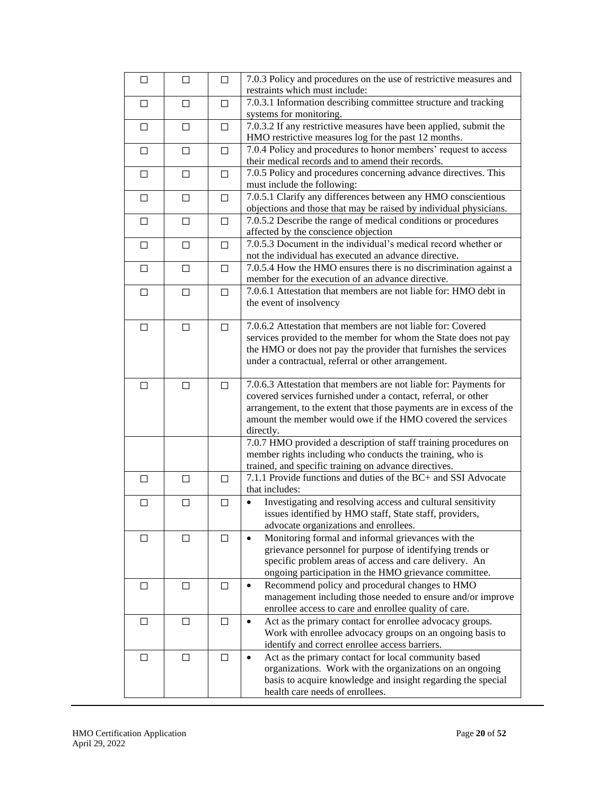| □      | □      | $\Box$ | 7.0.3 Policy and procedures on the use of restrictive measures and<br>restraints which must include:                                                                                                                                                                                   |
|--------|--------|--------|----------------------------------------------------------------------------------------------------------------------------------------------------------------------------------------------------------------------------------------------------------------------------------------|
| □      | □      | $\Box$ | 7.0.3.1 Information describing committee structure and tracking<br>systems for monitoring.                                                                                                                                                                                             |
| $\Box$ | $\Box$ | П      | 7.0.3.2 If any restrictive measures have been applied, submit the<br>HMO restrictive measures log for the past 12 months.                                                                                                                                                              |
| □      | □      | $\Box$ | 7.0.4 Policy and procedures to honor members' request to access<br>their medical records and to amend their records.                                                                                                                                                                   |
| □      | □      | $\Box$ | 7.0.5 Policy and procedures concerning advance directives. This<br>must include the following:                                                                                                                                                                                         |
| □      | □      | $\Box$ | 7.0.5.1 Clarify any differences between any HMO conscientious<br>objections and those that may be raised by individual physicians.                                                                                                                                                     |
| □      | □      | П      | 7.0.5.2 Describe the range of medical conditions or procedures<br>affected by the conscience objection                                                                                                                                                                                 |
| □      | □      | П      | 7.0.5.3 Document in the individual's medical record whether or<br>not the individual has executed an advance directive.                                                                                                                                                                |
| $\Box$ | $\Box$ | $\Box$ | 7.0.5.4 How the HMO ensures there is no discrimination against a<br>member for the execution of an advance directive.                                                                                                                                                                  |
| $\Box$ | $\Box$ | $\Box$ | 7.0.6.1 Attestation that members are not liable for: HMO debt in<br>the event of insolvency                                                                                                                                                                                            |
| $\Box$ | □      | $\Box$ | 7.0.6.2 Attestation that members are not liable for: Covered<br>services provided to the member for whom the State does not pay<br>the HMO or does not pay the provider that furnishes the services<br>under a contractual, referral or other arrangement.                             |
| □      | □      | П      | 7.0.6.3 Attestation that members are not liable for: Payments for<br>covered services furnished under a contact, referral, or other<br>arrangement, to the extent that those payments are in excess of the<br>amount the member would owe if the HMO covered the services<br>directly. |
|        |        |        | 7.0.7 HMO provided a description of staff training procedures on<br>member rights including who conducts the training, who is<br>trained, and specific training on advance directives.                                                                                                 |
| $\Box$ | $\Box$ | $\Box$ | 7.1.1 Provide functions and duties of the BC+ and SSI Advocate<br>that includes:                                                                                                                                                                                                       |
| □      | □      | $\Box$ | Investigating and resolving access and cultural sensitivity<br>$\bullet$<br>issues identified by HMO staff, State staff, providers,<br>advocate organizations and enrollees.                                                                                                           |
| □      | □      | П      | Monitoring formal and informal grievances with the<br>$\bullet$<br>grievance personnel for purpose of identifying trends or<br>specific problem areas of access and care delivery. An<br>ongoing participation in the HMO grievance committee.                                         |
| □      | □      | □      | Recommend policy and procedural changes to HMO<br>$\bullet$<br>management including those needed to ensure and/or improve<br>enrollee access to care and enrollee quality of care.                                                                                                     |
| □      | □      | $\Box$ | Act as the primary contact for enrollee advocacy groups.<br>$\bullet$<br>Work with enrollee advocacy groups on an ongoing basis to<br>identify and correct enrollee access barriers.                                                                                                   |
| □      | □      | $\Box$ | Act as the primary contact for local community based<br>organizations. Work with the organizations on an ongoing<br>basis to acquire knowledge and insight regarding the special<br>health care needs of enrollees.                                                                    |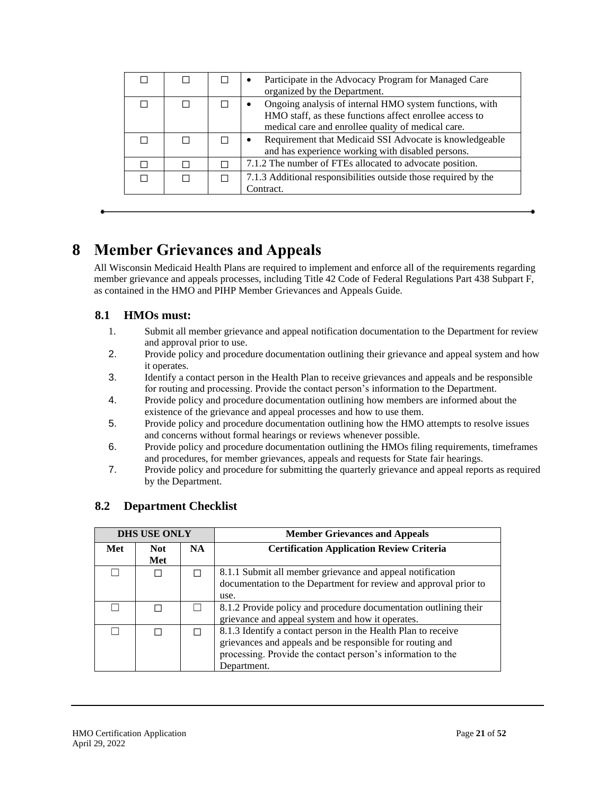|  | Participate in the Advocacy Program for Managed Care<br>٠<br>organized by the Department.                                                                                             |
|--|---------------------------------------------------------------------------------------------------------------------------------------------------------------------------------------|
|  | Ongoing analysis of internal HMO system functions, with<br>$\bullet$<br>HMO staff, as these functions affect enrollee access to<br>medical care and enrollee quality of medical care. |
|  | Requirement that Medicaid SSI Advocate is knowledgeable<br>$\bullet$<br>and has experience working with disabled persons.                                                             |
|  | 7.1.2 The number of FTEs allocated to advocate position.                                                                                                                              |
|  | 7.1.3 Additional responsibilities outside those required by the<br>Contract.                                                                                                          |

## <span id="page-20-0"></span>**8 Member Grievances and Appeals**

All Wisconsin Medicaid Health Plans are required to implement and enforce all of the requirements regarding member grievance and appeals processes, including Title 42 Code of Federal Regulations Part 438 Subpart F, as contained in the HMO and PIHP Member Grievances and Appeals Guide.

## <span id="page-20-1"></span>**8.1 HMOs must:**

- 1. Submit all member grievance and appeal notification documentation to the Department for review and approval prior to use.
- 2. Provide policy and procedure documentation outlining their grievance and appeal system and how it operates.
- 3. Identify a contact person in the Health Plan to receive grievances and appeals and be responsible for routing and processing. Provide the contact person's information to the Department.
- 4. Provide policy and procedure documentation outlining how members are informed about the existence of the grievance and appeal processes and how to use them.
- 5. Provide policy and procedure documentation outlining how the HMO attempts to resolve issues and concerns without formal hearings or reviews whenever possible.
- 6. Provide policy and procedure documentation outlining the HMOs filing requirements, timeframes and procedures, for member grievances, appeals and requests for State fair hearings.
- 7. Provide policy and procedure for submitting the quarterly grievance and appeal reports as required by the Department.

| <b>DHS USE ONLY</b> |                   |           | <b>Member Grievances and Appeals</b>                                                                                                                                                                     |
|---------------------|-------------------|-----------|----------------------------------------------------------------------------------------------------------------------------------------------------------------------------------------------------------|
| Met                 | <b>Not</b><br>Met | <b>NA</b> | <b>Certification Application Review Criteria</b>                                                                                                                                                         |
|                     |                   |           | 8.1.1 Submit all member grievance and appeal notification<br>documentation to the Department for review and approval prior to<br>use.                                                                    |
|                     |                   |           | 8.1.2 Provide policy and procedure documentation outlining their<br>grievance and appeal system and how it operates.                                                                                     |
|                     |                   |           | 8.1.3 Identify a contact person in the Health Plan to receive<br>grievances and appeals and be responsible for routing and<br>processing. Provide the contact person's information to the<br>Department. |

## <span id="page-20-2"></span>**8.2 Department Checklist**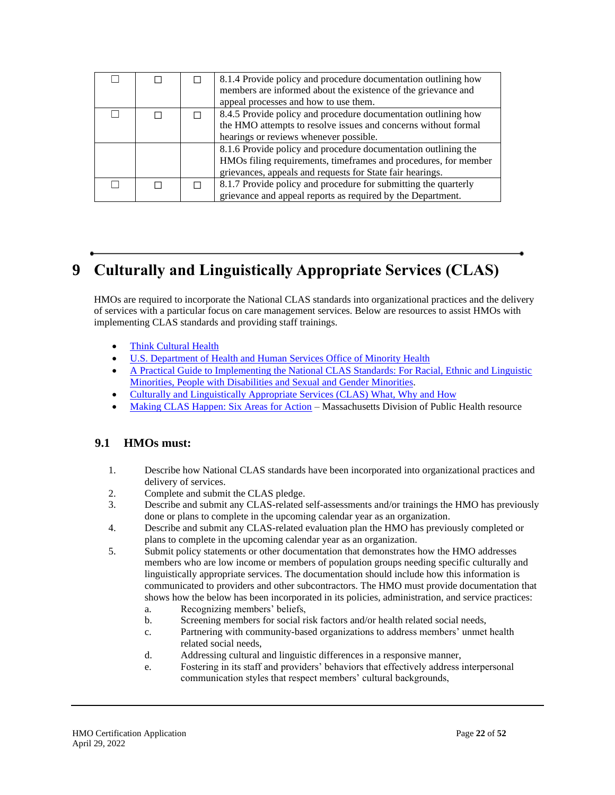|  | 8.1.4 Provide policy and procedure documentation outlining how<br>members are informed about the existence of the grievance and<br>appeal processes and how to use them.                       |
|--|------------------------------------------------------------------------------------------------------------------------------------------------------------------------------------------------|
|  | 8.4.5 Provide policy and procedure documentation outlining how<br>the HMO attempts to resolve issues and concerns without formal<br>hearings or reviews whenever possible.                     |
|  | 8.1.6 Provide policy and procedure documentation outlining the<br>HMOs filing requirements, timeframes and procedures, for member<br>grievances, appeals and requests for State fair hearings. |
|  | 8.1.7 Provide policy and procedure for submitting the quarterly<br>grievance and appeal reports as required by the Department.                                                                 |

# <span id="page-21-0"></span>**9 Culturally and Linguistically Appropriate Services (CLAS)**

HMOs are required to incorporate the National CLAS standards into organizational practices and the delivery of services with a particular focus on care management services. Below are resources to assist HMOs with implementing CLAS standards and providing staff trainings.

- [Think Cultural Health](https://www.thinkculturalhealth.hhs.gov/clas/what-is-clas)
- [U.S. Department of Health and Human Services Office of Minority Health](https://minorityhealth.hhs.gov/)
- [A Practical Guide to Implementing the National CLAS Standards: For Racial, Ethnic and Linguistic](https://www.cms.gov/About-CMS/Agency-Information/OMH/Downloads/CLAS-Toolkit-12-7-16.pdf)  [Minorities, People with Disabilities and Sexual and Gender Minorities.](https://www.cms.gov/About-CMS/Agency-Information/OMH/Downloads/CLAS-Toolkit-12-7-16.pdf)
- [Culturally and Linguistically Appropriate Services \(CLAS\) What, Why and How](https://www.thinkculturalhealth.hhs.gov/assets/pdfs/class-infographic-what-why-how.pdf)
- [Making CLAS Happen: Six Areas for Action](https://www.mass.gov/lists/making-clas-happen-six-areas-for-action) Massachusetts Division of Public Health resource

#### <span id="page-21-1"></span>**9.1 HMOs must:**

- 1. Describe how National CLAS standards have been incorporated into organizational practices and delivery of services.
- 2. Complete and submit the CLAS pledge.
- 3. Describe and submit any CLAS-related self-assessments and/or trainings the HMO has previously done or plans to complete in the upcoming calendar year as an organization.
- 4. Describe and submit any CLAS-related evaluation plan the HMO has previously completed or plans to complete in the upcoming calendar year as an organization.
- 5. Submit policy statements or other documentation that demonstrates how the HMO addresses members who are low income or members of population groups needing specific culturally and linguistically appropriate services. The documentation should include how this information is communicated to providers and other subcontractors. The HMO must provide documentation that shows how the below has been incorporated in its policies, administration, and service practices:
	- a. Recognizing members' beliefs,
	- b. Screening members for social risk factors and/or health related social needs,
	- c. Partnering with community-based organizations to address members' unmet health related social needs,
	- d. Addressing cultural and linguistic differences in a responsive manner,
	- e. Fostering in its staff and providers' behaviors that effectively address interpersonal communication styles that respect members' cultural backgrounds,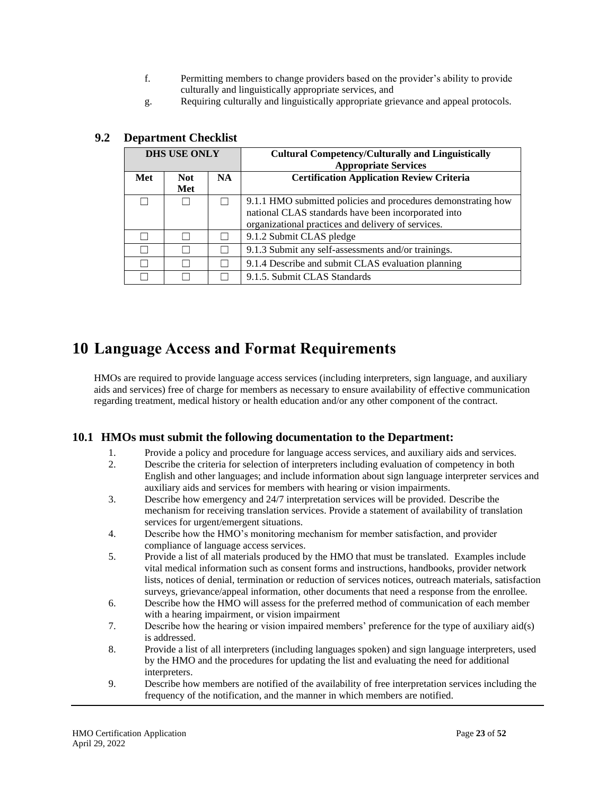- f. Permitting members to change providers based on the provider's ability to provide culturally and linguistically appropriate services, and
- g. Requiring culturally and linguistically appropriate grievance and appeal protocols.

| <b>DHS USE ONLY</b> |      |           | <b>Cultural Competency/Culturally and Linguistically</b><br><b>Appropriate Services</b>                              |
|---------------------|------|-----------|----------------------------------------------------------------------------------------------------------------------|
| Met                 | Not. | <b>NA</b> | <b>Certification Application Review Criteria</b>                                                                     |
|                     | Met  |           |                                                                                                                      |
|                     |      |           | 9.1.1 HMO submitted policies and procedures demonstrating how<br>national CLAS standards have been incorporated into |
|                     |      |           | organizational practices and delivery of services.                                                                   |
|                     |      |           | 9.1.2 Submit CLAS pledge                                                                                             |
|                     |      |           | 9.1.3 Submit any self-assessments and/or trainings.                                                                  |
|                     |      |           | 9.1.4 Describe and submit CLAS evaluation planning                                                                   |
|                     |      |           | 9.1.5. Submit CLAS Standards                                                                                         |

## <span id="page-22-0"></span>**9.2 Department Checklist**

## <span id="page-22-1"></span>**10 Language Access and Format Requirements**

HMOs are required to provide language access services (including interpreters, sign language, and auxiliary aids and services) free of charge for members as necessary to ensure availability of effective communication regarding treatment, medical history or health education and/or any other component of the contract.

### <span id="page-22-2"></span>**10.1 HMOs must submit the following documentation to the Department:**

- 1. Provide a policy and procedure for language access services, and auxiliary aids and services.
- 2. Describe the criteria for selection of interpreters including evaluation of competency in both English and other languages; and include information about sign language interpreter services and auxiliary aids and services for members with hearing or vision impairments.
- 3. Describe how emergency and 24/7 interpretation services will be provided. Describe the mechanism for receiving translation services. Provide a statement of availability of translation services for urgent/emergent situations.
- 4. Describe how the HMO's monitoring mechanism for member satisfaction, and provider compliance of language access services.
- 5. Provide a list of all materials produced by the HMO that must be translated. Examples include vital medical information such as consent forms and instructions, handbooks, provider network lists, notices of denial, termination or reduction of services notices, outreach materials, satisfaction surveys, grievance/appeal information, other documents that need a response from the enrollee.
- 6. Describe how the HMO will assess for the preferred method of communication of each member with a hearing impairment, or vision impairment
- 7. Describe how the hearing or vision impaired members' preference for the type of auxiliary aid(s) is addressed.
- 8. Provide a list of all interpreters (including languages spoken) and sign language interpreters, used by the HMO and the procedures for updating the list and evaluating the need for additional interpreters.
- 9. Describe how members are notified of the availability of free interpretation services including the frequency of the notification, and the manner in which members are notified.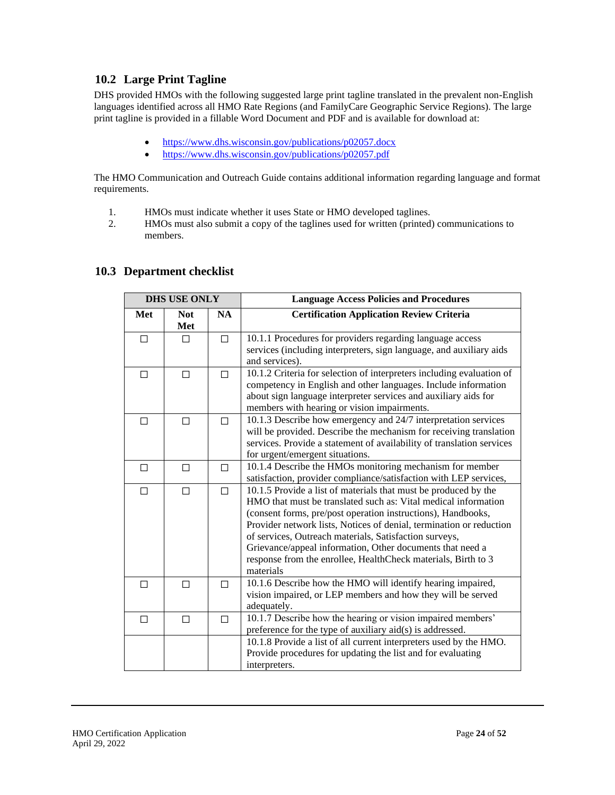## <span id="page-23-0"></span>**10.2 Large Print Tagline**

DHS provided HMOs with the following suggested large print tagline translated in the prevalent non-English languages identified across all HMO Rate Regions (and FamilyCare Geographic Service Regions). The large print tagline is provided in a fillable Word Document and PDF and is available for download at:

- <https://www.dhs.wisconsin.gov/publications/p02057.docx>
- <https://www.dhs.wisconsin.gov/publications/p02057.pdf>

The HMO Communication and Outreach Guide contains additional information regarding language and format requirements.

- 1. HMOs must indicate whether it uses State or HMO developed taglines.
- 2. HMOs must also submit a copy of the taglines used for written (printed) communications to members.

<span id="page-23-1"></span>

|     | <b>DHS USE ONLY</b> |           | <b>Language Access Policies and Procedures</b>                                                                                                                                                                                                                                                                                                                                                                                                                                |
|-----|---------------------|-----------|-------------------------------------------------------------------------------------------------------------------------------------------------------------------------------------------------------------------------------------------------------------------------------------------------------------------------------------------------------------------------------------------------------------------------------------------------------------------------------|
| Met | <b>Not</b><br>Met   | <b>NA</b> | <b>Certification Application Review Criteria</b>                                                                                                                                                                                                                                                                                                                                                                                                                              |
| □   | П                   | П         | 10.1.1 Procedures for providers regarding language access<br>services (including interpreters, sign language, and auxiliary aids<br>and services).                                                                                                                                                                                                                                                                                                                            |
| □   | П                   | П         | 10.1.2 Criteria for selection of interpreters including evaluation of<br>competency in English and other languages. Include information<br>about sign language interpreter services and auxiliary aids for<br>members with hearing or vision impairments.                                                                                                                                                                                                                     |
| □   | П                   | П         | 10.1.3 Describe how emergency and 24/7 interpretation services<br>will be provided. Describe the mechanism for receiving translation<br>services. Provide a statement of availability of translation services<br>for urgent/emergent situations.                                                                                                                                                                                                                              |
| □   | □                   | П         | 10.1.4 Describe the HMOs monitoring mechanism for member<br>satisfaction, provider compliance/satisfaction with LEP services,                                                                                                                                                                                                                                                                                                                                                 |
| П   | П                   | П         | 10.1.5 Provide a list of materials that must be produced by the<br>HMO that must be translated such as: Vital medical information<br>(consent forms, pre/post operation instructions), Handbooks,<br>Provider network lists, Notices of denial, termination or reduction<br>of services, Outreach materials, Satisfaction surveys,<br>Grievance/appeal information, Other documents that need a<br>response from the enrollee, HealthCheck materials, Birth to 3<br>materials |
| □   | п                   | П         | 10.1.6 Describe how the HMO will identify hearing impaired,<br>vision impaired, or LEP members and how they will be served<br>adequately.                                                                                                                                                                                                                                                                                                                                     |
| □   | □                   | П         | 10.1.7 Describe how the hearing or vision impaired members'<br>preference for the type of auxiliary aid(s) is addressed.                                                                                                                                                                                                                                                                                                                                                      |
|     |                     |           | 10.1.8 Provide a list of all current interpreters used by the HMO.<br>Provide procedures for updating the list and for evaluating<br>interpreters.                                                                                                                                                                                                                                                                                                                            |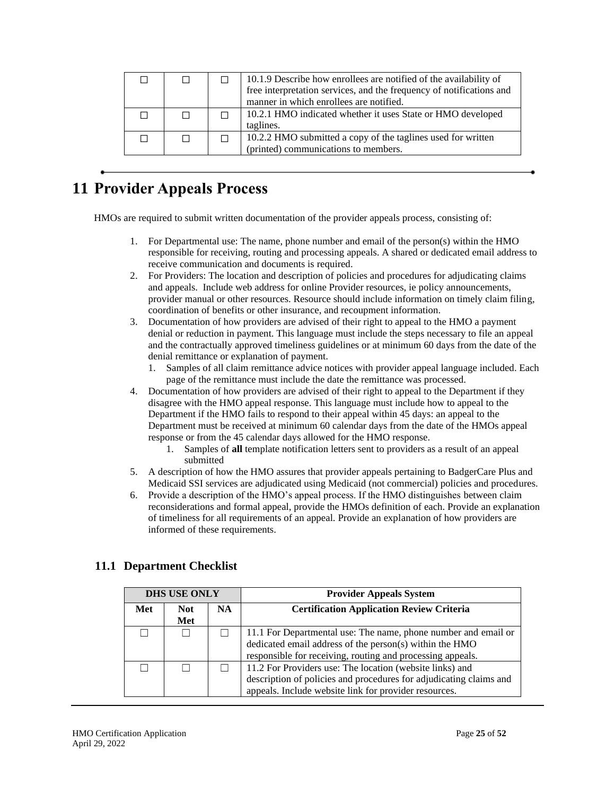|  | 10.1.9 Describe how enrollees are notified of the availability of<br>free interpretation services, and the frequency of notifications and<br>manner in which enrollees are notified. |
|--|--------------------------------------------------------------------------------------------------------------------------------------------------------------------------------------|
|  | 10.2.1 HMO indicated whether it uses State or HMO developed<br>taglines.                                                                                                             |
|  | 10.2.2 HMO submitted a copy of the taglines used for written<br>(printed) communications to members.                                                                                 |

# <span id="page-24-0"></span>**11 Provider Appeals Process**

HMOs are required to submit written documentation of the provider appeals process, consisting of:

- 1. For Departmental use: The name, phone number and email of the person(s) within the HMO responsible for receiving, routing and processing appeals. A shared or dedicated email address to receive communication and documents is required.
- 2. For Providers: The location and description of policies and procedures for adjudicating claims and appeals. Include web address for online Provider resources, ie policy announcements, provider manual or other resources. Resource should include information on timely claim filing, coordination of benefits or other insurance, and recoupment information.
- 3. Documentation of how providers are advised of their right to appeal to the HMO a payment denial or reduction in payment. This language must include the steps necessary to file an appeal and the contractually approved timeliness guidelines or at minimum 60 days from the date of the denial remittance or explanation of payment.
	- 1. Samples of all claim remittance advice notices with provider appeal language included. Each page of the remittance must include the date the remittance was processed.
- 4. Documentation of how providers are advised of their right to appeal to the Department if they disagree with the HMO appeal response. This language must include how to appeal to the Department if the HMO fails to respond to their appeal within 45 days: an appeal to the Department must be received at minimum 60 calendar days from the date of the HMOs appeal response or from the 45 calendar days allowed for the HMO response.
	- 1. Samples of **all** template notification letters sent to providers as a result of an appeal submitted
- 5. A description of how the HMO assures that provider appeals pertaining to BadgerCare Plus and Medicaid SSI services are adjudicated using Medicaid (not commercial) policies and procedures.
- 6. Provide a description of the HMO's appeal process. If the HMO distinguishes between claim reconsiderations and formal appeal, provide the HMOs definition of each. Provide an explanation of timeliness for all requirements of an appeal. Provide an explanation of how providers are informed of these requirements.

## <span id="page-24-1"></span>**11.1 Department Checklist**

| <b>DHS USE ONLY</b> |             |     | <b>Provider Appeals System</b>                                                                                                                                                          |
|---------------------|-------------|-----|-----------------------------------------------------------------------------------------------------------------------------------------------------------------------------------------|
| Met                 | Not.<br>Met | NA. | <b>Certification Application Review Criteria</b>                                                                                                                                        |
|                     |             |     | 11.1 For Departmental use: The name, phone number and email or<br>dedicated email address of the person(s) within the HMO<br>responsible for receiving, routing and processing appeals. |
|                     |             |     | 11.2 For Providers use: The location (website links) and<br>description of policies and procedures for adjudicating claims and<br>appeals. Include website link for provider resources. |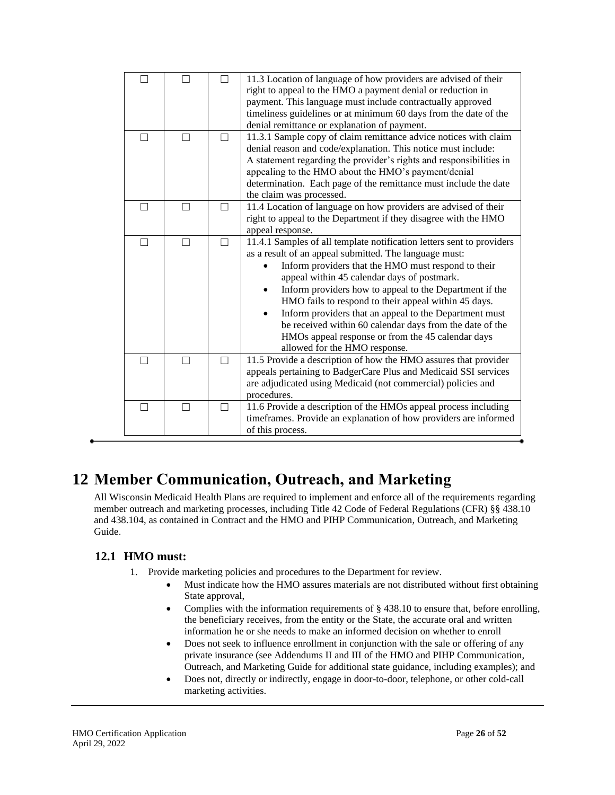|              |        |         | 11.3 Location of language of how providers are advised of their<br>right to appeal to the HMO a payment denial or reduction in<br>payment. This language must include contractually approved<br>timeliness guidelines or at minimum 60 days from the date of the<br>denial remittance or explanation of payment.                                                                                                                                                                                                                                                     |
|--------------|--------|---------|----------------------------------------------------------------------------------------------------------------------------------------------------------------------------------------------------------------------------------------------------------------------------------------------------------------------------------------------------------------------------------------------------------------------------------------------------------------------------------------------------------------------------------------------------------------------|
|              |        |         | 11.3.1 Sample copy of claim remittance advice notices with claim<br>denial reason and code/explanation. This notice must include:<br>A statement regarding the provider's rights and responsibilities in<br>appealing to the HMO about the HMO's payment/denial<br>determination. Each page of the remittance must include the date<br>the claim was processed.                                                                                                                                                                                                      |
| $\mathbf{I}$ | $\Box$ | $\perp$ | 11.4 Location of language on how providers are advised of their<br>right to appeal to the Department if they disagree with the HMO<br>appeal response.                                                                                                                                                                                                                                                                                                                                                                                                               |
| П            | П      | П       | 11.4.1 Samples of all template notification letters sent to providers<br>as a result of an appeal submitted. The language must:<br>Inform providers that the HMO must respond to their<br>appeal within 45 calendar days of postmark.<br>Inform providers how to appeal to the Department if the<br>HMO fails to respond to their appeal within 45 days.<br>Inform providers that an appeal to the Department must<br>be received within 60 calendar days from the date of the<br>HMOs appeal response or from the 45 calendar days<br>allowed for the HMO response. |
|              |        |         | 11.5 Provide a description of how the HMO assures that provider<br>appeals pertaining to BadgerCare Plus and Medicaid SSI services<br>are adjudicated using Medicaid (not commercial) policies and<br>procedures.                                                                                                                                                                                                                                                                                                                                                    |
|              |        |         | 11.6 Provide a description of the HMOs appeal process including<br>timeframes. Provide an explanation of how providers are informed<br>of this process.                                                                                                                                                                                                                                                                                                                                                                                                              |

## <span id="page-25-0"></span>**12 Member Communication, Outreach, and Marketing**

All Wisconsin Medicaid Health Plans are required to implement and enforce all of the requirements regarding member outreach and marketing processes, including Title 42 Code of Federal Regulations (CFR) §§ 438.10 and 438.104, as contained in Contract and the HMO and PIHP Communication, Outreach, and Marketing Guide.

## <span id="page-25-1"></span>**12.1 HMO must:**

- 1. Provide marketing policies and procedures to the Department for review.
	- Must indicate how the HMO assures materials are not distributed without first obtaining State approval,
	- Complies with the information requirements of § 438.10 to ensure that, before enrolling, the beneficiary receives, from the entity or the State, the accurate oral and written information he or she needs to make an informed decision on whether to enroll
	- Does not seek to influence enrollment in conjunction with the sale or offering of any private insurance (see Addendums II and III of the HMO and PIHP Communication, Outreach, and Marketing Guide for additional state guidance, including examples); and
	- Does not, directly or indirectly, engage in door-to-door, telephone, or other cold-call marketing activities.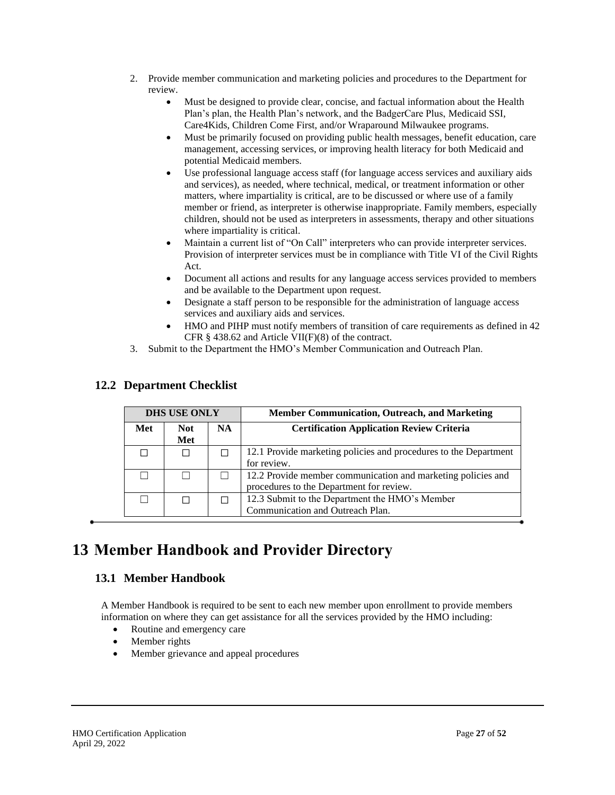- 2. Provide member communication and marketing policies and procedures to the Department for review.
	- Must be designed to provide clear, concise, and factual information about the Health Plan's plan, the Health Plan's network, and the BadgerCare Plus, Medicaid SSI, Care4Kids, Children Come First, and/or Wraparound Milwaukee programs.
	- Must be primarily focused on providing public health messages, benefit education, care management, accessing services, or improving health literacy for both Medicaid and potential Medicaid members.
	- Use professional language access staff (for language access services and auxiliary aids and services), as needed, where technical, medical, or treatment information or other matters, where impartiality is critical, are to be discussed or where use of a family member or friend, as interpreter is otherwise inappropriate. Family members, especially children, should not be used as interpreters in assessments, therapy and other situations where impartiality is critical.
	- Maintain a current list of "On Call" interpreters who can provide interpreter services. Provision of interpreter services must be in compliance with Title VI of the Civil Rights Act.
	- Document all actions and results for any language access services provided to members and be available to the Department upon request.
	- Designate a staff person to be responsible for the administration of language access services and auxiliary aids and services.
	- HMO and PIHP must notify members of transition of care requirements as defined in 42 CFR  $\S$  438.62 and Article VII(F)(8) of the contract.
- 3. Submit to the Department the HMO's Member Communication and Outreach Plan.

| <b>DHS USE ONLY</b> |             |           | <b>Member Communication, Outreach, and Marketing</b>                                                     |
|---------------------|-------------|-----------|----------------------------------------------------------------------------------------------------------|
| Met                 | Not.<br>Met | <b>NA</b> | <b>Certification Application Review Criteria</b>                                                         |
| ΙI                  | ΙI          |           | 12.1 Provide marketing policies and procedures to the Department<br>for review.                          |
|                     |             |           | 12.2 Provide member communication and marketing policies and<br>procedures to the Department for review. |
|                     |             |           | 12.3 Submit to the Department the HMO's Member<br>Communication and Outreach Plan.                       |

## <span id="page-26-0"></span>**12.2 Department Checklist**

# <span id="page-26-2"></span><span id="page-26-1"></span>**13 Member Handbook and Provider Directory**

## **13.1 Member Handbook**

A Member Handbook is required to be sent to each new member upon enrollment to provide members information on where they can get assistance for all the services provided by the HMO including:

- Routine and emergency care
- Member rights
- Member grievance and appeal procedures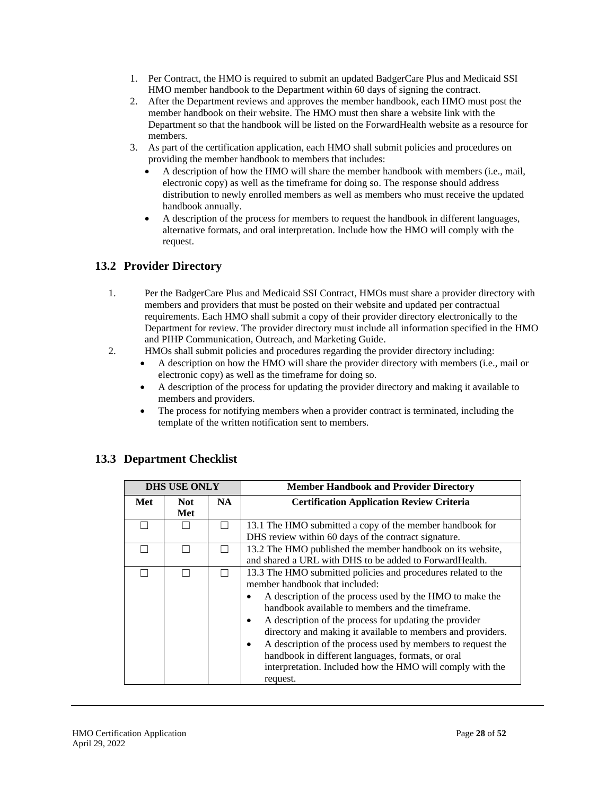- 1. Per Contract, the HMO is required to submit an updated BadgerCare Plus and Medicaid SSI HMO member handbook to the Department within 60 days of signing the contract.
- 2. After the Department reviews and approves the member handbook, each HMO must post the member handbook on their website. The HMO must then share a website link with the Department so that the handbook will be listed on the ForwardHealth website as a resource for members.
- 3. As part of the certification application, each HMO shall submit policies and procedures on providing the member handbook to members that includes:
	- A description of how the HMO will share the member handbook with members (i.e., mail, electronic copy) as well as the timeframe for doing so. The response should address distribution to newly enrolled members as well as members who must receive the updated handbook annually.
	- A description of the process for members to request the handbook in different languages, alternative formats, and oral interpretation. Include how the HMO will comply with the request.

## <span id="page-27-0"></span>**13.2 Provider Directory**

- 1. Per the BadgerCare Plus and Medicaid SSI Contract, HMOs must share a provider directory with members and providers that must be posted on their website and updated per contractual requirements. Each HMO shall submit a copy of their provider directory electronically to the Department for review. The provider directory must include all information specified in the HMO and PIHP Communication, Outreach, and Marketing Guide.
- 2. HMOs shall submit policies and procedures regarding the provider directory including:
	- A description on how the HMO will share the provider directory with members (i.e., mail or electronic copy) as well as the timeframe for doing so.
	- A description of the process for updating the provider directory and making it available to members and providers.
	- The process for notifying members when a provider contract is terminated, including the template of the written notification sent to members.

|     | <b>DHS USE ONLY</b> |     | <b>Member Handbook and Provider Directory</b>                                                                                                                                                                                                                                                                                                                                                                                                                                                                                                                        |
|-----|---------------------|-----|----------------------------------------------------------------------------------------------------------------------------------------------------------------------------------------------------------------------------------------------------------------------------------------------------------------------------------------------------------------------------------------------------------------------------------------------------------------------------------------------------------------------------------------------------------------------|
| Met | <b>Not</b><br>Met   | NA. | <b>Certification Application Review Criteria</b>                                                                                                                                                                                                                                                                                                                                                                                                                                                                                                                     |
|     |                     |     | 13.1 The HMO submitted a copy of the member handbook for<br>DHS review within 60 days of the contract signature.                                                                                                                                                                                                                                                                                                                                                                                                                                                     |
|     |                     |     | 13.2 The HMO published the member handbook on its website,<br>and shared a URL with DHS to be added to Forward Health.                                                                                                                                                                                                                                                                                                                                                                                                                                               |
|     |                     |     | 13.3 The HMO submitted policies and procedures related to the<br>member handbook that included:<br>A description of the process used by the HMO to make the<br>٠<br>handbook available to members and the timeframe.<br>A description of the process for updating the provider<br>$\bullet$<br>directory and making it available to members and providers.<br>A description of the process used by members to request the<br>$\bullet$<br>handbook in different languages, formats, or oral<br>interpretation. Included how the HMO will comply with the<br>request. |

## <span id="page-27-1"></span>**13.3 Department Checklist**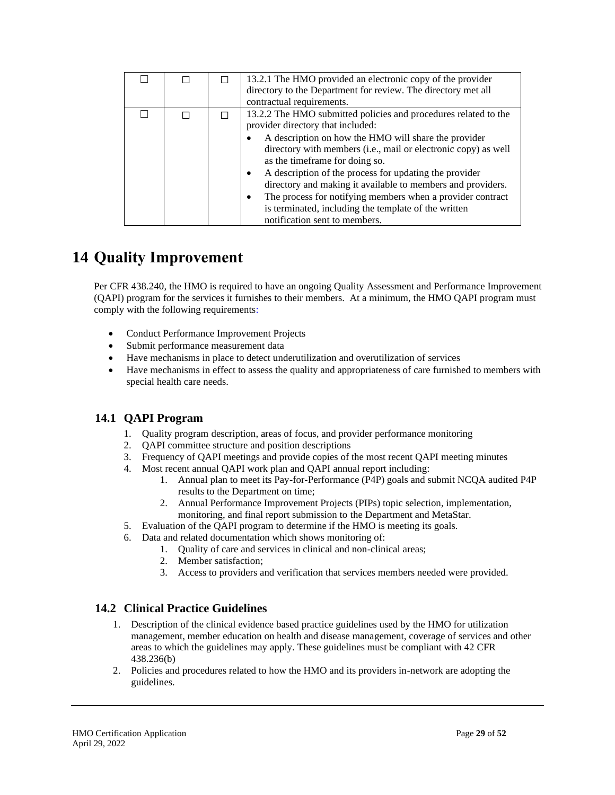|  | 13.2.1 The HMO provided an electronic copy of the provider<br>directory to the Department for review. The directory met all<br>contractual requirements.                                                                                                                                                                                                                                                                                                                                                                                                                        |
|--|---------------------------------------------------------------------------------------------------------------------------------------------------------------------------------------------------------------------------------------------------------------------------------------------------------------------------------------------------------------------------------------------------------------------------------------------------------------------------------------------------------------------------------------------------------------------------------|
|  | 13.2.2 The HMO submitted policies and procedures related to the<br>provider directory that included:<br>A description on how the HMO will share the provider<br>٠<br>directory with members (i.e., mail or electronic copy) as well<br>as the timeframe for doing so.<br>A description of the process for updating the provider<br>$\bullet$<br>directory and making it available to members and providers.<br>The process for notifying members when a provider contract<br>$\bullet$<br>is terminated, including the template of the written<br>notification sent to members. |

## <span id="page-28-0"></span>**14 Quality Improvement**

Per CFR 438.240, the HMO is required to have an ongoing Quality Assessment and Performance Improvement (QAPI) program for the services it furnishes to their members. At a minimum, the HMO QAPI program must comply with the following requirements:

- Conduct Performance Improvement Projects
- Submit performance measurement data
- Have mechanisms in place to detect underutilization and overutilization of services
- Have mechanisms in effect to assess the quality and appropriateness of care furnished to members with special health care needs.

### <span id="page-28-1"></span>**14.1 QAPI Program**

- 1. Quality program description, areas of focus, and provider performance monitoring
- 2. QAPI committee structure and position descriptions
- 3. Frequency of QAPI meetings and provide copies of the most recent QAPI meeting minutes
- 4. Most recent annual QAPI work plan and QAPI annual report including:
	- 1. Annual plan to meet its Pay-for-Performance (P4P) goals and submit NCQA audited P4P results to the Department on time;
	- 2. Annual Performance Improvement Projects (PIPs) topic selection, implementation, monitoring, and final report submission to the Department and MetaStar.
- 5. Evaluation of the QAPI program to determine if the HMO is meeting its goals.
- 6. Data and related documentation which shows monitoring of:
	- 1. Quality of care and services in clinical and non-clinical areas;
	- 2. Member satisfaction;
	- 3. Access to providers and verification that services members needed were provided.

### <span id="page-28-2"></span>**14.2 Clinical Practice Guidelines**

- 1. Description of the clinical evidence based practice guidelines used by the HMO for utilization management, member education on health and disease management, coverage of services and other areas to which the guidelines may apply. These guidelines must be compliant with 42 CFR 438.236(b)
- 2. Policies and procedures related to how the HMO and its providers in-network are adopting the guidelines.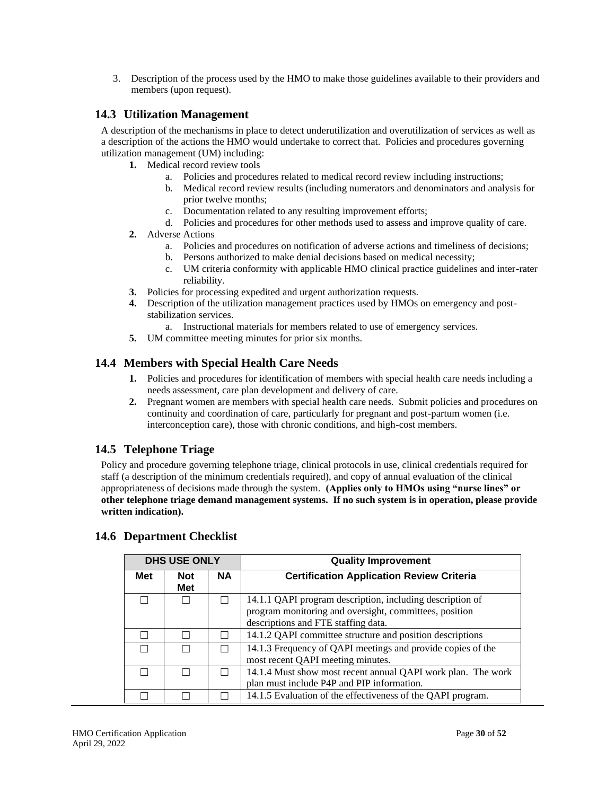3. Description of the process used by the HMO to make those guidelines available to their providers and members (upon request).

#### <span id="page-29-0"></span>**14.3 Utilization Management**

A description of the mechanisms in place to detect underutilization and overutilization of services as well as a description of the actions the HMO would undertake to correct that. Policies and procedures governing utilization management (UM) including:

- **1.** Medical record review tools
	- a. Policies and procedures related to medical record review including instructions;
	- b. Medical record review results (including numerators and denominators and analysis for prior twelve months;
	- c. Documentation related to any resulting improvement efforts;
	- d. Policies and procedures for other methods used to assess and improve quality of care.
- **2.** Adverse Actions
	- a. Policies and procedures on notification of adverse actions and timeliness of decisions;
	- b. Persons authorized to make denial decisions based on medical necessity;
	- c. UM criteria conformity with applicable HMO clinical practice guidelines and inter-rater reliability.
- **3.** Policies for processing expedited and urgent authorization requests.
- **4.** Description of the utilization management practices used by HMOs on emergency and poststabilization services.
	- a. Instructional materials for members related to use of emergency services.
- **5.** UM committee meeting minutes for prior six months.

### <span id="page-29-1"></span>**14.4 Members with Special Health Care Needs**

- **1.** Policies and procedures for identification of members with special health care needs including a needs assessment, care plan development and delivery of care.
- **2.** Pregnant women are members with special health care needs. Submit policies and procedures on continuity and coordination of care, particularly for pregnant and post-partum women (i.e. interconception care), those with chronic conditions, and high-cost members.

## <span id="page-29-2"></span>**14.5 Telephone Triage**

Policy and procedure governing telephone triage, clinical protocols in use, clinical credentials required for staff (a description of the minimum credentials required), and copy of annual evaluation of the clinical appropriateness of decisions made through the system. **(Applies only to HMOs using "nurse lines" or other telephone triage demand management systems. If no such system is in operation, please provide written indication).**

|               | <b>DHS USE ONLY</b> |           | <b>Quality Improvement</b>                                                                                                                                 |  |
|---------------|---------------------|-----------|------------------------------------------------------------------------------------------------------------------------------------------------------------|--|
| Met           | <b>Not</b><br>Met   | <b>NA</b> | <b>Certification Application Review Criteria</b>                                                                                                           |  |
|               |                     |           | 14.1.1 QAPI program description, including description of<br>program monitoring and oversight, committees, position<br>descriptions and FTE staffing data. |  |
|               |                     |           | 14.1.2 QAPI committee structure and position descriptions                                                                                                  |  |
|               |                     |           | 14.1.3 Frequency of QAPI meetings and provide copies of the<br>most recent QAPI meeting minutes.                                                           |  |
| $\mathcal{L}$ |                     |           | 14.1.4 Must show most recent annual QAPI work plan. The work<br>plan must include P4P and PIP information.                                                 |  |
|               |                     |           | 14.1.5 Evaluation of the effectiveness of the QAPI program.                                                                                                |  |

### <span id="page-29-3"></span>**14.6 Department Checklist**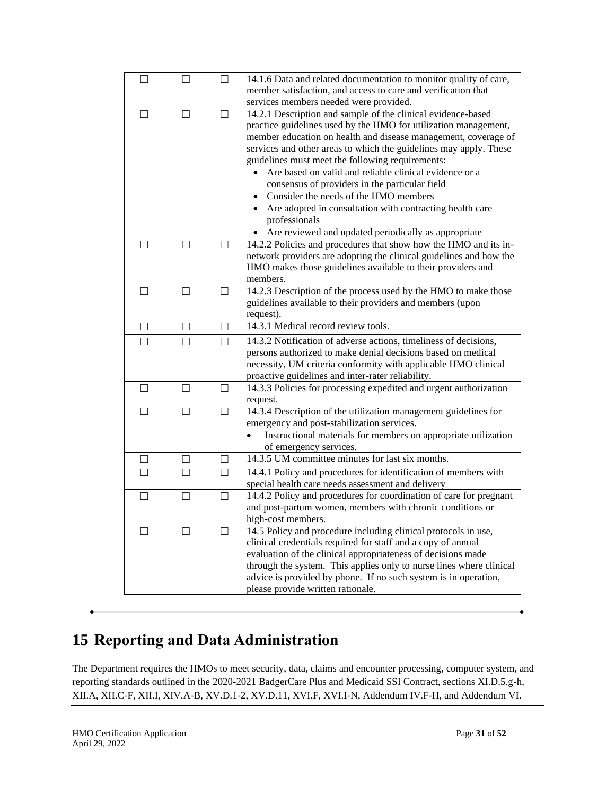| $\mathsf{L}$ |                          | $\mathsf{L}$ | 14.1.6 Data and related documentation to monitor quality of care,<br>member satisfaction, and access to care and verification that<br>services members needed were provided.                                                                                                                                                                                                                                                                                                                                                                                                                                         |
|--------------|--------------------------|--------------|----------------------------------------------------------------------------------------------------------------------------------------------------------------------------------------------------------------------------------------------------------------------------------------------------------------------------------------------------------------------------------------------------------------------------------------------------------------------------------------------------------------------------------------------------------------------------------------------------------------------|
|              |                          |              |                                                                                                                                                                                                                                                                                                                                                                                                                                                                                                                                                                                                                      |
| П            | П                        | П            | 14.2.1 Description and sample of the clinical evidence-based<br>practice guidelines used by the HMO for utilization management,<br>member education on health and disease management, coverage of<br>services and other areas to which the guidelines may apply. These<br>guidelines must meet the following requirements:<br>Are based on valid and reliable clinical evidence or a<br>consensus of providers in the particular field<br>Consider the needs of the HMO members<br>Are adopted in consultation with contracting health care<br>professionals<br>Are reviewed and updated periodically as appropriate |
|              |                          |              | 14.2.2 Policies and procedures that show how the HMO and its in-                                                                                                                                                                                                                                                                                                                                                                                                                                                                                                                                                     |
|              |                          |              | network providers are adopting the clinical guidelines and how the<br>HMO makes those guidelines available to their providers and<br>members.                                                                                                                                                                                                                                                                                                                                                                                                                                                                        |
| П            |                          | П            | 14.2.3 Description of the process used by the HMO to make those                                                                                                                                                                                                                                                                                                                                                                                                                                                                                                                                                      |
|              |                          |              | guidelines available to their providers and members (upon<br>request).                                                                                                                                                                                                                                                                                                                                                                                                                                                                                                                                               |
| П            | П                        | П            | 14.3.1 Medical record review tools.                                                                                                                                                                                                                                                                                                                                                                                                                                                                                                                                                                                  |
| $\mathsf{L}$ | $\overline{\phantom{a}}$ | П            | 14.3.2 Notification of adverse actions, timeliness of decisions,<br>persons authorized to make denial decisions based on medical<br>necessity, UM criteria conformity with applicable HMO clinical<br>proactive guidelines and inter-rater reliability.                                                                                                                                                                                                                                                                                                                                                              |
| П            |                          |              | 14.3.3 Policies for processing expedited and urgent authorization<br>request.                                                                                                                                                                                                                                                                                                                                                                                                                                                                                                                                        |
| П            |                          | П            | 14.3.4 Description of the utilization management guidelines for<br>emergency and post-stabilization services.                                                                                                                                                                                                                                                                                                                                                                                                                                                                                                        |
|              |                          |              | Instructional materials for members on appropriate utilization<br>$\bullet$                                                                                                                                                                                                                                                                                                                                                                                                                                                                                                                                          |
|              |                          |              | of emergency services.                                                                                                                                                                                                                                                                                                                                                                                                                                                                                                                                                                                               |
| П            | П                        | П            | 14.3.5 UM committee minutes for last six months.                                                                                                                                                                                                                                                                                                                                                                                                                                                                                                                                                                     |
|              |                          | П            | 14.4.1 Policy and procedures for identification of members with                                                                                                                                                                                                                                                                                                                                                                                                                                                                                                                                                      |
|              |                          |              | special health care needs assessment and delivery                                                                                                                                                                                                                                                                                                                                                                                                                                                                                                                                                                    |
| П            | $\mathbf{I}$             | П            | 14.4.2 Policy and procedures for coordination of care for pregnant                                                                                                                                                                                                                                                                                                                                                                                                                                                                                                                                                   |
|              |                          |              | and post-partum women, members with chronic conditions or                                                                                                                                                                                                                                                                                                                                                                                                                                                                                                                                                            |
|              |                          |              | high-cost members.                                                                                                                                                                                                                                                                                                                                                                                                                                                                                                                                                                                                   |
| $\perp$      |                          | $\mathsf{L}$ | 14.5 Policy and procedure including clinical protocols in use,<br>clinical credentials required for staff and a copy of annual<br>evaluation of the clinical appropriateness of decisions made<br>through the system. This applies only to nurse lines where clinical<br>advice is provided by phone. If no such system is in operation,<br>please provide written rationale.                                                                                                                                                                                                                                        |
|              |                          |              |                                                                                                                                                                                                                                                                                                                                                                                                                                                                                                                                                                                                                      |

# <span id="page-30-0"></span>**15 Reporting and Data Administration**

The Department requires the HMOs to meet security, data, claims and encounter processing, computer system, and reporting standards outlined in the 2020-2021 BadgerCare Plus and Medicaid SSI Contract, sections XI.D.5.g-h, XII.A, XII.C-F, XII.I, XIV.A-B, XV.D.1-2, XV.D.11, XVI.F, XVI.I-N, Addendum IV.F-H, and Addendum VI.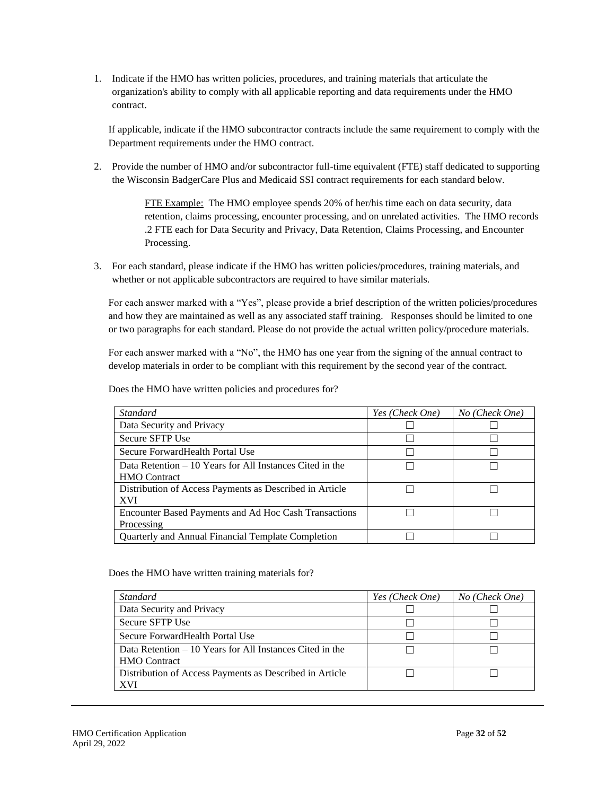1. Indicate if the HMO has written policies, procedures, and training materials that articulate the organization's ability to comply with all applicable reporting and data requirements under the HMO contract.

If applicable, indicate if the HMO subcontractor contracts include the same requirement to comply with the Department requirements under the HMO contract.

2. Provide the number of HMO and/or subcontractor full-time equivalent (FTE) staff dedicated to supporting the Wisconsin BadgerCare Plus and Medicaid SSI contract requirements for each standard below.

> FTE Example: The HMO employee spends 20% of her/his time each on data security, data retention, claims processing, encounter processing, and on unrelated activities. The HMO records .2 FTE each for Data Security and Privacy, Data Retention, Claims Processing, and Encounter Processing.

3. For each standard, please indicate if the HMO has written policies/procedures, training materials, and whether or not applicable subcontractors are required to have similar materials.

For each answer marked with a "Yes", please provide a brief description of the written policies/procedures and how they are maintained as well as any associated staff training. Responses should be limited to one or two paragraphs for each standard. Please do not provide the actual written policy/procedure materials.

For each answer marked with a "No", the HMO has one year from the signing of the annual contract to develop materials in order to be compliant with this requirement by the second year of the contract.

| <i>Standard</i>                                           | Yes (Check One) | No (Check One) |
|-----------------------------------------------------------|-----------------|----------------|
| Data Security and Privacy                                 |                 |                |
| Secure SFTP Use                                           |                 |                |
| Secure Forward Health Portal Use                          |                 |                |
| Data Retention $-10$ Years for All Instances Cited in the |                 |                |
| <b>HMO</b> Contract                                       |                 |                |
| Distribution of Access Payments as Described in Article   |                 |                |
| <b>XVI</b>                                                |                 |                |
| Encounter Based Payments and Ad Hoc Cash Transactions     |                 |                |
| Processing                                                |                 |                |
| Quarterly and Annual Financial Template Completion        |                 |                |

Does the HMO have written policies and procedures for?

Does the HMO have written training materials for?

| <b>Standard</b>                                           | Yes (Check One) | No (Check One) |
|-----------------------------------------------------------|-----------------|----------------|
| Data Security and Privacy                                 |                 |                |
| Secure SFTP Use                                           |                 |                |
| Secure Forward Health Portal Use                          |                 |                |
| Data Retention $-10$ Years for All Instances Cited in the |                 |                |
| <b>HMO</b> Contract                                       |                 |                |
| Distribution of Access Payments as Described in Article   |                 |                |
| XVI                                                       |                 |                |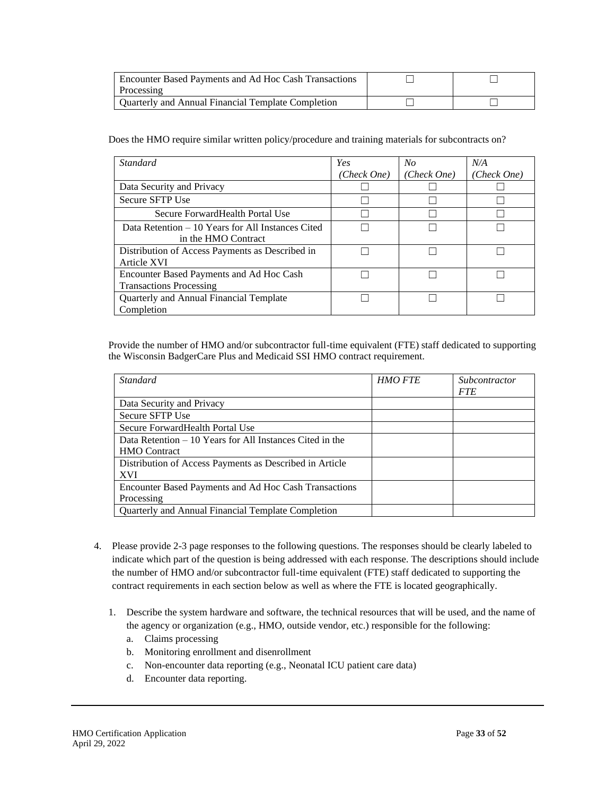| Encounter Based Payments and Ad Hoc Cash Transactions<br>Processing |  |
|---------------------------------------------------------------------|--|
| Ouarterly and Annual Financial Template Completion                  |  |

Does the HMO require similar written policy/procedure and training materials for subcontracts on?

| <i>Standard</i>                                                            | Yes         | No          | N/A         |
|----------------------------------------------------------------------------|-------------|-------------|-------------|
|                                                                            | (Check One) | (Check One) | (Check One) |
| Data Security and Privacy                                                  |             |             |             |
| Secure SFTP Use                                                            |             |             |             |
| Secure ForwardHealth Portal Use                                            |             |             |             |
| Data Retention – 10 Years for All Instances Cited<br>in the HMO Contract   |             |             |             |
| Distribution of Access Payments as Described in<br>Article XVI             |             |             |             |
| Encounter Based Payments and Ad Hoc Cash<br><b>Transactions Processing</b> |             |             |             |
| Quarterly and Annual Financial Template<br>Completion                      |             |             |             |

Provide the number of HMO and/or subcontractor full-time equivalent (FTE) staff dedicated to supporting the Wisconsin BadgerCare Plus and Medicaid SSI HMO contract requirement.

| Standard                                                  | <b>HMO FTE</b> | Subcontractor |
|-----------------------------------------------------------|----------------|---------------|
|                                                           |                | <b>FTE</b>    |
| Data Security and Privacy                                 |                |               |
| Secure SFTP Use                                           |                |               |
| Secure Forward Health Portal Use                          |                |               |
| Data Retention $-10$ Years for All Instances Cited in the |                |               |
| <b>HMO</b> Contract                                       |                |               |
| Distribution of Access Payments as Described in Article   |                |               |
| <b>XVI</b>                                                |                |               |
| Encounter Based Payments and Ad Hoc Cash Transactions     |                |               |
| Processing                                                |                |               |
| Quarterly and Annual Financial Template Completion        |                |               |

- 4. Please provide 2-3 page responses to the following questions. The responses should be clearly labeled to indicate which part of the question is being addressed with each response. The descriptions should include the number of HMO and/or subcontractor full-time equivalent (FTE) staff dedicated to supporting the contract requirements in each section below as well as where the FTE is located geographically.
	- 1. Describe the system hardware and software, the technical resources that will be used, and the name of the agency or organization (e.g., HMO, outside vendor, etc.) responsible for the following:
		- a. Claims processing
		- b. Monitoring enrollment and disenrollment
		- c. Non-encounter data reporting (e.g., Neonatal ICU patient care data)
		- d. Encounter data reporting.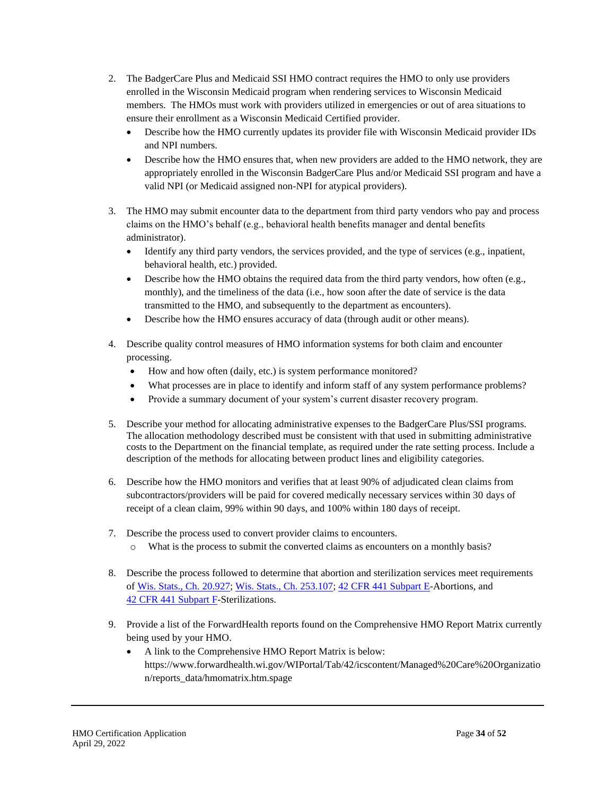- 2. The BadgerCare Plus and Medicaid SSI HMO contract requires the HMO to only use providers enrolled in the Wisconsin Medicaid program when rendering services to Wisconsin Medicaid members. The HMOs must work with providers utilized in emergencies or out of area situations to ensure their enrollment as a Wisconsin Medicaid Certified provider.
	- Describe how the HMO currently updates its provider file with Wisconsin Medicaid provider IDs and NPI numbers.
	- Describe how the HMO ensures that, when new providers are added to the HMO network, they are appropriately enrolled in the Wisconsin BadgerCare Plus and/or Medicaid SSI program and have a valid NPI (or Medicaid assigned non-NPI for atypical providers).
- 3. The HMO may submit encounter data to the department from third party vendors who pay and process claims on the HMO's behalf (e.g., behavioral health benefits manager and dental benefits administrator).
	- Identify any third party vendors, the services provided, and the type of services (e.g., inpatient, behavioral health, etc.) provided.
	- Describe how the HMO obtains the required data from the third party vendors, how often (e.g., monthly), and the timeliness of the data (i.e., how soon after the date of service is the data transmitted to the HMO, and subsequently to the department as encounters).
	- Describe how the HMO ensures accuracy of data (through audit or other means).
- 4. Describe quality control measures of HMO information systems for both claim and encounter processing.
	- How and how often (daily, etc.) is system performance monitored?
	- What processes are in place to identify and inform staff of any system performance problems?
	- Provide a summary document of your system's current disaster recovery program.
- 5. Describe your method for allocating administrative expenses to the BadgerCare Plus/SSI programs. The allocation methodology described must be consistent with that used in submitting administrative costs to the Department on the financial template, as required under the rate setting process. Include a description of the methods for allocating between product lines and eligibility categories.
- 6. Describe how the HMO monitors and verifies that at least 90% of adjudicated clean claims from subcontractors/providers will be paid for covered medically necessary services within 30 days of receipt of a clean claim, 99% within 90 days, and 100% within 180 days of receipt.
- 7. Describe the process used to convert provider claims to encounters.
	- o What is the process to submit the converted claims as encounters on a monthly basis?
- 8. Describe the process followed to determine that abortion and sterilization services meet requirements of [Wis. Stats., Ch.](http://nxt.legis.state.wi.us/nxt/gateway.dll?f=templates&fn=default.htm&d=stats&jd=ch.%2020) 20.927[; Wis. Stats., Ch. 253.107;](http://docs.legis.wisconsin.gov/statutes/statutes/253/107) 42 CFR [441 Subpart E-](http://www.ecfr.gov/cgi-bin/text-idx?SID=70dcf815a9d37844184f809640313ea1&mc=true&node=pt42.4.441&rgn=div5#sp42.4.441.e)Abortions, and 42 CFR [441 Subpart](http://ecfr.gpoaccess.gov/cgi/t/text/text-idx?c=ecfr&sid=1a2fc7132c1c34eae5b31439e7461f50&rgn=div6&view=text&node=42:4.0.1.1.10.6&idno=42) F-Sterilizations.
- 9. Provide a list of the ForwardHealth reports found on the Comprehensive HMO Report Matrix currently being used by your HMO.
	- A link to the Comprehensive HMO Report Matrix is below: [https://www.forwardhealth.wi.gov/WIPortal/Tab/42/icscontent/Managed%20Care%20Organizatio](https://www.forwardhealth.wi.gov/WIPortal/Tab/42/icscontent/Managed%20Care%20Organization/reports_data/hmomatrix.htm.spage) [n/reports\\_data/hmomatrix.htm.spage](https://www.forwardhealth.wi.gov/WIPortal/Tab/42/icscontent/Managed%20Care%20Organization/reports_data/hmomatrix.htm.spage)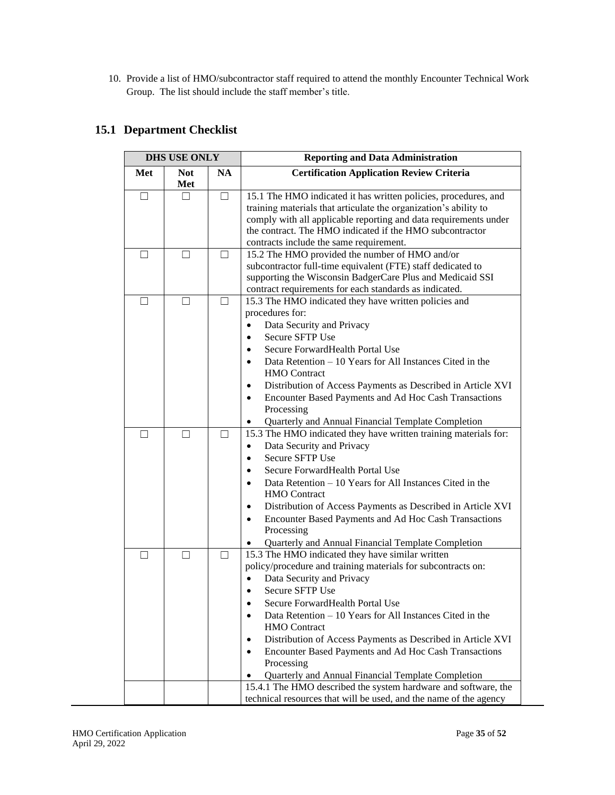10. Provide a list of HMO/subcontractor staff required to attend the monthly Encounter Technical Work Group. The list should include the staff member's title.

## <span id="page-34-0"></span>**15.1 Department Checklist**

| <b>DHS USE ONLY</b>      |                   |           | <b>Reporting and Data Administration</b>                                                                                                                                                                                                                                                                                                                                                                                                                                                                                                                                                          |  |
|--------------------------|-------------------|-----------|---------------------------------------------------------------------------------------------------------------------------------------------------------------------------------------------------------------------------------------------------------------------------------------------------------------------------------------------------------------------------------------------------------------------------------------------------------------------------------------------------------------------------------------------------------------------------------------------------|--|
| Met                      | <b>Not</b><br>Met | <b>NA</b> | <b>Certification Application Review Criteria</b>                                                                                                                                                                                                                                                                                                                                                                                                                                                                                                                                                  |  |
| П                        | $\Box$            | П         | 15.1 The HMO indicated it has written policies, procedures, and<br>training materials that articulate the organization's ability to<br>comply with all applicable reporting and data requirements under<br>the contract. The HMO indicated if the HMO subcontractor<br>contracts include the same requirement.                                                                                                                                                                                                                                                                                    |  |
| Ш                        | ш                 | $\perp$   | 15.2 The HMO provided the number of HMO and/or<br>subcontractor full-time equivalent (FTE) staff dedicated to<br>supporting the Wisconsin BadgerCare Plus and Medicaid SSI<br>contract requirements for each standards as indicated.                                                                                                                                                                                                                                                                                                                                                              |  |
| - 1                      | $\Box$            | $\perp$   | 15.3 The HMO indicated they have written policies and<br>procedures for:<br>Data Security and Privacy<br>$\bullet$<br><b>Secure SFTP Use</b><br>$\bullet$<br>Secure Forward Health Portal Use<br>$\bullet$<br>Data Retention – 10 Years for All Instances Cited in the<br>$\bullet$<br><b>HMO</b> Contract<br>Distribution of Access Payments as Described in Article XVI<br>$\bullet$<br>Encounter Based Payments and Ad Hoc Cash Transactions<br>$\bullet$<br>Processing<br>Quarterly and Annual Financial Template Completion                                                                  |  |
| $\overline{\phantom{0}}$ | $\mathsf{L}$      | $\perp$   | 15.3 The HMO indicated they have written training materials for:<br>Data Security and Privacy<br>$\bullet$<br><b>Secure SFTP Use</b><br>$\bullet$<br>Secure Forward Health Portal Use<br>$\bullet$<br>Data Retention – 10 Years for All Instances Cited in the<br>$\bullet$<br><b>HMO</b> Contract<br>Distribution of Access Payments as Described in Article XVI<br>$\bullet$<br>Encounter Based Payments and Ad Hoc Cash Transactions<br>$\bullet$<br>Processing<br>Quarterly and Annual Financial Template Completion                                                                          |  |
|                          | $\mathbf{I}$      |           | 15.3 The HMO indicated they have similar written<br>policy/procedure and training materials for subcontracts on:<br>Data Security and Privacy<br>Secure SFTP Use<br>$\bullet$<br>Secure ForwardHealth Portal Use<br>Data Retention $-10$ Years for All Instances Cited in the<br>$\bullet$<br><b>HMO</b> Contract<br>Distribution of Access Payments as Described in Article XVI<br>٠<br>Encounter Based Payments and Ad Hoc Cash Transactions<br>$\bullet$<br>Processing<br>Quarterly and Annual Financial Template Completion<br>15.4.1 The HMO described the system hardware and software, the |  |
|                          |                   |           | technical resources that will be used, and the name of the agency                                                                                                                                                                                                                                                                                                                                                                                                                                                                                                                                 |  |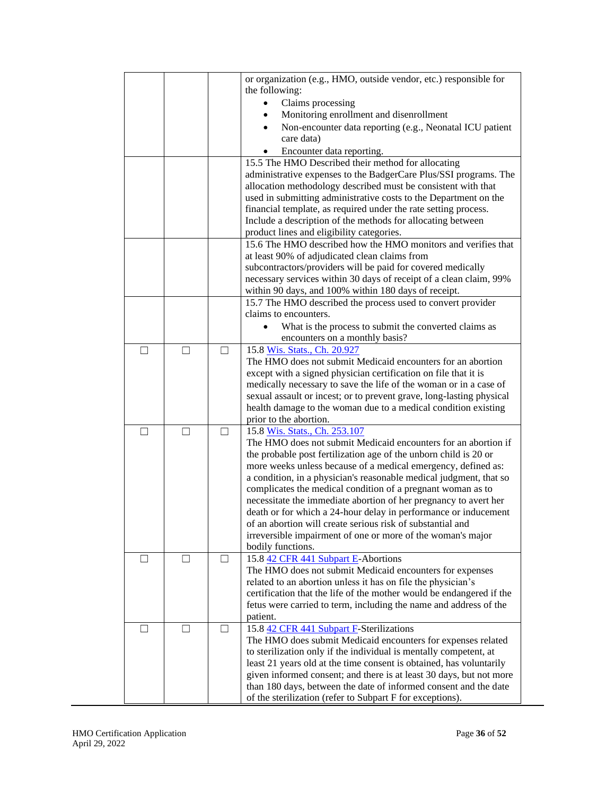|              |   |              | or organization (e.g., HMO, outside vendor, etc.) responsible for                                                             |
|--------------|---|--------------|-------------------------------------------------------------------------------------------------------------------------------|
|              |   |              | the following:                                                                                                                |
|              |   |              | Claims processing                                                                                                             |
|              |   |              | Monitoring enrollment and disenrollment                                                                                       |
|              |   |              | Non-encounter data reporting (e.g., Neonatal ICU patient<br>$\bullet$                                                         |
|              |   |              | care data)                                                                                                                    |
|              |   |              | Encounter data reporting.                                                                                                     |
|              |   |              | 15.5 The HMO Described their method for allocating                                                                            |
|              |   |              | administrative expenses to the BadgerCare Plus/SSI programs. The                                                              |
|              |   |              | allocation methodology described must be consistent with that                                                                 |
|              |   |              | used in submitting administrative costs to the Department on the                                                              |
|              |   |              | financial template, as required under the rate setting process.                                                               |
|              |   |              | Include a description of the methods for allocating between                                                                   |
|              |   |              | product lines and eligibility categories.                                                                                     |
|              |   |              | 15.6 The HMO described how the HMO monitors and verifies that                                                                 |
|              |   |              | at least 90% of adjudicated clean claims from                                                                                 |
|              |   |              |                                                                                                                               |
|              |   |              | subcontractors/providers will be paid for covered medically                                                                   |
|              |   |              | necessary services within 30 days of receipt of a clean claim, 99%                                                            |
|              |   |              | within 90 days, and 100% within 180 days of receipt.                                                                          |
|              |   |              | 15.7 The HMO described the process used to convert provider                                                                   |
|              |   |              | claims to encounters.                                                                                                         |
|              |   |              | What is the process to submit the converted claims as                                                                         |
|              |   |              | encounters on a monthly basis?                                                                                                |
| П            | П | П            | 15.8 Wis. Stats., Ch. 20.927                                                                                                  |
|              |   |              | The HMO does not submit Medicaid encounters for an abortion                                                                   |
|              |   |              | except with a signed physician certification on file that it is                                                               |
|              |   |              | medically necessary to save the life of the woman or in a case of                                                             |
|              |   |              | sexual assault or incest; or to prevent grave, long-lasting physical                                                          |
|              |   |              | health damage to the woman due to a medical condition existing                                                                |
|              |   |              | prior to the abortion.                                                                                                        |
| П            |   | П            | 15.8 Wis. Stats., Ch. 253.107                                                                                                 |
|              |   |              | The HMO does not submit Medicaid encounters for an abortion if                                                                |
|              |   |              | the probable post fertilization age of the unborn child is 20 or                                                              |
|              |   |              | more weeks unless because of a medical emergency, defined as:                                                                 |
|              |   |              | a condition, in a physician's reasonable medical judgment, that so                                                            |
|              |   |              | complicates the medical condition of a pregnant woman as to                                                                   |
|              |   |              | necessitate the immediate abortion of her pregnancy to avert her                                                              |
|              |   |              | death or for which a 24-hour delay in performance or inducement                                                               |
|              |   |              | of an abortion will create serious risk of substantial and                                                                    |
|              |   |              | irreversible impairment of one or more of the woman's major                                                                   |
|              |   |              | bodily functions.                                                                                                             |
|              |   |              | 15.8 42 CFR 441 Subpart E-Abortions                                                                                           |
|              |   |              | The HMO does not submit Medicaid encounters for expenses                                                                      |
|              |   |              | related to an abortion unless it has on file the physician's                                                                  |
|              |   |              | certification that the life of the mother would be endangered if the                                                          |
|              |   |              | fetus were carried to term, including the name and address of the                                                             |
|              |   |              |                                                                                                                               |
|              |   |              | patient.                                                                                                                      |
| $\mathsf{L}$ |   | $\mathsf{L}$ | 15.8 42 CFR 441 Subpart F-Sterilizations                                                                                      |
|              |   |              | The HMO does submit Medicaid encounters for expenses related                                                                  |
|              |   |              | to sterilization only if the individual is mentally competent, at                                                             |
|              |   |              | least 21 years old at the time consent is obtained, has voluntarily                                                           |
|              |   |              |                                                                                                                               |
|              |   |              | given informed consent; and there is at least 30 days, but not more                                                           |
|              |   |              | than 180 days, between the date of informed consent and the date<br>of the sterilization (refer to Subpart F for exceptions). |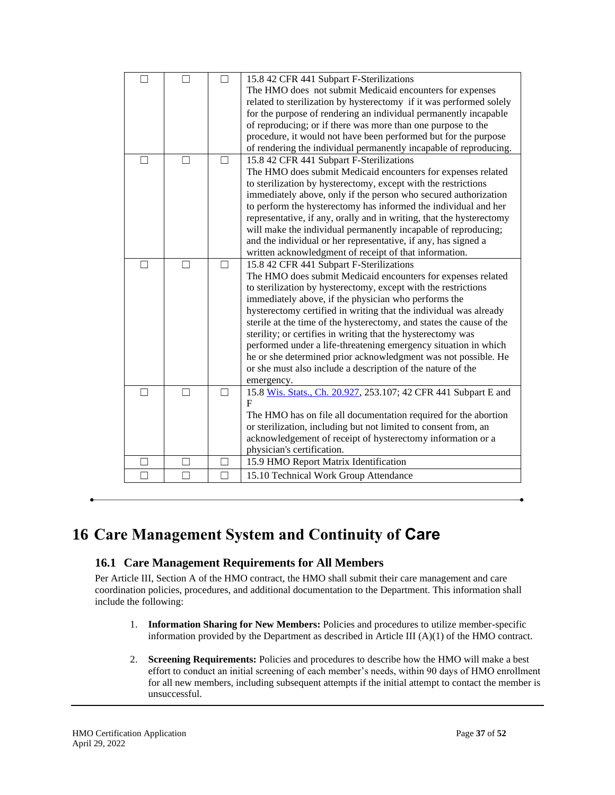| П |   |   | 15.8 42 CFR 441 Subpart F-Sterilizations                             |
|---|---|---|----------------------------------------------------------------------|
|   |   |   | The HMO does not submit Medicaid encounters for expenses             |
|   |   |   | related to sterilization by hysterectomy if it was performed solely  |
|   |   |   | for the purpose of rendering an individual permanently incapable     |
|   |   |   | of reproducing; or if there was more than one purpose to the         |
|   |   |   | procedure, it would not have been performed but for the purpose      |
|   |   |   | of rendering the individual permanently incapable of reproducing.    |
|   |   |   | 15.8 42 CFR 441 Subpart F-Sterilizations                             |
|   |   |   | The HMO does submit Medicaid encounters for expenses related         |
|   |   |   | to sterilization by hysterectomy, except with the restrictions       |
|   |   |   | immediately above, only if the person who secured authorization      |
|   |   |   | to perform the hysterectomy has informed the individual and her      |
|   |   |   | representative, if any, orally and in writing, that the hysterectomy |
|   |   |   | will make the individual permanently incapable of reproducing;       |
|   |   |   | and the individual or her representative, if any, has signed a       |
|   |   |   | written acknowledgment of receipt of that information.               |
| П | П | П | 15.8 42 CFR 441 Subpart F-Sterilizations                             |
|   |   |   | The HMO does submit Medicaid encounters for expenses related         |
|   |   |   | to sterilization by hysterectomy, except with the restrictions       |
|   |   |   | immediately above, if the physician who performs the                 |
|   |   |   | hysterectomy certified in writing that the individual was already    |
|   |   |   | sterile at the time of the hysterectomy, and states the cause of the |
|   |   |   | sterility; or certifies in writing that the hysterectomy was         |
|   |   |   | performed under a life-threatening emergency situation in which      |
|   |   |   | he or she determined prior acknowledgment was not possible. He       |
|   |   |   | or she must also include a description of the nature of the          |
|   |   |   | emergency.                                                           |
| П | П | П | 15.8 Wis. Stats., Ch. 20.927, 253.107; 42 CFR 441 Subpart E and      |
|   |   |   | F                                                                    |
|   |   |   | The HMO has on file all documentation required for the abortion      |
|   |   |   | or sterilization, including but not limited to consent from, an      |
|   |   |   | acknowledgement of receipt of hysterectomy information or a          |
|   |   |   | physician's certification.                                           |
|   |   |   | 15.9 HMO Report Matrix Identification                                |
|   |   |   | 15.10 Technical Work Group Attendance                                |
|   |   |   |                                                                      |

## <span id="page-36-1"></span><span id="page-36-0"></span>**16 Care Management System and Continuity of Care**

## **16.1 Care Management Requirements for All Members**

Per Article III, Section A of the HMO contract, the HMO shall submit their care management and care coordination policies, procedures, and additional documentation to the Department. This information shall include the following:

- 1. **Information Sharing for New Members:** Policies and procedures to utilize member-specific information provided by the Department as described in Article III (A)(1) of the HMO contract.
- 2. **Screening Requirements:** Policies and procedures to describe how the HMO will make a best effort to conduct an initial screening of each member's needs, within 90 days of HMO enrollment for all new members, including subsequent attempts if the initial attempt to contact the member is unsuccessful.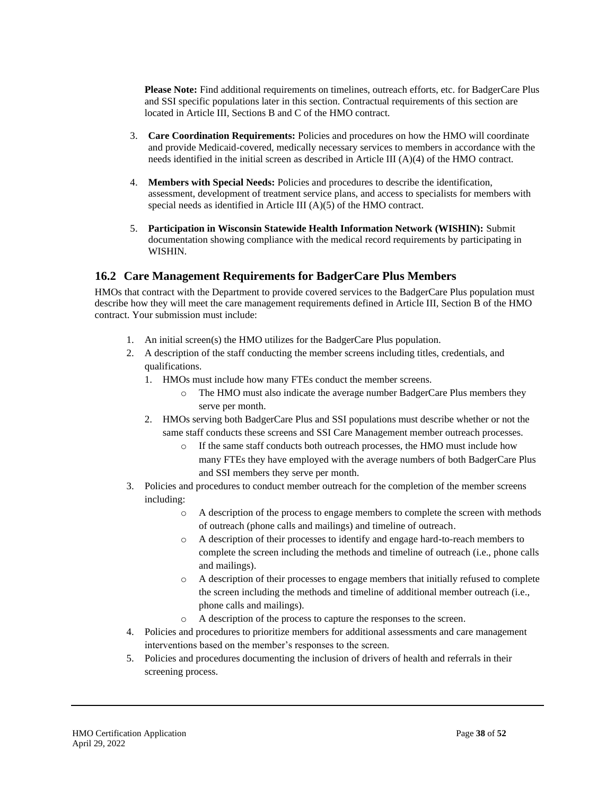**Please Note:** Find additional requirements on timelines, outreach efforts, etc. for BadgerCare Plus and SSI specific populations later in this section. Contractual requirements of this section are located in Article III, Sections B and C of the HMO contract.

- 3. **Care Coordination Requirements:** Policies and procedures on how the HMO will coordinate and provide Medicaid-covered, medically necessary services to members in accordance with the needs identified in the initial screen as described in Article III (A)(4) of the HMO contract.
- 4. **Members with Special Needs:** Policies and procedures to describe the identification, assessment, development of treatment service plans, and access to specialists for members with special needs as identified in Article III (A)(5) of the HMO contract.
- 5. **Participation in Wisconsin Statewide Health Information Network (WISHIN):** Submit documentation showing compliance with the medical record requirements by participating in WISHIN.

## <span id="page-37-0"></span>**16.2 Care Management Requirements for BadgerCare Plus Members**

HMOs that contract with the Department to provide covered services to the BadgerCare Plus population must describe how they will meet the care management requirements defined in Article III, Section B of the HMO contract. Your submission must include:

- 1. An initial screen(s) the HMO utilizes for the BadgerCare Plus population.
- 2. A description of the staff conducting the member screens including titles, credentials, and qualifications.
	- 1. HMOs must include how many FTEs conduct the member screens.
		- o The HMO must also indicate the average number BadgerCare Plus members they serve per month.
	- 2. HMOs serving both BadgerCare Plus and SSI populations must describe whether or not the same staff conducts these screens and SSI Care Management member outreach processes.
		- o If the same staff conducts both outreach processes, the HMO must include how many FTEs they have employed with the average numbers of both BadgerCare Plus and SSI members they serve per month.
- 3. Policies and procedures to conduct member outreach for the completion of the member screens including:
	- o A description of the process to engage members to complete the screen with methods of outreach (phone calls and mailings) and timeline of outreach.
	- o A description of their processes to identify and engage hard-to-reach members to complete the screen including the methods and timeline of outreach (i.e., phone calls and mailings).
	- o A description of their processes to engage members that initially refused to complete the screen including the methods and timeline of additional member outreach (i.e., phone calls and mailings).
	- o A description of the process to capture the responses to the screen.
- 4. Policies and procedures to prioritize members for additional assessments and care management interventions based on the member's responses to the screen.
- 5. Policies and procedures documenting the inclusion of drivers of health and referrals in their screening process.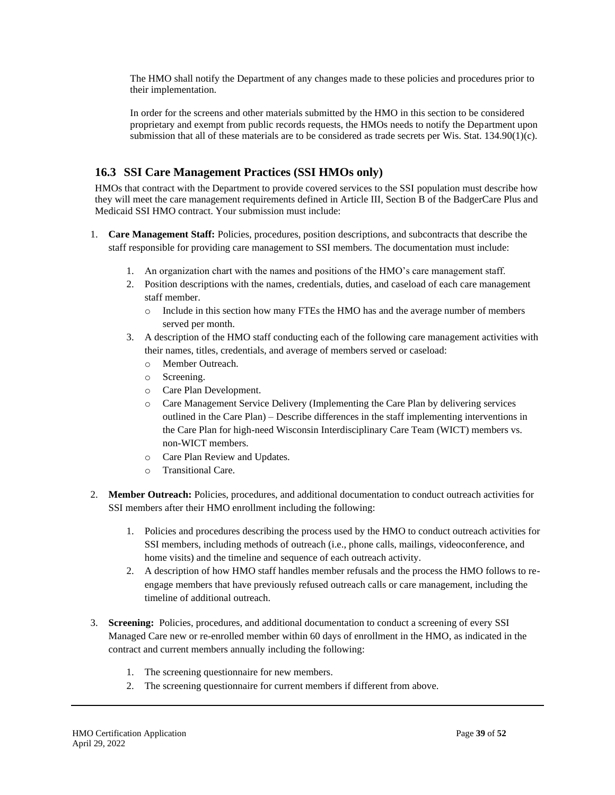The HMO shall notify the Department of any changes made to these policies and procedures prior to their implementation.

In order for the screens and other materials submitted by the HMO in this section to be considered proprietary and exempt from public records requests, the HMOs needs to notify the Department upon submission that all of these materials are to be considered as trade secrets per Wis. Stat. 134.90(1)(c).

## <span id="page-38-0"></span>**16.3 SSI Care Management Practices (SSI HMOs only)**

HMOs that contract with the Department to provide covered services to the SSI population must describe how they will meet the care management requirements defined in Article III, Section B of the BadgerCare Plus and Medicaid SSI HMO contract. Your submission must include:

- 1. **Care Management Staff:** Policies, procedures, position descriptions, and subcontracts that describe the staff responsible for providing care management to SSI members. The documentation must include:
	- 1. An organization chart with the names and positions of the HMO's care management staff.
	- 2. Position descriptions with the names, credentials, duties, and caseload of each care management staff member.
		- o Include in this section how many FTEs the HMO has and the average number of members served per month.
	- 3. A description of the HMO staff conducting each of the following care management activities with their names, titles, credentials, and average of members served or caseload:
		- o Member Outreach.
		- o Screening.
		- o Care Plan Development.
		- o Care Management Service Delivery (Implementing the Care Plan by delivering services outlined in the Care Plan) – Describe differences in the staff implementing interventions in the Care Plan for high-need Wisconsin Interdisciplinary Care Team (WICT) members vs. non-WICT members.
		- o Care Plan Review and Updates.
		- o Transitional Care.
- 2. **Member Outreach:** Policies, procedures, and additional documentation to conduct outreach activities for SSI members after their HMO enrollment including the following:
	- 1. Policies and procedures describing the process used by the HMO to conduct outreach activities for SSI members, including methods of outreach (i.e., phone calls, mailings, videoconference, and home visits) and the timeline and sequence of each outreach activity.
	- 2. A description of how HMO staff handles member refusals and the process the HMO follows to reengage members that have previously refused outreach calls or care management, including the timeline of additional outreach.
- 3. **Screening:** Policies, procedures, and additional documentation to conduct a screening of every SSI Managed Care new or re-enrolled member within 60 days of enrollment in the HMO, as indicated in the contract and current members annually including the following:
	- 1. The screening questionnaire for new members.
	- 2. The screening questionnaire for current members if different from above.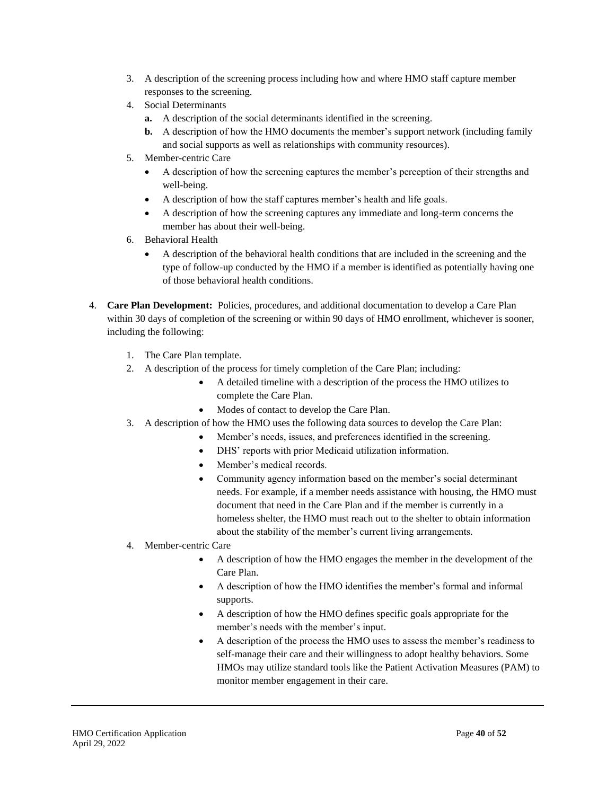- 3. A description of the screening process including how and where HMO staff capture member responses to the screening.
- 4. Social Determinants
	- **a.** A description of the social determinants identified in the screening.
	- **b.** A description of how the HMO documents the member's support network (including family and social supports as well as relationships with community resources).
- 5. Member-centric Care
	- A description of how the screening captures the member's perception of their strengths and well-being.
	- A description of how the staff captures member's health and life goals.
	- A description of how the screening captures any immediate and long-term concerns the member has about their well-being.
- 6. Behavioral Health
	- A description of the behavioral health conditions that are included in the screening and the type of follow-up conducted by the HMO if a member is identified as potentially having one of those behavioral health conditions.
- 4. **Care Plan Development:** Policies, procedures, and additional documentation to develop a Care Plan within 30 days of completion of the screening or within 90 days of HMO enrollment, whichever is sooner, including the following:
	- 1. The Care Plan template.
	- 2. A description of the process for timely completion of the Care Plan; including:
		- A detailed timeline with a description of the process the HMO utilizes to complete the Care Plan.
		- Modes of contact to develop the Care Plan.
	- 3. A description of how the HMO uses the following data sources to develop the Care Plan:
		- Member's needs, issues, and preferences identified in the screening.
		- DHS' reports with prior Medicaid utilization information.
		- Member's medical records.
		- Community agency information based on the member's social determinant needs. For example, if a member needs assistance with housing, the HMO must document that need in the Care Plan and if the member is currently in a homeless shelter, the HMO must reach out to the shelter to obtain information about the stability of the member's current living arrangements.
	- 4. Member-centric Care
		- A description of how the HMO engages the member in the development of the Care Plan.
		- A description of how the HMO identifies the member's formal and informal supports.
		- A description of how the HMO defines specific goals appropriate for the member's needs with the member's input.
		- A description of the process the HMO uses to assess the member's readiness to self-manage their care and their willingness to adopt healthy behaviors. Some HMOs may utilize standard tools like the Patient Activation Measures (PAM) to monitor member engagement in their care.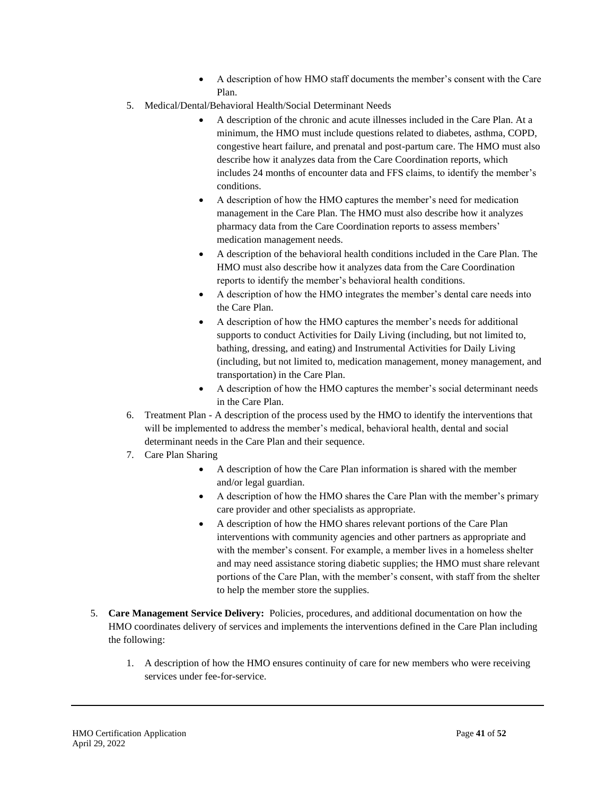- A description of how HMO staff documents the member's consent with the Care Plan.
- 5. Medical/Dental/Behavioral Health/Social Determinant Needs
	- A description of the chronic and acute illnesses included in the Care Plan. At a minimum, the HMO must include questions related to diabetes, asthma, COPD, congestive heart failure, and prenatal and post-partum care. The HMO must also describe how it analyzes data from the Care Coordination reports, which includes 24 months of encounter data and FFS claims, to identify the member's conditions.
	- A description of how the HMO captures the member's need for medication management in the Care Plan. The HMO must also describe how it analyzes pharmacy data from the Care Coordination reports to assess members' medication management needs.
	- A description of the behavioral health conditions included in the Care Plan. The HMO must also describe how it analyzes data from the Care Coordination reports to identify the member's behavioral health conditions.
	- A description of how the HMO integrates the member's dental care needs into the Care Plan.
	- A description of how the HMO captures the member's needs for additional supports to conduct Activities for Daily Living (including, but not limited to, bathing, dressing, and eating) and Instrumental Activities for Daily Living (including, but not limited to, medication management, money management, and transportation) in the Care Plan.
	- A description of how the HMO captures the member's social determinant needs in the Care Plan.
- 6. Treatment Plan A description of the process used by the HMO to identify the interventions that will be implemented to address the member's medical, behavioral health, dental and social determinant needs in the Care Plan and their sequence.
- 7. Care Plan Sharing
	- A description of how the Care Plan information is shared with the member and/or legal guardian.
	- A description of how the HMO shares the Care Plan with the member's primary care provider and other specialists as appropriate.
	- A description of how the HMO shares relevant portions of the Care Plan interventions with community agencies and other partners as appropriate and with the member's consent. For example, a member lives in a homeless shelter and may need assistance storing diabetic supplies; the HMO must share relevant portions of the Care Plan, with the member's consent, with staff from the shelter to help the member store the supplies.
- 5. **Care Management Service Delivery:** Policies, procedures, and additional documentation on how the HMO coordinates delivery of services and implements the interventions defined in the Care Plan including the following:
	- 1. A description of how the HMO ensures continuity of care for new members who were receiving services under fee-for-service.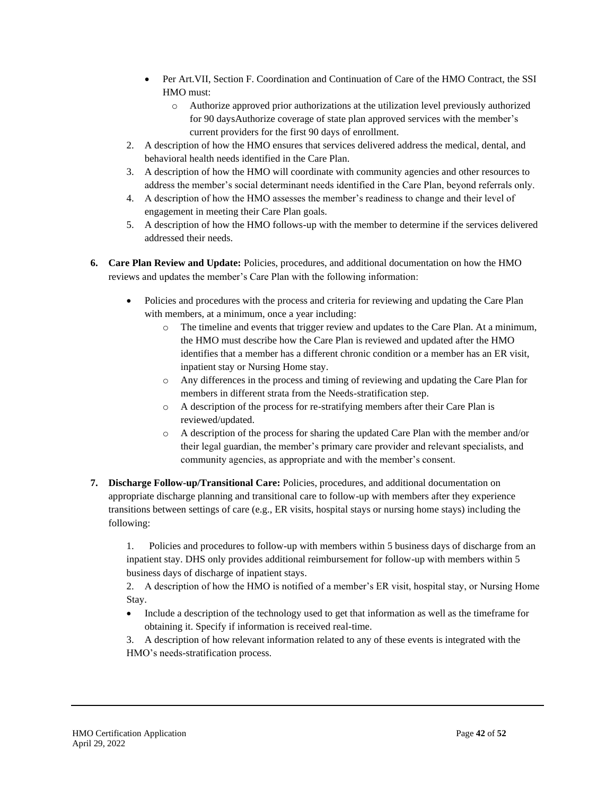- Per Art.VII, Section F. Coordination and Continuation of Care of the HMO Contract, the SSI HMO must:
	- o Authorize approved prior authorizations at the utilization level previously authorized for 90 daysAuthorize coverage of state plan approved services with the member's current providers for the first 90 days of enrollment.
- 2. A description of how the HMO ensures that services delivered address the medical, dental, and behavioral health needs identified in the Care Plan.
- 3. A description of how the HMO will coordinate with community agencies and other resources to address the member's social determinant needs identified in the Care Plan, beyond referrals only.
- 4. A description of how the HMO assesses the member's readiness to change and their level of engagement in meeting their Care Plan goals.
- 5. A description of how the HMO follows-up with the member to determine if the services delivered addressed their needs.
- **6. Care Plan Review and Update:** Policies, procedures, and additional documentation on how the HMO reviews and updates the member's Care Plan with the following information:
	- Policies and procedures with the process and criteria for reviewing and updating the Care Plan with members, at a minimum, once a year including:
		- The timeline and events that trigger review and updates to the Care Plan. At a minimum, the HMO must describe how the Care Plan is reviewed and updated after the HMO identifies that a member has a different chronic condition or a member has an ER visit, inpatient stay or Nursing Home stay.
		- o Any differences in the process and timing of reviewing and updating the Care Plan for members in different strata from the Needs-stratification step.
		- o A description of the process for re-stratifying members after their Care Plan is reviewed/updated.
		- o A description of the process for sharing the updated Care Plan with the member and/or their legal guardian, the member's primary care provider and relevant specialists, and community agencies, as appropriate and with the member's consent.
- **7. Discharge Follow-up/Transitional Care:** Policies, procedures, and additional documentation on appropriate discharge planning and transitional care to follow-up with members after they experience transitions between settings of care (e.g., ER visits, hospital stays or nursing home stays) including the following:

1. Policies and procedures to follow-up with members within 5 business days of discharge from an inpatient stay. DHS only provides additional reimbursement for follow-up with members within 5 business days of discharge of inpatient stays.

2. A description of how the HMO is notified of a member's ER visit, hospital stay, or Nursing Home Stay.

- Include a description of the technology used to get that information as well as the timeframe for obtaining it. Specify if information is received real-time.
- 3. A description of how relevant information related to any of these events is integrated with the HMO's needs-stratification process.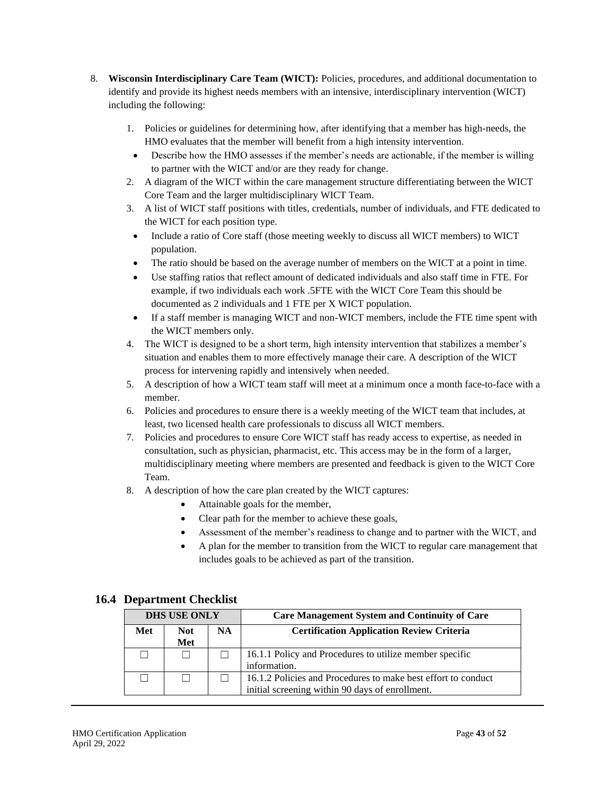- 8. **Wisconsin Interdisciplinary Care Team (WICT):** Policies, procedures, and additional documentation to identify and provide its highest needs members with an intensive, interdisciplinary intervention (WICT) including the following:
	- 1. Policies or guidelines for determining how, after identifying that a member has high-needs, the HMO evaluates that the member will benefit from a high intensity intervention.
	- Describe how the HMO assesses if the member's needs are actionable, if the member is willing to partner with the WICT and/or are they ready for change.
	- 2. A diagram of the WICT within the care management structure differentiating between the WICT Core Team and the larger multidisciplinary WICT Team.
	- 3. A list of WICT staff positions with titles, credentials, number of individuals, and FTE dedicated to the WICT for each position type.
	- Include a ratio of Core staff (those meeting weekly to discuss all WICT members) to WICT population.
	- The ratio should be based on the average number of members on the WICT at a point in time.
	- Use staffing ratios that reflect amount of dedicated individuals and also staff time in FTE. For example, if two individuals each work .5FTE with the WICT Core Team this should be documented as 2 individuals and 1 FTE per X WICT population.
	- If a staff member is managing WICT and non-WICT members, include the FTE time spent with the WICT members only.
	- 4. The WICT is designed to be a short term, high intensity intervention that stabilizes a member's situation and enables them to more effectively manage their care. A description of the WICT process for intervening rapidly and intensively when needed.
	- 5. A description of how a WICT team staff will meet at a minimum once a month face-to-face with a member.
	- 6. Policies and procedures to ensure there is a weekly meeting of the WICT team that includes, at least, two licensed health care professionals to discuss all WICT members.
	- 7. Policies and procedures to ensure Core WICT staff has ready access to expertise, as needed in consultation, such as physician, pharmacist, etc. This access may be in the form of a larger, multidisciplinary meeting where members are presented and feedback is given to the WICT Core Team.
	- 8. A description of how the care plan created by the WICT captures:
		- Attainable goals for the member,
		- Clear path for the member to achieve these goals,
		- Assessment of the member's readiness to change and to partner with the WICT, and
		- A plan for the member to transition from the WICT to regular care management that includes goals to be achieved as part of the transition.

|                                | <b>DHS USE ONLY</b> |  | <b>Care Management System and Continuity of Care</b>          |
|--------------------------------|---------------------|--|---------------------------------------------------------------|
| Met<br><b>Not</b><br><b>NA</b> |                     |  | <b>Certification Application Review Criteria</b>              |
|                                | Met                 |  |                                                               |
|                                |                     |  | 16.1.1 Policy and Procedures to utilize member specific       |
|                                |                     |  | information.                                                  |
|                                |                     |  | 16.1.2 Policies and Procedures to make best effort to conduct |
|                                |                     |  | initial screening within 90 days of enrollment.               |

### <span id="page-42-0"></span>**16.4 Department Checklist**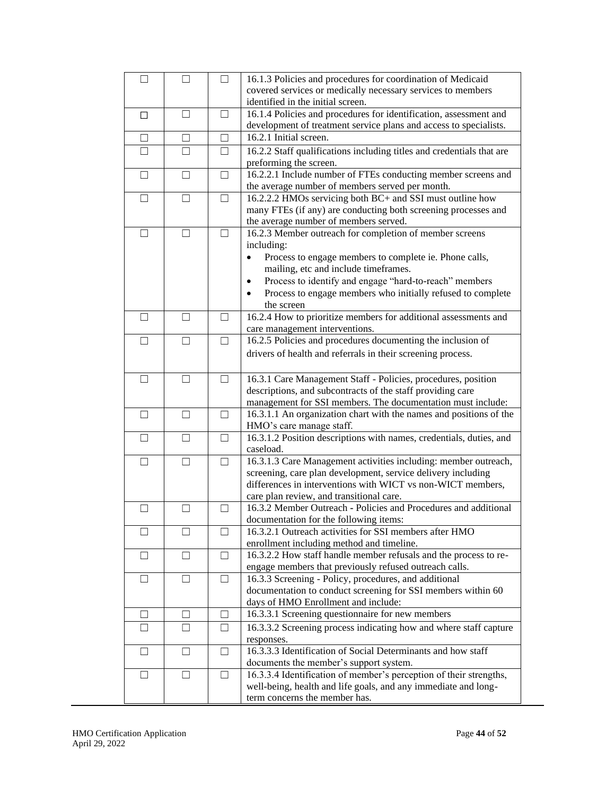| П                 | П             | $\Box$       | 16.1.3 Policies and procedures for coordination of Medicaid                      |
|-------------------|---------------|--------------|----------------------------------------------------------------------------------|
|                   |               |              | covered services or medically necessary services to members                      |
|                   |               |              | identified in the initial screen.                                                |
| □                 | $\Box$        | ப            | 16.1.4 Policies and procedures for identification, assessment and                |
|                   |               |              | development of treatment service plans and access to specialists.                |
| □                 | П             | □            | 16.2.1 Initial screen.                                                           |
| $\Box$            | П             | $\Box$       | 16.2.2 Staff qualifications including titles and credentials that are            |
|                   |               |              | preforming the screen.                                                           |
| □                 | П             | П            | 16.2.2.1 Include number of FTEs conducting member screens and                    |
|                   |               |              | the average number of members served per month.                                  |
| $\vert \ \ \vert$ | $\mathcal{L}$ | $\mathsf{L}$ | 16.2.2.2 HMOs servicing both BC+ and SSI must outline how                        |
|                   |               |              | many FTEs (if any) are conducting both screening processes and                   |
|                   |               |              | the average number of members served.                                            |
| П                 |               |              | 16.2.3 Member outreach for completion of member screens                          |
|                   |               |              | including:                                                                       |
|                   |               |              | Process to engage members to complete ie. Phone calls,                           |
|                   |               |              | mailing, etc and include timeframes.                                             |
|                   |               |              | Process to identify and engage "hard-to-reach" members<br>$\bullet$              |
|                   |               |              |                                                                                  |
|                   |               |              | Process to engage members who initially refused to complete<br>the screen        |
| П                 | П             | П            | 16.2.4 How to prioritize members for additional assessments and                  |
|                   |               |              | care management interventions.                                                   |
| П                 | П             | П            | 16.2.5 Policies and procedures documenting the inclusion of                      |
|                   |               |              |                                                                                  |
|                   |               |              | drivers of health and referrals in their screening process.                      |
|                   |               |              |                                                                                  |
| $\Box$            | П             | $\Box$       | 16.3.1 Care Management Staff - Policies, procedures, position                    |
|                   |               |              | descriptions, and subcontracts of the staff providing care                       |
|                   |               |              | management for SSI members. The documentation must include:                      |
|                   | $\Box$        |              | 16.3.1.1 An organization chart with the names and positions of the               |
|                   |               | П            | HMO's care manage staff.                                                         |
|                   | П             |              | 16.3.1.2 Position descriptions with names, credentials, duties, and<br>caseload. |
| П                 | П             | п            | 16.3.1.3 Care Management activities including: member outreach,                  |
|                   |               |              | screening, care plan development, service delivery including                     |
|                   |               |              | differences in interventions with WICT vs non-WICT members,                      |
|                   |               |              | care plan review, and transitional care.                                         |
|                   | $\mathbf{I}$  | $\mathsf{L}$ | 16.3.2 Member Outreach - Policies and Procedures and additional                  |
|                   |               |              | documentation for the following items:                                           |
|                   | $\Box$        | $\Box$       | 16.3.2.1 Outreach activities for SSI members after HMO                           |
|                   |               |              | enrollment including method and timeline.                                        |
| $\perp$           | П             | □            | 16.3.2.2 How staff handle member refusals and the process to re-                 |
|                   |               |              | engage members that previously refused outreach calls.                           |
| ш                 | $\Box$        | $\Box$       | 16.3.3 Screening - Policy, procedures, and additional                            |
|                   |               |              | documentation to conduct screening for SSI members within 60                     |
|                   |               |              | days of HMO Enrollment and include:                                              |
| $\mathsf{L}$      | $\mathsf{L}$  | $\perp$      | 16.3.3.1 Screening questionnaire for new members                                 |
| $\perp$           | П             | $\Box$       | 16.3.3.2 Screening process indicating how and where staff capture                |
|                   |               |              | responses.                                                                       |
| ш                 | $\Box$        | $\Box$       | 16.3.3.3 Identification of Social Determinants and how staff                     |
|                   |               |              | documents the member's support system.                                           |
| ш                 | ш             | ப            | 16.3.3.4 Identification of member's perception of their strengths,               |
|                   |               |              | well-being, health and life goals, and any immediate and long-                   |
|                   |               |              | term concerns the member has.                                                    |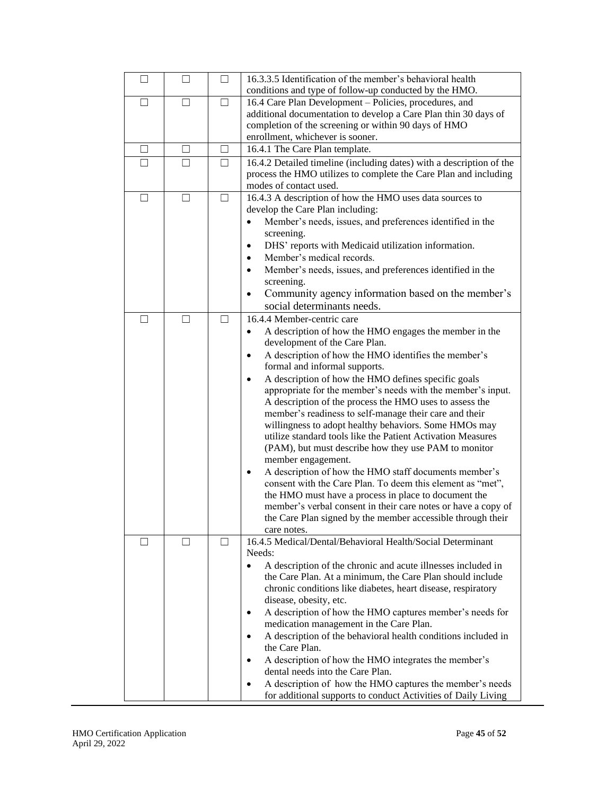| П       | П            | П                 | 16.3.3.5 Identification of the member's behavioral health<br>conditions and type of follow-up conducted by the HMO.  |
|---------|--------------|-------------------|----------------------------------------------------------------------------------------------------------------------|
| П       | П            | П                 | 16.4 Care Plan Development – Policies, procedures, and                                                               |
|         |              |                   | additional documentation to develop a Care Plan thin 30 days of                                                      |
|         |              |                   | completion of the screening or within 90 days of HMO                                                                 |
|         |              |                   | enrollment, whichever is sooner.                                                                                     |
| $\perp$ | $\mathsf{L}$ | $\vert \ \ \vert$ | 16.4.1 The Care Plan template.                                                                                       |
| П       | П            | П                 | 16.4.2 Detailed timeline (including dates) with a description of the                                                 |
|         |              |                   | process the HMO utilizes to complete the Care Plan and including<br>modes of contact used.                           |
| П       | П            | $\perp$           | 16.4.3 A description of how the HMO uses data sources to                                                             |
|         |              |                   | develop the Care Plan including:                                                                                     |
|         |              |                   | Member's needs, issues, and preferences identified in the                                                            |
|         |              |                   | screening.                                                                                                           |
|         |              |                   | DHS' reports with Medicaid utilization information.<br>$\bullet$                                                     |
|         |              |                   | Member's medical records.                                                                                            |
|         |              |                   | Member's needs, issues, and preferences identified in the                                                            |
|         |              |                   | screening.                                                                                                           |
|         |              |                   | Community agency information based on the member's<br>social determinants needs.                                     |
| $\Box$  | П            | П                 | 16.4.4 Member-centric care                                                                                           |
|         |              |                   | A description of how the HMO engages the member in the                                                               |
|         |              |                   | development of the Care Plan.                                                                                        |
|         |              |                   | A description of how the HMO identifies the member's<br>$\bullet$                                                    |
|         |              |                   | formal and informal supports.                                                                                        |
|         |              |                   | A description of how the HMO defines specific goals                                                                  |
|         |              |                   | appropriate for the member's needs with the member's input.                                                          |
|         |              |                   | A description of the process the HMO uses to assess the                                                              |
|         |              |                   | member's readiness to self-manage their care and their                                                               |
|         |              |                   | willingness to adopt healthy behaviors. Some HMOs may<br>utilize standard tools like the Patient Activation Measures |
|         |              |                   | (PAM), but must describe how they use PAM to monitor                                                                 |
|         |              |                   | member engagement.                                                                                                   |
|         |              |                   | A description of how the HMO staff documents member's                                                                |
|         |              |                   | consent with the Care Plan. To deem this element as "met",                                                           |
|         |              |                   | the HMO must have a process in place to document the                                                                 |
|         |              |                   | member's verbal consent in their care notes or have a copy of                                                        |
|         |              |                   | the Care Plan signed by the member accessible through their                                                          |
| ш       | $\mathsf{L}$ | $\perp$           | care notes.<br>16.4.5 Medical/Dental/Behavioral Health/Social Determinant                                            |
|         |              |                   | Needs:                                                                                                               |
|         |              |                   | A description of the chronic and acute illnesses included in<br>$\bullet$                                            |
|         |              |                   | the Care Plan. At a minimum, the Care Plan should include                                                            |
|         |              |                   | chronic conditions like diabetes, heart disease, respiratory                                                         |
|         |              |                   | disease, obesity, etc.                                                                                               |
|         |              |                   | A description of how the HMO captures member's needs for                                                             |
|         |              |                   | medication management in the Care Plan.<br>A description of the behavioral health conditions included in             |
|         |              |                   | the Care Plan.                                                                                                       |
|         |              |                   | A description of how the HMO integrates the member's                                                                 |
|         |              |                   | dental needs into the Care Plan.                                                                                     |
|         |              |                   | A description of how the HMO captures the member's needs                                                             |
|         |              |                   | for additional supports to conduct Activities of Daily Living                                                        |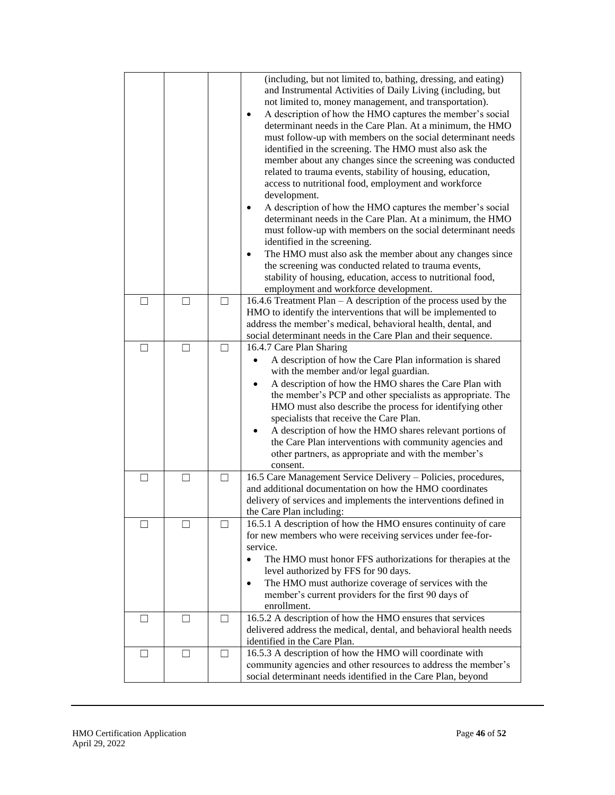|         |        |         | (including, but not limited to, bathing, dressing, and eating)<br>and Instrumental Activities of Daily Living (including, but<br>not limited to, money management, and transportation).<br>A description of how the HMO captures the member's social<br>determinant needs in the Care Plan. At a minimum, the HMO<br>must follow-up with members on the social determinant needs<br>identified in the screening. The HMO must also ask the<br>member about any changes since the screening was conducted<br>related to trauma events, stability of housing, education,<br>access to nutritional food, employment and workforce<br>development.<br>A description of how the HMO captures the member's social<br>determinant needs in the Care Plan. At a minimum, the HMO<br>must follow-up with members on the social determinant needs<br>identified in the screening.<br>The HMO must also ask the member about any changes since<br>the screening was conducted related to trauma events,<br>stability of housing, education, access to nutritional food,<br>employment and workforce development. |
|---------|--------|---------|-------------------------------------------------------------------------------------------------------------------------------------------------------------------------------------------------------------------------------------------------------------------------------------------------------------------------------------------------------------------------------------------------------------------------------------------------------------------------------------------------------------------------------------------------------------------------------------------------------------------------------------------------------------------------------------------------------------------------------------------------------------------------------------------------------------------------------------------------------------------------------------------------------------------------------------------------------------------------------------------------------------------------------------------------------------------------------------------------------|
| $\perp$ | $\Box$ | $\perp$ | 16.4.6 Treatment Plan $- A$ description of the process used by the                                                                                                                                                                                                                                                                                                                                                                                                                                                                                                                                                                                                                                                                                                                                                                                                                                                                                                                                                                                                                                    |
|         |        |         | HMO to identify the interventions that will be implemented to                                                                                                                                                                                                                                                                                                                                                                                                                                                                                                                                                                                                                                                                                                                                                                                                                                                                                                                                                                                                                                         |
|         |        |         | address the member's medical, behavioral health, dental, and                                                                                                                                                                                                                                                                                                                                                                                                                                                                                                                                                                                                                                                                                                                                                                                                                                                                                                                                                                                                                                          |
|         |        |         | social determinant needs in the Care Plan and their sequence.                                                                                                                                                                                                                                                                                                                                                                                                                                                                                                                                                                                                                                                                                                                                                                                                                                                                                                                                                                                                                                         |
|         | Ш      |         | 16.4.7 Care Plan Sharing                                                                                                                                                                                                                                                                                                                                                                                                                                                                                                                                                                                                                                                                                                                                                                                                                                                                                                                                                                                                                                                                              |
|         |        |         | A description of how the Care Plan information is shared                                                                                                                                                                                                                                                                                                                                                                                                                                                                                                                                                                                                                                                                                                                                                                                                                                                                                                                                                                                                                                              |
|         |        |         | with the member and/or legal guardian.                                                                                                                                                                                                                                                                                                                                                                                                                                                                                                                                                                                                                                                                                                                                                                                                                                                                                                                                                                                                                                                                |
|         |        |         | A description of how the HMO shares the Care Plan with                                                                                                                                                                                                                                                                                                                                                                                                                                                                                                                                                                                                                                                                                                                                                                                                                                                                                                                                                                                                                                                |
|         |        |         | the member's PCP and other specialists as appropriate. The                                                                                                                                                                                                                                                                                                                                                                                                                                                                                                                                                                                                                                                                                                                                                                                                                                                                                                                                                                                                                                            |
|         |        |         | HMO must also describe the process for identifying other                                                                                                                                                                                                                                                                                                                                                                                                                                                                                                                                                                                                                                                                                                                                                                                                                                                                                                                                                                                                                                              |
|         |        |         | specialists that receive the Care Plan.                                                                                                                                                                                                                                                                                                                                                                                                                                                                                                                                                                                                                                                                                                                                                                                                                                                                                                                                                                                                                                                               |
|         |        |         | A description of how the HMO shares relevant portions of<br>the Care Plan interventions with community agencies and                                                                                                                                                                                                                                                                                                                                                                                                                                                                                                                                                                                                                                                                                                                                                                                                                                                                                                                                                                                   |
|         |        |         | other partners, as appropriate and with the member's                                                                                                                                                                                                                                                                                                                                                                                                                                                                                                                                                                                                                                                                                                                                                                                                                                                                                                                                                                                                                                                  |
|         |        |         | consent.                                                                                                                                                                                                                                                                                                                                                                                                                                                                                                                                                                                                                                                                                                                                                                                                                                                                                                                                                                                                                                                                                              |
| П       | П      | $\Box$  | 16.5 Care Management Service Delivery - Policies, procedures,                                                                                                                                                                                                                                                                                                                                                                                                                                                                                                                                                                                                                                                                                                                                                                                                                                                                                                                                                                                                                                         |
|         |        |         | and additional documentation on how the HMO coordinates                                                                                                                                                                                                                                                                                                                                                                                                                                                                                                                                                                                                                                                                                                                                                                                                                                                                                                                                                                                                                                               |
|         |        |         | delivery of services and implements the interventions defined in                                                                                                                                                                                                                                                                                                                                                                                                                                                                                                                                                                                                                                                                                                                                                                                                                                                                                                                                                                                                                                      |
|         |        |         | the Care Plan including:                                                                                                                                                                                                                                                                                                                                                                                                                                                                                                                                                                                                                                                                                                                                                                                                                                                                                                                                                                                                                                                                              |
|         |        |         | 16.5.1 A description of how the HMO ensures continuity of care                                                                                                                                                                                                                                                                                                                                                                                                                                                                                                                                                                                                                                                                                                                                                                                                                                                                                                                                                                                                                                        |
|         |        |         | for new members who were receiving services under fee-for-                                                                                                                                                                                                                                                                                                                                                                                                                                                                                                                                                                                                                                                                                                                                                                                                                                                                                                                                                                                                                                            |
|         |        |         | service.                                                                                                                                                                                                                                                                                                                                                                                                                                                                                                                                                                                                                                                                                                                                                                                                                                                                                                                                                                                                                                                                                              |
|         |        |         | The HMO must honor FFS authorizations for therapies at the                                                                                                                                                                                                                                                                                                                                                                                                                                                                                                                                                                                                                                                                                                                                                                                                                                                                                                                                                                                                                                            |
|         |        |         | level authorized by FFS for 90 days.                                                                                                                                                                                                                                                                                                                                                                                                                                                                                                                                                                                                                                                                                                                                                                                                                                                                                                                                                                                                                                                                  |
|         |        |         | The HMO must authorize coverage of services with the<br>$\bullet$<br>member's current providers for the first 90 days of                                                                                                                                                                                                                                                                                                                                                                                                                                                                                                                                                                                                                                                                                                                                                                                                                                                                                                                                                                              |
|         |        |         | enrollment.                                                                                                                                                                                                                                                                                                                                                                                                                                                                                                                                                                                                                                                                                                                                                                                                                                                                                                                                                                                                                                                                                           |
| $\Box$  | Ш      | $\perp$ | 16.5.2 A description of how the HMO ensures that services                                                                                                                                                                                                                                                                                                                                                                                                                                                                                                                                                                                                                                                                                                                                                                                                                                                                                                                                                                                                                                             |
|         |        |         | delivered address the medical, dental, and behavioral health needs                                                                                                                                                                                                                                                                                                                                                                                                                                                                                                                                                                                                                                                                                                                                                                                                                                                                                                                                                                                                                                    |
|         |        |         | identified in the Care Plan.                                                                                                                                                                                                                                                                                                                                                                                                                                                                                                                                                                                                                                                                                                                                                                                                                                                                                                                                                                                                                                                                          |
| $\perp$ | $\Box$ | П       | 16.5.3 A description of how the HMO will coordinate with                                                                                                                                                                                                                                                                                                                                                                                                                                                                                                                                                                                                                                                                                                                                                                                                                                                                                                                                                                                                                                              |
|         |        |         | community agencies and other resources to address the member's                                                                                                                                                                                                                                                                                                                                                                                                                                                                                                                                                                                                                                                                                                                                                                                                                                                                                                                                                                                                                                        |
|         |        |         | social determinant needs identified in the Care Plan, beyond                                                                                                                                                                                                                                                                                                                                                                                                                                                                                                                                                                                                                                                                                                                                                                                                                                                                                                                                                                                                                                          |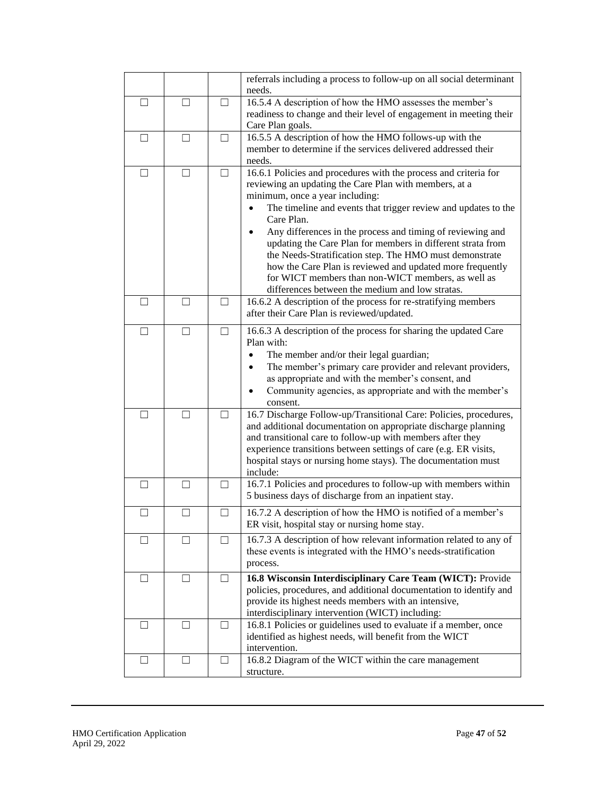|              |               |         | referrals including a process to follow-up on all social determinant<br>needs.                                                                                                                                                                                                                                                                                                                                                                                                                                                                                                                              |  |  |  |
|--------------|---------------|---------|-------------------------------------------------------------------------------------------------------------------------------------------------------------------------------------------------------------------------------------------------------------------------------------------------------------------------------------------------------------------------------------------------------------------------------------------------------------------------------------------------------------------------------------------------------------------------------------------------------------|--|--|--|
| $\mathsf{L}$ | $\Box$        | ш       | 16.5.4 A description of how the HMO assesses the member's<br>readiness to change and their level of engagement in meeting their<br>Care Plan goals.                                                                                                                                                                                                                                                                                                                                                                                                                                                         |  |  |  |
| - 1          | $\mathcal{L}$ | $\Box$  | 16.5.5 A description of how the HMO follows-up with the<br>member to determine if the services delivered addressed their<br>needs.                                                                                                                                                                                                                                                                                                                                                                                                                                                                          |  |  |  |
|              |               |         | 16.6.1 Policies and procedures with the process and criteria for<br>reviewing an updating the Care Plan with members, at a<br>minimum, once a year including:<br>The timeline and events that trigger review and updates to the<br>Care Plan.<br>Any differences in the process and timing of reviewing and<br>updating the Care Plan for members in different strata from<br>the Needs-Stratification step. The HMO must demonstrate<br>how the Care Plan is reviewed and updated more frequently<br>for WICT members than non-WICT members, as well as<br>differences between the medium and low stratas. |  |  |  |
| $\Box$       | П             | П       | 16.6.2 A description of the process for re-stratifying members<br>after their Care Plan is reviewed/updated.                                                                                                                                                                                                                                                                                                                                                                                                                                                                                                |  |  |  |
| $\mathbf{I}$ | $\Box$        | $\perp$ | 16.6.3 A description of the process for sharing the updated Care<br>Plan with:<br>The member and/or their legal guardian;<br>The member's primary care provider and relevant providers,<br>as appropriate and with the member's consent, and<br>Community agencies, as appropriate and with the member's<br>consent.                                                                                                                                                                                                                                                                                        |  |  |  |
|              |               |         | 16.7 Discharge Follow-up/Transitional Care: Policies, procedures,<br>and additional documentation on appropriate discharge planning<br>and transitional care to follow-up with members after they<br>experience transitions between settings of care (e.g. ER visits,<br>hospital stays or nursing home stays). The documentation must<br>include:                                                                                                                                                                                                                                                          |  |  |  |
| П            | П             | П       | 16.7.1 Policies and procedures to follow-up with members within<br>5 business days of discharge from an inpatient stay.                                                                                                                                                                                                                                                                                                                                                                                                                                                                                     |  |  |  |
|              |               |         | 16.7.2 A description of how the HMO is notified of a member's<br>ER visit, hospital stay or nursing home stay.                                                                                                                                                                                                                                                                                                                                                                                                                                                                                              |  |  |  |
|              |               |         | 16.7.3 A description of how relevant information related to any of<br>these events is integrated with the HMO's needs-stratification<br>process.                                                                                                                                                                                                                                                                                                                                                                                                                                                            |  |  |  |
| ⊔            | ш             | ⊔       | 16.8 Wisconsin Interdisciplinary Care Team (WICT): Provide<br>policies, procedures, and additional documentation to identify and<br>provide its highest needs members with an intensive,<br>interdisciplinary intervention (WICT) including:                                                                                                                                                                                                                                                                                                                                                                |  |  |  |
| П            | $\Box$        | ш       | 16.8.1 Policies or guidelines used to evaluate if a member, once<br>identified as highest needs, will benefit from the WICT<br>intervention.                                                                                                                                                                                                                                                                                                                                                                                                                                                                |  |  |  |
| $\perp$      | $\Box$        | П       | 16.8.2 Diagram of the WICT within the care management<br>structure.                                                                                                                                                                                                                                                                                                                                                                                                                                                                                                                                         |  |  |  |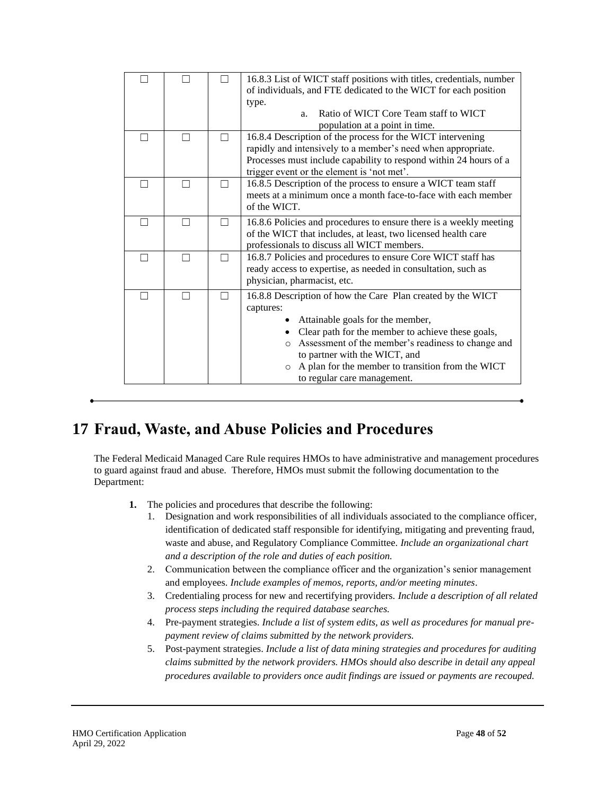|  | 16.8.3 List of WICT staff positions with titles, credentials, number<br>of individuals, and FTE dedicated to the WICT for each position<br>type.<br>Ratio of WICT Core Team staff to WICT<br>a <sub>1</sub>                                                                                                                                          |  |  |  |
|--|------------------------------------------------------------------------------------------------------------------------------------------------------------------------------------------------------------------------------------------------------------------------------------------------------------------------------------------------------|--|--|--|
|  | population at a point in time.<br>16.8.4 Description of the process for the WICT intervening<br>rapidly and intensively to a member's need when appropriate.<br>Processes must include capability to respond within 24 hours of a<br>trigger event or the element is 'not met'.                                                                      |  |  |  |
|  | 16.8.5 Description of the process to ensure a WICT team staff<br>meets at a minimum once a month face-to-face with each member<br>of the WICT.                                                                                                                                                                                                       |  |  |  |
|  | 16.8.6 Policies and procedures to ensure there is a weekly meeting<br>of the WICT that includes, at least, two licensed health care<br>professionals to discuss all WICT members.                                                                                                                                                                    |  |  |  |
|  | 16.8.7 Policies and procedures to ensure Core WICT staff has<br>ready access to expertise, as needed in consultation, such as<br>physician, pharmacist, etc.                                                                                                                                                                                         |  |  |  |
|  | 16.8.8 Description of how the Care Plan created by the WICT<br>captures:<br>• Attainable goals for the member,<br>• Clear path for the member to achieve these goals,<br>o Assessment of the member's readiness to change and<br>to partner with the WICT, and<br>o A plan for the member to transition from the WICT<br>to regular care management. |  |  |  |

## <span id="page-47-0"></span>**17 Fraud, Waste, and Abuse Policies and Procedures**

The Federal Medicaid Managed Care Rule requires HMOs to have administrative and management procedures to guard against fraud and abuse. Therefore, HMOs must submit the following documentation to the Department:

- **1.** The policies and procedures that describe the following:
	- 1. Designation and work responsibilities of all individuals associated to the compliance officer, identification of dedicated staff responsible for identifying, mitigating and preventing fraud, waste and abuse, and Regulatory Compliance Committee. *Include an organizational chart and a description of the role and duties of each position.*
	- 2. Communication between the compliance officer and the organization's senior management and employees. *Include examples of memos, reports, and/or meeting minutes*.
	- 3. Credentialing process for new and recertifying providers. *Include a description of all related process steps including the required database searches.*
	- 4. Pre-payment strategies. *Include a list of system edits, as well as procedures for manual prepayment review of claims submitted by the network providers.*
	- 5. Post-payment strategies. *Include a list of data mining strategies and procedures for auditing claims submitted by the network providers. HMOs should also describe in detail any appeal procedures available to providers once audit findings are issued or payments are recouped.*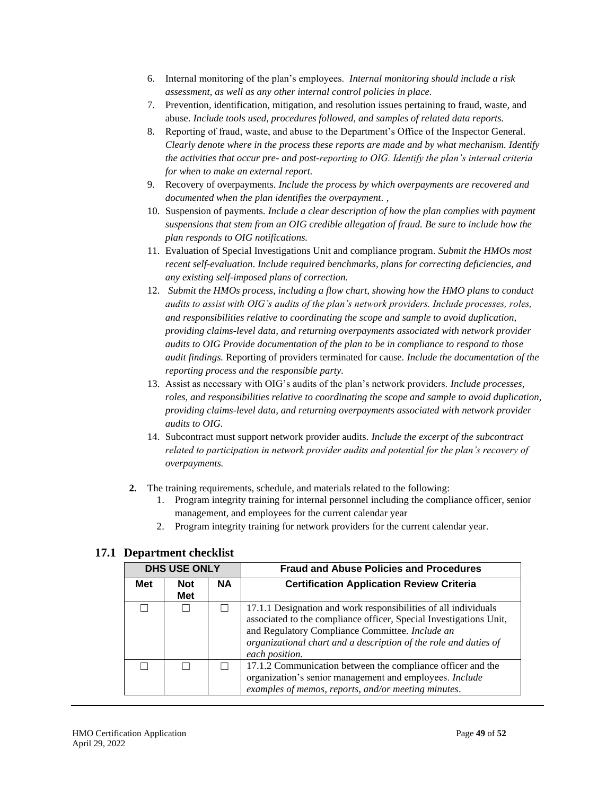- 6. Internal monitoring of the plan's employees. *Internal monitoring should include a risk assessment, as well as any other internal control policies in place.*
- 7. Prevention, identification, mitigation, and resolution issues pertaining to fraud, waste, and abuse. *Include tools used, procedures followed, and samples of related data reports.*
- 8. Reporting of fraud, waste, and abuse to the Department's Office of the Inspector General. *Clearly denote where in the process these reports are made and by what mechanism. Identify the activities that occur pre- and post-reporting to OIG. Identify the plan's internal criteria for when to make an external report.*
- 9. Recovery of overpayments. *Include the process by which overpayments are recovered and documented when the plan identifies the overpayment. ,*
- 10. Suspension of payments. *Include a clear description of how the plan complies with payment suspensions that stem from an OIG credible allegation of fraud. Be sure to include how the plan responds to OIG notifications.*
- 11. Evaluation of Special Investigations Unit and compliance program. *Submit the HMOs most recent self-evaluation*. *Include required benchmarks, plans for correcting deficiencies, and any existing self-imposed plans of correction.*
- 12. *Submit the HMOs process, including a flow chart, showing how the HMO plans to conduct audits to assist with OIG's audits of the plan's network providers. Include processes, roles, and responsibilities relative to coordinating the scope and sample to avoid duplication, providing claims-level data, and returning overpayments associated with network provider audits to OIG Provide documentation of the plan to be in compliance to respond to those audit findings.* Reporting of providers terminated for cause. *Include the documentation of the reporting process and the responsible party.*
- 13. Assist as necessary with OIG's audits of the plan's network providers. *Include processes, roles, and responsibilities relative to coordinating the scope and sample to avoid duplication, providing claims-level data, and returning overpayments associated with network provider audits to OIG.*
- 14. Subcontract must support network provider audits. *Include the excerpt of the subcontract related to participation in network provider audits and potential for the plan's recovery of overpayments.*
- **2.** The training requirements, schedule, and materials related to the following:
	- 1. Program integrity training for internal personnel including the compliance officer, senior management, and employees for the current calendar year
	- 2. Program integrity training for network providers for the current calendar year.

|            | <b>DHS USE ONLY</b> |           | <b>Fraud and Abuse Policies and Procedures</b>                                                                                                                                                                                                                                 |  |  |
|------------|---------------------|-----------|--------------------------------------------------------------------------------------------------------------------------------------------------------------------------------------------------------------------------------------------------------------------------------|--|--|
| <b>Met</b> | <b>Not</b><br>Met   | <b>NA</b> | <b>Certification Application Review Criteria</b>                                                                                                                                                                                                                               |  |  |
|            |                     |           | 17.1.1 Designation and work responsibilities of all individuals<br>associated to the compliance officer, Special Investigations Unit,<br>and Regulatory Compliance Committee. Include an<br>organizational chart and a description of the role and duties of<br>each position. |  |  |
|            |                     |           | 17.1.2 Communication between the compliance officer and the<br>organization's senior management and employees. Include<br>examples of memos, reports, and/or meeting minutes.                                                                                                  |  |  |

### <span id="page-48-0"></span>**17.1 Department checklist**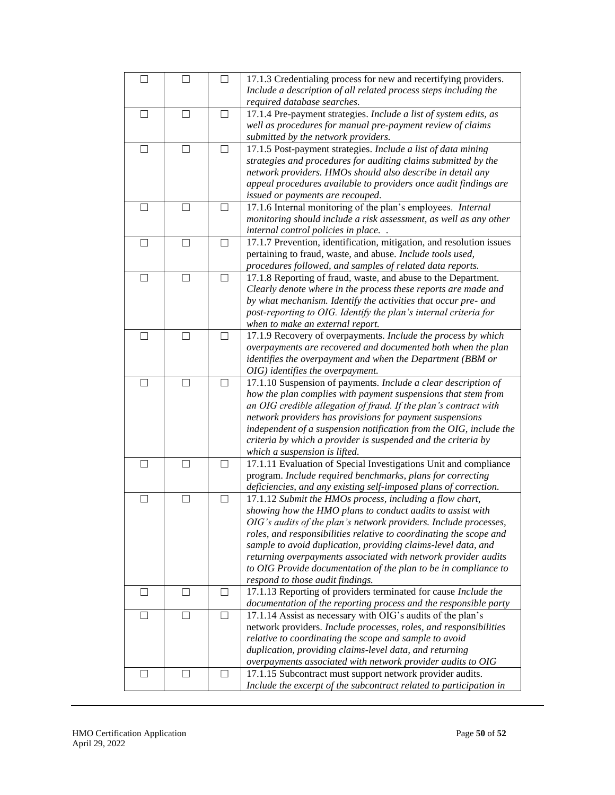|                          |                   |        | 17.1.3 Credentialing process for new and recertifying providers.<br>Include a description of all related process steps including the |  |
|--------------------------|-------------------|--------|--------------------------------------------------------------------------------------------------------------------------------------|--|
|                          |                   |        | required database searches.                                                                                                          |  |
| $\Box$                   | Ш                 | $\Box$ | 17.1.4 Pre-payment strategies. Include a list of system edits, as                                                                    |  |
|                          |                   |        | well as procedures for manual pre-payment review of claims                                                                           |  |
|                          |                   |        | submitted by the network providers.                                                                                                  |  |
| $\overline{\phantom{0}}$ | $\mathcal{L}$     |        | 17.1.5 Post-payment strategies. Include a list of data mining                                                                        |  |
|                          |                   |        | strategies and procedures for auditing claims submitted by the                                                                       |  |
|                          |                   |        | network providers. HMOs should also describe in detail any                                                                           |  |
|                          |                   |        | appeal procedures available to providers once audit findings are                                                                     |  |
|                          |                   |        |                                                                                                                                      |  |
|                          |                   |        | issued or payments are recouped.                                                                                                     |  |
| □                        | $\vert \ \ \vert$ | $\Box$ | 17.1.6 Internal monitoring of the plan's employees. Internal                                                                         |  |
|                          |                   |        | monitoring should include a risk assessment, as well as any other                                                                    |  |
|                          |                   |        | internal control policies in place                                                                                                   |  |
| П                        | П                 | П      | 17.1.7 Prevention, identification, mitigation, and resolution issues                                                                 |  |
|                          |                   |        | pertaining to fraud, waste, and abuse. Include tools used,                                                                           |  |
|                          |                   |        | procedures followed, and samples of related data reports.                                                                            |  |
| П                        | П                 | П      | 17.1.8 Reporting of fraud, waste, and abuse to the Department.                                                                       |  |
|                          |                   |        | Clearly denote where in the process these reports are made and                                                                       |  |
|                          |                   |        | by what mechanism. Identify the activities that occur pre- and                                                                       |  |
|                          |                   |        | post-reporting to OIG. Identify the plan's internal criteria for                                                                     |  |
|                          |                   |        |                                                                                                                                      |  |
|                          |                   |        | when to make an external report.                                                                                                     |  |
|                          |                   |        | 17.1.9 Recovery of overpayments. Include the process by which                                                                        |  |
|                          |                   |        | overpayments are recovered and documented both when the plan                                                                         |  |
|                          |                   |        | identifies the overpayment and when the Department (BBM or                                                                           |  |
|                          |                   |        | OIG) identifies the overpayment.                                                                                                     |  |
|                          |                   |        | 17.1.10 Suspension of payments. Include a clear description of                                                                       |  |
|                          |                   |        | how the plan complies with payment suspensions that stem from                                                                        |  |
|                          |                   |        | an OIG credible allegation of fraud. If the plan's contract with                                                                     |  |
|                          |                   |        | network providers has provisions for payment suspensions                                                                             |  |
|                          |                   |        | independent of a suspension notification from the OIG, include the                                                                   |  |
|                          |                   |        | criteria by which a provider is suspended and the criteria by                                                                        |  |
|                          |                   |        | which a suspension is lifted.                                                                                                        |  |
| $\perp$                  | $\Box$            | □      | 17.1.11 Evaluation of Special Investigations Unit and compliance                                                                     |  |
|                          |                   |        | program. Include required benchmarks, plans for correcting                                                                           |  |
|                          |                   |        | deficiencies, and any existing self-imposed plans of correction.                                                                     |  |
|                          |                   |        |                                                                                                                                      |  |
| □                        | $\Box$            | □      | 17.1.12 Submit the HMOs process, including a flow chart,                                                                             |  |
|                          |                   |        | showing how the HMO plans to conduct audits to assist with                                                                           |  |
|                          |                   |        | OIG's audits of the plan's network providers. Include processes,                                                                     |  |
|                          |                   |        | roles, and responsibilities relative to coordinating the scope and                                                                   |  |
|                          |                   |        | sample to avoid duplication, providing claims-level data, and                                                                        |  |
|                          |                   |        | returning overpayments associated with network provider audits                                                                       |  |
|                          |                   |        | to OIG Provide documentation of the plan to be in compliance to                                                                      |  |
|                          |                   |        | respond to those audit findings.                                                                                                     |  |
| П                        | П                 | П      | 17.1.13 Reporting of providers terminated for cause Include the                                                                      |  |
|                          |                   |        | documentation of the reporting process and the responsible party                                                                     |  |
| $\Box$                   | $\Box$            | $\Box$ | 17.1.14 Assist as necessary with OIG's audits of the plan's                                                                          |  |
|                          |                   |        | network providers. Include processes, roles, and responsibilities                                                                    |  |
|                          |                   |        | relative to coordinating the scope and sample to avoid                                                                               |  |
|                          |                   |        | duplication, providing claims-level data, and returning                                                                              |  |
|                          |                   |        |                                                                                                                                      |  |
|                          |                   |        | overpayments associated with network provider audits to OIG                                                                          |  |
| $\perp$                  | $\vert \ \ \vert$ | Ш      | 17.1.15 Subcontract must support network provider audits.                                                                            |  |
|                          |                   |        | Include the excerpt of the subcontract related to participation in                                                                   |  |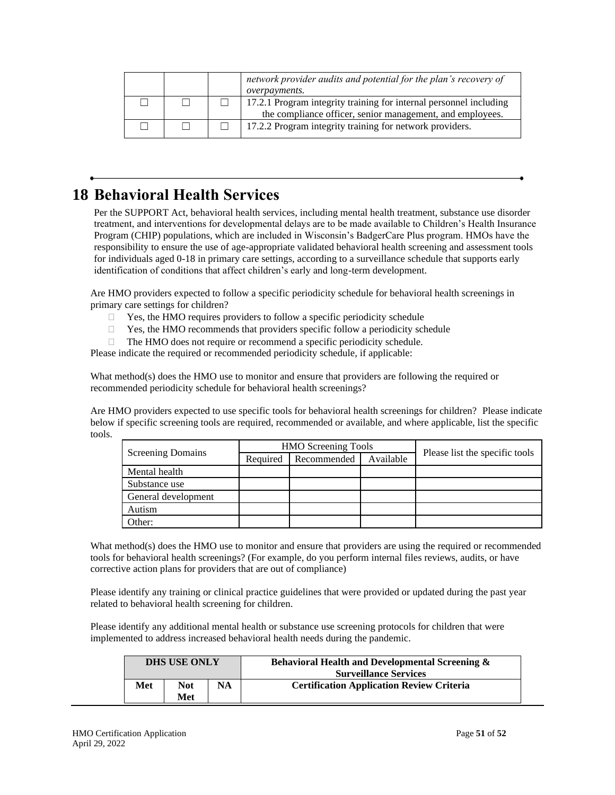|  | network provider audits and potential for the plan's recovery of<br><i>overpayments.</i> |
|--|------------------------------------------------------------------------------------------|
|  | 17.2.1 Program integrity training for internal personnel including                       |
|  | the compliance officer, senior management, and employees.                                |
|  | 17.2.2 Program integrity training for network providers.                                 |

## <span id="page-50-0"></span>**18 Behavioral Health Services**

Per the SUPPORT Act, behavioral health services, including mental health treatment, substance use disorder treatment, and interventions for developmental delays are to be made available to Children's Health Insurance Program (CHIP) populations, which are included in Wisconsin's BadgerCare Plus program. HMOs have the responsibility to ensure the use of age-appropriate validated behavioral health screening and assessment tools for individuals aged 0-18 in primary care settings, according to a surveillance schedule that supports early identification of conditions that affect children's early and long-term development.

Are HMO providers expected to follow a specific periodicity schedule for behavioral health screenings in primary care settings for children?

- $\Box$  Yes, the HMO requires providers to follow a specific periodicity schedule
- $\Box$  Yes, the HMO recommends that providers specific follow a periodicity schedule
- $\Box$  The HMO does not require or recommend a specific periodicity schedule.

Please indicate the required or recommended periodicity schedule, if applicable:

What method(s) does the HMO use to monitor and ensure that providers are following the required or recommended periodicity schedule for behavioral health screenings?

Are HMO providers expected to use specific tools for behavioral health screenings for children? Please indicate below if specific screening tools are required, recommended or available, and where applicable, list the specific tools.

|                     |          | <b>HMO</b> Screening Tools |           |                                |
|---------------------|----------|----------------------------|-----------|--------------------------------|
| Screening Domains   | Required | Recommended                | Available | Please list the specific tools |
| Mental health       |          |                            |           |                                |
| Substance use       |          |                            |           |                                |
| General development |          |                            |           |                                |
| Autism              |          |                            |           |                                |
| Other:              |          |                            |           |                                |

What method(s) does the HMO use to monitor and ensure that providers are using the required or recommended tools for behavioral health screenings? (For example, do you perform internal files reviews, audits, or have corrective action plans for providers that are out of compliance)

Please identify any training or clinical practice guidelines that were provided or updated during the past year related to behavioral health screening for children.

Please identify any additional mental health or substance use screening protocols for children that were implemented to address increased behavioral health needs during the pandemic.

|     | <b>DHS USE ONLY</b> |           | <b>Behavioral Health and Developmental Screening &amp;</b><br><b>Surveillance Services</b> |  |
|-----|---------------------|-----------|--------------------------------------------------------------------------------------------|--|
| Met | Not<br>Met          | <b>NA</b> | <b>Certification Application Review Criteria</b>                                           |  |